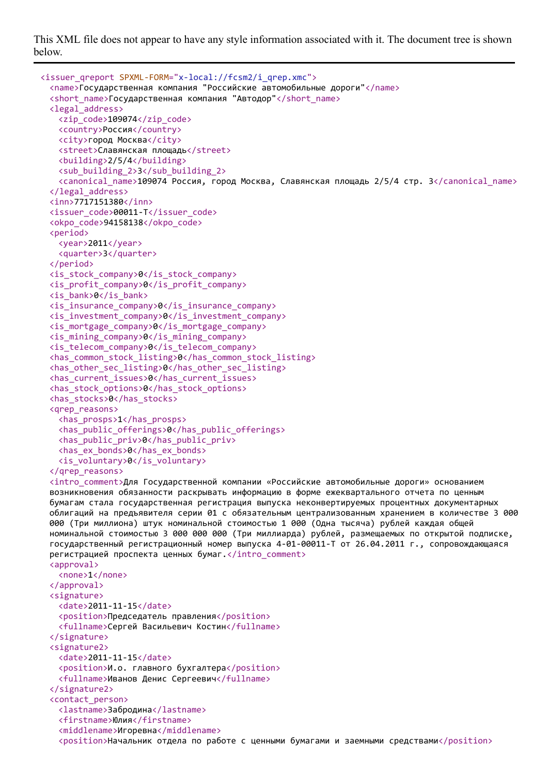This XML file does not appear to have any style information associated with it. The document tree is shown below.

```
<issuer_qreport SPXML-FORM="x-local://fcsm2/i_qrep.xmc">
 <name>Государственная компания "Российские автомобильные дороги"</name>
 <short_name>Государственная компания "Автодор"</short_name>
 <legal_address>
   <zip_code>109074</zip_code>
   <country>Россия</country>
   <city>город Москва</city>
   <street>Славянская площадь</street>
   <building>2/5/4</building>
   <sub_building_2>3</sub_building_2>
   <canonical_name>109074 Россия, город Москва, Славянская площадь 2/5/4 стр. 3</canonical_name>
 </legal_address>
 <inn>7717151380</inn>
 <issuer_code>00011-T</issuer_code>
 <okpo_code>94158138</okpo_code>
 <period>
   <year>2011</year>
   <quarter>3</quarter>
 </period>
 <is_stock_company>0</is_stock_company>
 <is_profit_company>0</is_profit_company>
 <is_bank>0</is_bank>
 <is_insurance_company>0</is_insurance_company>
 <is_investment_company>0</is_investment_company>
 <is_mortgage_company>0</is_mortgage_company>
 <is_mining_company>0</is_mining_company>
 <is_telecom_company>0</is_telecom_company>
 <has_common_stock_listing>0</has_common_stock_listing>
 <has_other_sec_listing>0</has_other_sec_listing>
 <has_current_issues>0</has_current_issues>
 <has_stock_options>0</has_stock_options>
 <has_stocks>0</has_stocks>
 <qrep_reasons>
   <has_prosps>1</has_prosps>
   <has_public_offerings>0</has_public_offerings>
   <has_public_priv>0</has_public_priv>
   <has_ex_bonds>0</has_ex_bonds>
   <is_voluntary>0</is_voluntary>
 </qrep_reasons>
 <intro_comment>Для Государственной компании «Российские автомобильные дороги» основанием
 возникновения обязанности раскрывать информацию в форме ежеквартального отчета по ценным
 бумагам стала государственная регистрация выпуска неконвертируемых процентных документарных
 облигаций на предъявителя серии 01 с обязательным централизованным хранением в количестве 3 000
 000 (Три миллиона) штук номинальной стоимостью 1 000 (Одна тысяча) рублей каждая общей
 номинальной стоимостью 3 000 000 000 (Три миллиарда) рублей, размещаемых по открытой подписке,
 государственный регистрационный номер выпуска 4-01-00011-Т от 26.04.2011 г., сопровождающаяся
 регистрацией проспекта ценных бумаг.</intro_comment>
 <approval>
   <none>1</none>
 </approval>
```

```
<signature>
  <date>2011-11-15</date>
  <position>Председатель правления</position>
  <fullname>Сергей Васильевич Костин</fullname>
</signature>
<signature2>
  <date>2011-11-15</date>
  <position>И.о. главного бухгалтера</position>
  <fullname>Иванов Денис Сергеевич</fullname>
</signature2>
<contact_person>
  <lastname>Забродина</lastname>
  <firstname>Юлия</firstname>
  <middlename>Игоревна</middlename>
  <position>Начальник отдела по работе с ценными бумагами и заемными средствами</position>
```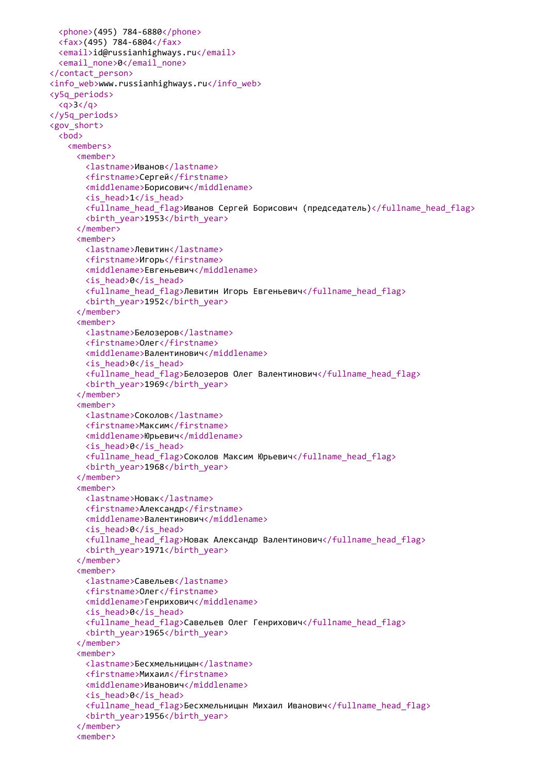```
<phone>(495) 784-6880</phone>
  <fax>(495) 784-6804</fax>
  <email>id@russianhighways.ru</email>
  <email_none>0</email_none>
</contact_person>
<info_web>www.russianhighways.ru</info_web>
<y5q_periods>
  \langle q \rangle3\langle q \rangle</y5q_periods>
<gov_short>
  <hod>
   <members>
     <member>
       <lastname>Иванов</lastname>
       <firstname>Сергей</firstname>
       <middlename>Борисович</middlename>
       <is_head>1</is_head>
       <fullname_head_flag>Иванов Сергей Борисович (председатель)</fullname_head_flag>
       <birth_year>1953</birth_year>
     </member>
     <member>
       <lastname>Левитин</lastname>
       <firstname>Игорь</firstname>
       <middlename>Евгеньевич</middlename>
       <is_head>0</is_head>
       <fullname_head_flag>Левитин Игорь Евгеньевич</fullname_head_flag>
       <birth_year>1952</birth_year>
     </member>
     <member>
       <lastname>Белозеров</lastname>
       <firstname>Олег</firstname>
       <middlename>Валентинович</middlename>
       <is_head>0</is_head>
       <fullname_head_flag>Белозеров Олег Валентинович</fullname_head_flag>
       <birth_year>1969</birth_year>
     </member>
     <member>
       <lastname>Соколов</lastname>
       <firstname>Максим</firstname>
       <middlename>Юрьевич</middlename>
       <is_head>0</is_head>
       <fullname_head_flag>Соколов Максим Юрьевич</fullname_head_flag>
       <birth_year>1968</birth_year>
     </member>
     <member>
       <lastname>Новак</lastname>
       <firstname>Александр</firstname>
       <middlename>Валентинович</middlename>
       <is_head>0</is_head>
       <fullname_head_flag>Новак Александр Валентинович</fullname_head_flag>
       <birth_year>1971</birth_year>
     </member>
     <member>
       <lastname>Савельев</lastname>
       <firstname>Олег</firstname>
       <middlename>Генрихович</middlename>
       <is_head>0</is_head>
       <fullname_head_flag>Савельев Олег Генрихович</fullname_head_flag>
       <birth_year>1965</birth_year>
     </member>
     <member>
       <lastname>Бесхмельницын</lastname>
       <firstname>Михаил</firstname>
       <middlename>Иванович</middlename>
       <is_head>0</is_head>
       <fullname_head_flag>Бесхмельницын Михаил Иванович</fullname_head_flag>
       <birth_year>1956</birth_year>
     </member>
     <member>
```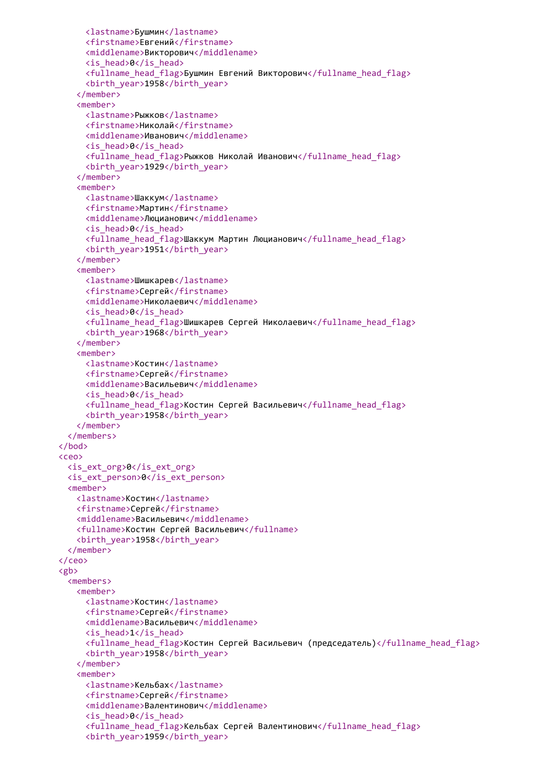```
<lastname>Бушмин</lastname>
     <firstname>Евгений</firstname>
     <middlename>Викторович</middlename>
     <is_head>0</is_head>
     <fullname_head_flag>Бушмин Евгений Викторович</fullname_head_flag>
     <birth_year>1958</birth_year>
   </member>
   <member>
     <lastname>Рыжков</lastname>
     <firstname>Николай</firstname>
     <middlename>Иванович</middlename>
     <is_head>0</is_head>
     <fullname_head_flag>Рыжков Николай Иванович</fullname head flag>
     <birth_year>1929</birth_year>
   </member>
   <member>
     <lastname>Шаккум</lastname>
     <firstname>Мартин</firstname>
     <middlename>Люцианович</middlename>
     <is_head>0</is_head>
     <fullname_head_flag>Шаккум Мартин Люцианович</fullname_head_flag>
     <birth_year>1951</birth_year>
   </member>
   <member>
     <lastname>Шишкарев</lastname>
     <firstname>Сергей</firstname>
     <middlename>Николаевич</middlename>
     <is_head>0</is_head>
     <fullname_head_flag>Шишкарев Сергей Николаевич</fullname_head_flag>
     <birth_year>1968</birth_year>
   </member>
   <member>
     <lastname>Костин</lastname>
     <firstname>Сергей</firstname>
     <middlename>Васильевич</middlename>
     <is_head>0</is_head>
     <fullname_head_flag>Костин Сергей Васильевич</fullname_head_flag>
     <birth_year>1958</birth_year>
   </member>
 </members>
</bod>
<ceo>
 <is_ext_org>0</is_ext_org>
 <is_ext_person>0</is_ext_person>
 <member>
   <lastname>Костин</lastname>
   <firstname>Сергей</firstname>
   <middlename>Васильевич</middlename>
   <fullname>Костин Сергей Васильевич</fullname>
   <birth_year>1958</birth_year>
 </member>
</ceo>
\langlegh\rangle<members>
   <member>
     <lastname>Костин</lastname>
     <firstname>Сергей</firstname>
     <middlename>Васильевич</middlename>
     <is_head>1</is_head>
     <fullname head flag>Костин Сергей Васильевич (председатель)</fullname head flag>
     <birth_year>1958</birth_year>
   </member>
   <member>
     <lastname>Кельбах</lastname>
     <firstname>Сергей</firstname>
     <middlename>Валентинович</middlename>
     <is_head>0</is_head>
     <fullname_head_flag>Кельбах Сергей Валентинович</fullname_head_flag>
     <birth_year>1959</birth_year>
```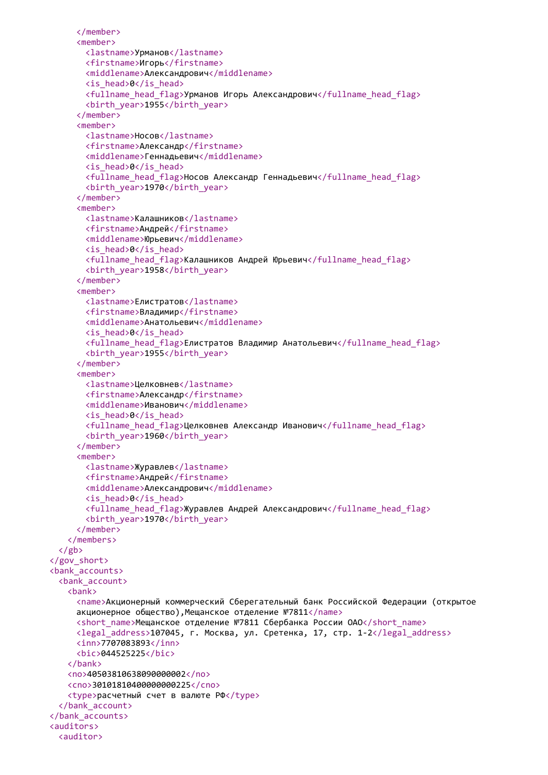```
</member>
     <member>
       <lastname>Урманов</lastname>
       <firstname>Игорь</firstname>
       <middlename>Александрович</middlename>
       <is_head>0</is_head>
       <fullname_head_flag>Урманов Игорь Александрович</fullname_head_flag>
       <birth_year>1955</birth_year>
     </member>
     <member>
       <lastname>Носов</lastname>
       <firstname>Александр</firstname>
       <middlename>Геннадьевич</middlename>
       <is_head>0</is_head>
       <fullname_head_flag>Носов Александр Геннадьевич</fullname_head_flag>
       <birth_year>1970</birth_year>
     </member>
     <member>
       <lastname>Калашников</lastname>
       <firstname>Андрей</firstname>
       <middlename>Юрьевич</middlename>
       <is_head>0</is_head>
       <fullname_head_flag>Калашников Андрей Юрьевич</fullname_head_flag>
       <birth_year>1958</birth_year>
     </member>
     <member>
       <lastname>Елистратов</lastname>
       <firstname>Владимир</firstname>
       <middlename>Анатольевич</middlename>
       <is_head>0</is_head>
       <fullname_head_flag>Елистратов Владимир Анатольевич</fullname_head_flag>
       <birth_year>1955</birth_year>
     </member>
     <member>
       <lastname>Целковнев</lastname>
       <firstname>Александр</firstname>
       <middlename>Иванович</middlename>
       <is_head>0</is_head>
       <fullname_head_flag>Целковнев Александр Иванович</fullname_head_flag>
       <birth_year>1960</birth_year>
     </member>
     <member>
       <lastname>Журавлев</lastname>
       <firstname>Андрей</firstname>
       <middlename>Александрович</middlename>
       <is_head>0</is_head>
       <fullname_head_flag>Журавлев Андрей Александрович</fullname_head_flag>
       <birth_year>1970</birth_year>
     </member>
   </members>
  </gb>
</gov_short>
<bank_accounts>
  <bank_account>
   <bank>
     <name>Акционерный коммерческий Сберегательный банк Российской Федерации (открытое
     акционерное общество),Мещанское отделение №7811</name>
     <short name>Мещанское отделение №7811 Сбербанка России ОАО</short_name>
     <legal_address>107045, г. Москва, ул. Сретенка, 17, стр. 1-2</legal_address>
     <inn>7707083893</inn>
     <bic>044525225</bic>
   </bank>
   <no>40503810638090000002</no>
   <cno>30101810400000000225</cno>
   <type>расчетный счет в валюте РФ</type>
  </bank_account>
</bank_accounts>
<auditors>
  <auditor>
```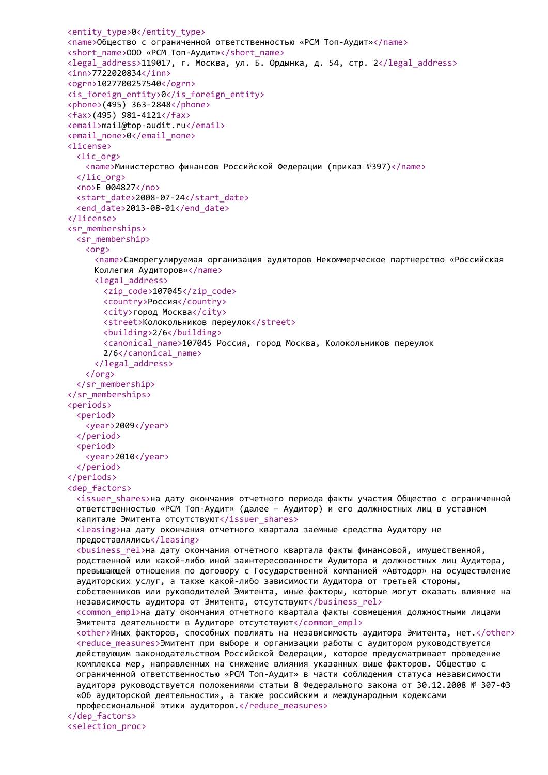```
<entity_type>0</entity_type>
<name>Общество с ограниченной ответственностью «РСМ Топ-Аудит»</name>
<short_name>ООО «РСМ Топ-Аудит»</short_name>
<legal_address>119017, г. Москва, ул. Б. Ордынка, д. 54, стр. 2</legal_address>
<inn>7722020834</inn>
<ogrn>1027700257540</ogrn>
<is_foreign_entity>0</is_foreign_entity>
<phone>(495) 363-2848</phone>
<fax>(495) 981-4121</fax>
<email>mail@top-audit.ru</email>
<email_none>0</email_none>
<license>
 <lic_org>
   <name>Министерство финансов Российской Федерации (приказ №397)</name>
 \langlelic org>
 <no>Е 004827</no>
 <start_date>2008-07-24</start_date>
 <end_date>2013-08-01</end_date>
</license>
<sr_memberships>
 <sr_membership>
   <org>
     <name>Саморегулируемая организация аудиторов Некоммерческое партнерство «Российская
     Коллегия Аудиторов»</name>
     <legal_address>
       <zip_code>107045</zip_code>
       <country>Россия</country>
       <city>город Москва</city>
       <street>Колокольников переулок</street>
       <building>2/6</building>
       <canonical_name>107045 Россия, город Москва, Колокольников переулок
       2/6</canonical_name>
     </legal_address>
   </org>
 </sr_membership>
</sr_memberships>
<periods>
 <period>
   <year>2009</year>
 </period>
 <period>
   <year>2010</year>
 </period>
</periods>
<dep_factors>
 <issuer shares>на дату окончания отчетного периода факты участия Общество с ограниченной
 ответственностью «РСМ Топ-Аудит» (далее – Аудитор) и его должностных лиц в уставном
 капитале Эмитента отсутствуют</issuer_shares>
 <leasing>на дату окончания отчетного квартала заемные средства Аудитору не
 предоставлялись</leasing>
 \zetabusiness rel>на дату окончания отчетного квартала факты финансовой, имущественной,
 родственной или какой-либо иной заинтересованности Аудитора и должностных лиц Аудитора,
 превышающей отношения по договору с Государственной компанией «Автодор» на осуществление
 аудиторских услуг, а также какой-либо зависимости Аудитора от третьей стороны,
 собственников или руководителей Эмитента, иные факторы, которые могут оказать влияние на
 независимость аудитора от Эмитента, отсутствуют</business_rel>
 <common empl>на дату окончания отчетного квартала факты совмещения должностными лицами
 Эмитента деятельности в Аудиторе отсутствуют</common_empl>
 <other>Иных факторов, способных повлиять на независимость аудитора Эмитента, нет.</other>
 <reduce measures>Эмитент при выборе и организации работы с аудитором руководствуется
 действующим законодательством Российской Федерации, которое предусматривает проведение
 комплекса мер, направленных на снижение влияния указанных выше факторов. Общество с
 ограниченной ответственностью «РСМ Топ-Аудит» в части соблюдения статуса независимости
 аудитора руководствуется положениями статьи 8 Федерального закона от 30.12.2008 № 307-ФЗ
 «Об аудиторской деятельности», а также российским и международным кодексами
 профессиональной этики аудиторов.</reduce_measures>
</dep_factors>
```
<selection\_proc>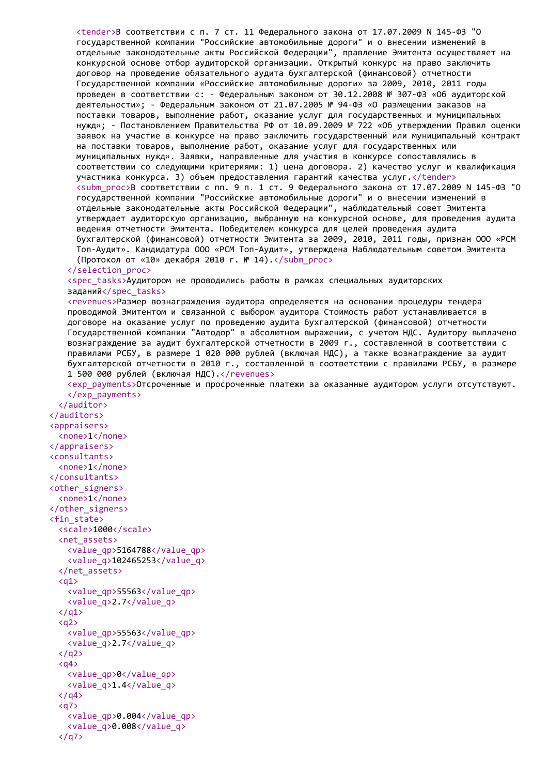<tender>В соответствии с п. 7 ст. 11 Федерального закона от 17.07.2009 N 145-ФЗ "О государственной компании "Российские автомобильные дороги" и о внесении изменений в отдельные законодательные акты Российской Федерации", правление Эмитента осуществляет на конкурсной основе отбор аудиторской организации. Открытый конкурс на право заключить договор на проведение обязательного аудита бухгалтерской (финансовой) отчетности Государственной компании «Российские автомобильные дороги» за 2009, 2010, 2011 годы проведен в соответствии с: - Федеральным законом от 30.12.2008 № 307-ФЗ «Об аудиторской деятельности»; - Федеральным законом от 21.07.2005 № 94-ФЗ «О размещении заказов на поставки товаров, выполнение работ, оказание услуг для государственных и муниципальных нужд»; - Постановлением Правительства РФ от 10.09.2009 № 722 «Об утверждении Правил оценки заявок на участие в конкурсе на право заключить государственный или муниципальный контракт на поставки товаров, выполнение работ, оказание услуг для государственных или муниципальных нужд». Заявки, направленные для участия в конкурсе сопоставлялись в соответствии со следующими критериями: 1) цена договора. 2) качество услуг и квалификация участника конкурса. 3) объем предоставления гарантий качества услуг.</tender> <subm proc>В соответствии с пп. 9 п. 1 ст. 9 Федерального закона от 17.07.2009 N 145-ФЗ "О государственной компании "Российские автомобильные дороги" и о внесении изменений в отдельные законодательные акты Российской Федерации", наблюдательный совет Эмитента утверждает аудиторскую организацию, выбранную на конкурсной основе, для проведения аудита ведения отчетности Эмитента. Победителем конкурса для целей проведения аудита бухгалтерской (финансовой) отчетности Эмитента за 2009, 2010, 2011 годы, признан ООО «РСМ Топ-Аудит». Кандидатура ООО «РСМ Топ-Аудит», утверждена Наблюдательным советом Эмитента (Протокол от «10» декабря 2010 г. № 14). $\langle$ /subm proc> </selection\_proc> <spec\_tasks>Аудитором не проводились работы в рамках специальных аудиторских заданий</spec\_tasks> <revenues>Размер вознаграждения аудитора определяется на основании процедуры тендера проводимой Эмитентом и связанной с выбором аудитора Стоимость работ устанавливается в договоре на оказание услуг по проведению аудита бухгалтерской (финансовой) отчетности Государственной компании "Автодор" в абсолютном выражении, с учетом НДС. Аудитору выплачено вознаграждение за аудит бухгалтерской отчетности в 2009 г., составленной в соответствии с правилами РСБУ, в размере 1 020 000 рублей (включая НДС), а также вознаграждение за аудит бухгалтерской отчетности в 2010 г., составленной в соответствии с правилами РСБУ, в размере 1 500 000 рублей (включая НДС).</revenues> <exp\_payments>Отсроченные и просроченные платежи за оказанные аудитором услуги отсутствуют. </exp\_payments> </auditor> </auditors> <appraisers> <none>1</none> </appraisers> <consultants> <none>1</none> </consultants> <other\_signers> <none>1</none> </other\_signers> <fin\_state> <scale>1000</scale> <net\_assets> <value\_qp>5164788</value\_qp> <value\_q>102465253</value\_q> </net\_assets>  $\langle$ a1> <value\_qp>55563</value\_qp> <value\_q>2.7</value\_q>  $\langle$ /a1>  $2$ <value\_qp>55563</value\_qp> <value\_q>2.7</value\_q>  $\langle$ /a2>  $4$ <value\_qp>0</value\_qp> <value\_q>1.4</value\_q>  $\langle$ /q4>  $\langle q7 \rangle$ <value\_qp>0.004</value\_qp> <value\_q>0.008</value\_q>

 $\langle$ /q7>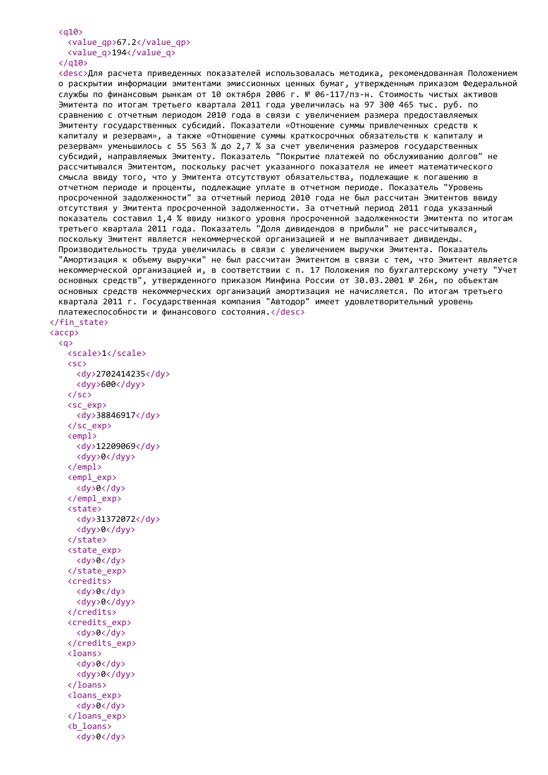```
<sub>q10</sub></sub>
  <value_qp>67.2</value_qp>
  <value_q>194</value_q>
```
</credits\_exp>

<dy>0</dy> <dyy>0</dyy>

<loans>

</loans> <loans\_exp> <dy>0</dy> </loans\_exp> <b\_loans> <dy>0</dy>

## $\langle$ /q10>

```
<desc>Для расчета приведенных показателей использовалась методика, рекомендованная Положением
 о раскрытии информации эмитентами эмиссионных ценных бумаг, утвержденным приказом Федеральной
 службы по финансовым рынкам от 10 октября 2006 г. № 06-117/пз-н. Стоимость чистых активов
 Эмитента по итогам третьего квартала 2011 года увеличилась на 97 300 465 тыс. руб. по
 сравнению с отчетным периодом 2010 года в связи с увеличением размера предоставляемых
 Эмитенту государственных субсидий. Показатели «Отношение суммы привлеченных средств к
 капиталу и резервам», а также «Отношение суммы краткосрочных обязательств к капиталу и
 резервам» уменьшилось с 55 563 % до 2,7 % за счет увеличения размеров государственных
 субсидий, направляемых Эмитенту. Показатель "Покрытие платежей по обслуживанию долгов" не
 рассчитывался Эмитентом, поскольку расчет указанного показателя не имеет математического
 смысла ввиду того, что у Эмитента отсутствуют обязательства, подлежащие к погашению в
 отчетном периоде и проценты, подлежащие уплате в отчетном периоде. Показатель "Уровень
 просроченной задолженности" за отчетный период 2010 года не был рассчитан Эмитентов ввиду
 отсутствия у Эмитента просроченной задолженности. За отчетный период 2011 года указанный
 показатель составил 1,4 % ввиду низкого уровня просроченной задолженности Эмитента по итогам
 третьего квартала 2011 года. Показатель "Доля дивидендов в прибыли" не рассчитывался,
 поскольку Эмитент является некоммерческой организацией и не выплачивает дивиденды.
 Производительность труда увеличилась в связи с увеличением выручки Эмитента. Показатель
 "Амортизация к объему выручки" не был рассчитан Эмитентом в связи с тем, что Эмитент является
 некоммерческой организацией и, в соответствии с п. 17 Положения по бухгалтерскому учету "Учет
 основных средств", утвержденного приказом Минфина России от 30.03.2001 № 26н, по объектам
 основных средств некоммерческих организаций амортизация не начисляется. По итогам третьего
 квартала 2011 г. Государственная компания "Автодор" имеет удовлетворительный уровень
 платежеспособности и финансового состояния.</desc>
</fin_state>
<accp>
 <q>
   <scale>1</scale>
   <sc>
     <dy>2702414235</dy>
     <dyy>600</dyy>
   \langle/sc\rangle<sc_exp>
     <dy>38846917</dy>
   </sc_exp>
   <empl>
     <dy>12209069</dy>
     <dyy>0</dyy>
   </empl>
   <empl_exp>
     <dy>0</dy>
   </empl_exp>
   <state>
     <dy>31372072</dy>
     <dyy>0</dyy>
   </state>
   <state_exp>
     <dy>0</dy>
   </state_exp>
   <credits>
     <dy>0</dy>
     <dyy>0</dyy>
   </credits>
   <credits_exp>
     <dy>0</dy>
```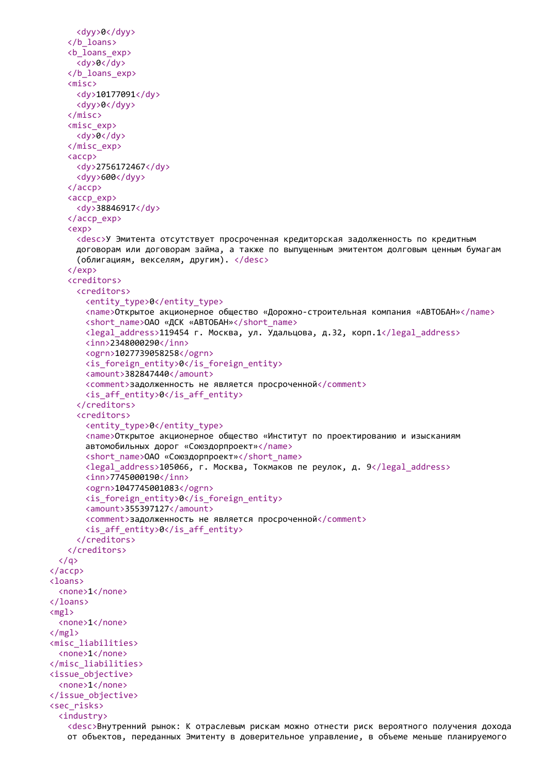```
<dyy>0</dyy>
   </b_loans>
   <b_loans_exp>
     <dy>0</dy>
   </b_loans_exp>
   <misc>
     <dy>10177091</dy>
     <dyy>0</dyy>
   </misc>
   <misc_exp>
     <dy>0</dy>
   </misc_exp>
   <accp>
     <dy>2756172467</dy>
     <dyy>600</dyy>
   </accp>
   <accp_exp>
     <dy>38846917</dy>
   </accp_exp>
   <exp>
     <desc>У Эмитента отсутствует просроченная кредиторская задолженность по кредитным
     договорам или договорам займа, а также по выпущенным эмитентом долговым ценным бумагам
     (облигациям, векселям, другим). </desc>
   </exp>
   <creditors>
     <creditors>
       <entity_type>0</entity_type>
       <name>Открытое акционерное общество «Дорожно-строительная компания «АВТОБАН»</name>
       <short name>ОАО «ДСК «АВТОБАН»</short name>
       <legal_address>119454 г. Москва, ул. Удальцова, д.32, корп.1</legal_address>
       <inn>2348000290</inn>
       <ogrn>1027739058258</ogrn>
       <is_foreign_entity>0</is_foreign_entity>
       <amount>382847440</amount>
       <comment>задолженность не является просроченной</comment>
       <is_aff_entity>0</is_aff_entity>
     </creditors>
     <creditors>
       <entity_type>0</entity_type>
       <name>Открытое акционерное общество «Институт по проектированию и изысканиям
       автомобильных дорог «Союздорпроект»</name>
       <short_name>ОАО «Союздорпроект»</short_name>
       <legal_address>105066, г. Москва, Токмаков пе реулок, д. 9</legal_address>
       <inn>7745000190</inn>
       <ogrn>1047745001083</ogrn>
       <is_foreign_entity>0</is_foreign_entity>
       <amount>355397127</amount>
       <comment>задолженность не является просроченной</comment>
       <is_aff_entity>0</is_aff_entity>
     </creditors>
   </creditors>
 \langle/a>
</accp>
<loans>
 <none>1</none>
</loans>
<mgl>
 <none>1</none>
\langle/mgl\rangle<misc_liabilities>
 <none>1</none>
</misc_liabilities>
<issue_objective>
 <none>1</none>
</issue_objective>
<sec_risks>
  <industry>
   <desc>Внутренний рынок: К отраслевым рискам можно отнести риск вероятного получения дохода
   от объектов, переданных Эмитенту в доверительное управление, в объеме меньше планируемого
```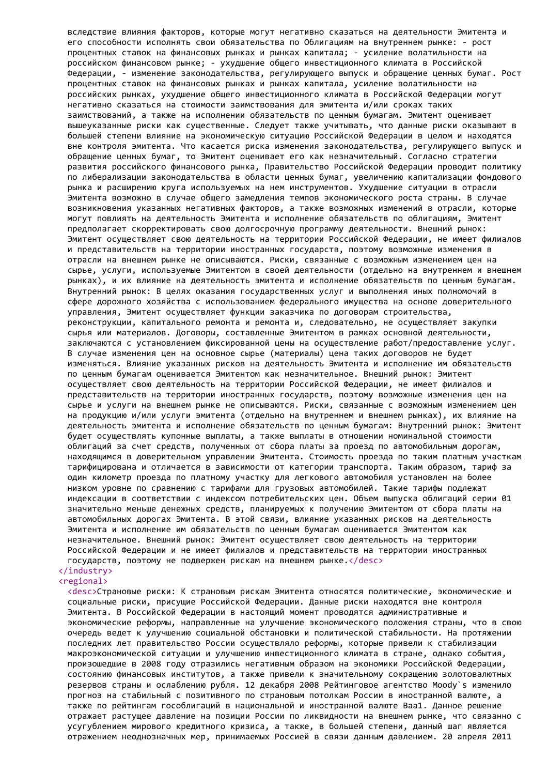вследствие влияния факторов, которые могут негативно сказаться на деятельности Эмитента и его способности исполнять свои обязательства по Облигациям на внутреннем рынке: - рост процентных ставок на финансовых рынках и рынках капитала; - усиление волатильности на российском финансовом рынке; - ухудшение общего инвестиционного климата в Российской Федерации, - изменение законодательства, регулирующего выпуск и обращение ценных бумаг. Рост процентных ставок на финансовых рынках и рынках капитала, усиление волатильности на российских рынках, ухудшение общего инвестиционного климата в Российской Федерации могут негативно сказаться на стоимости заимствования для эмитента и/или сроках таких заимствований, а также на исполнении обязательств по ценным бумагам. Эмитент оценивает вышеуказанные риски как существенные. Следует также учитывать, что данные риски оказывают в большей степени влияние на экономическую ситуацию Российской Федерации в целом и находятся вне контроля эмитента. Что касается риска изменения законодательства, регулирующего выпуск и обращение ценных бумаг, то Эмитент оценивает его как незначительный. Согласно стратегии развития российского финансового рынка, Правительство Российской Федерации проводит политику по либерализации законодательства в области ценных бумаг, увеличению капитализации фондового рынка и расширению круга используемых на нем инструментов. Ухудшение ситуации в отрасли Эмитента возможно в случае общего замедления темпов экономического роста страны. В случае возникновения указанных негативных факторов, а также возможных изменений в отрасли, которые могут повлиять на деятельность Эмитента и исполнение обязательств по облигациям, Эмитент предполагает скорректировать свою долгосрочную программу деятельности. Внешний рынок: Эмитент осуществляет свою деятельность на территории Российской Федерации, не имеет филиалов и представительств на территории иностранных государств, поэтому возможные изменения в отрасли на внешнем рынке не описываются. Риски, связанные с возможным изменением цен на сырье, услуги, используемые Эмитентом в своей деятельности (отдельно на внутреннем и внешнем рынках), и их влияние на деятельность эмитента и исполнение обязательств по ценным бумагам. Внутренний рынок: В целях оказания государственных услуг и выполнения иных полномочий в сфере дорожного хозяйства с использованием федерального имущества на основе доверительного управления, Эмитент осуществляет функции заказчика по договорам строительства, реконструкции, капитального ремонта и ремонта и, следовательно, не осуществляет закупки сырья или материалов. Договоры, составленные Эмитентом в рамках основной деятельности, заключаются с установлением фиксированной цены на осуществление работ/предоставление услуг. В случае изменения цен на основное сырье (материалы) цена таких договоров не будет изменяться. Влияние указанных рисков на деятельность Эмитента и исполнение им обязательств по ценным бумагам оценивается Эмитентом как незначительное. Внешний рынок: Эмитент осуществляет свою деятельность на территории Российской Федерации, не имеет филиалов и представительств на территории иностранных государств, поэтому возможные изменения цен на сырье и услуги на внешнем рынке не описываются. Риски, связанные с возможным изменением цен на продукцию и/или услуги эмитента (отдельно на внутреннем и внешнем рынках), их влияние на деятельность эмитента и исполнение обязательств по ценным бумагам: Внутренний рынок: Эмитент будет осуществлять купонные выплаты, а также выплаты в отношении номинальной стоимости облигаций за счет средств, полученных от сбора платы за проезд по автомобильным дорогам, находящимся в доверительном управлении Эмитента. Стоимость проезда по таким платным участкам тарифицирована и отличается в зависимости от категории транспорта. Таким образом, тариф за один километр проезда по платному участку для легкового автомобиля установлен на более низком уровне по сравнению с тарифами для грузовых автомобилей. Такие тарифы подлежат индексации в соответствии с индексом потребительских цен. Объем выпуска облигаций серии 01 значительно меньше денежных средств, планируемых к получению Эмитентом от сбора платы на автомобильных дорогах Эмитента. В этой связи, влияние указанных рисков на деятельность Эмитента и исполнение им обязательств по ценным бумагам оценивается Эмитентом как незначительное. Внешний рынок: Эмитент осуществляет свою деятельность на территории Российской Федерации и не имеет филиалов и представительств на территории иностранных государств, поэтому не подвержен рискам на внешнем рынке.</desc>

# </industry>

## <regional>

<desc>Страновые риски: К страновым рискам Эмитента относятся политические, экономические и социальные риски, присущие Российской Федерации. Данные риски находятся вне контроля Эмитента. В Российской Федерации в настоящий момент проводятся административные и экономические реформы, направленные на улучшение экономического положения страны, что в свою очередь ведет к улучшению социальной обстановки и политической стабильности. На протяжении последних лет правительство России осуществляло реформы, которые привели к стабилизации макроэкономической ситуации и улучшению инвестиционного климата в стране, однако события, произошедшие в 2008 году отразились негативным образом на экономики Российской Федерации, состоянию финансовых институтов, а также привели к значительному сокращению золотовалютных резервов страны и ослаблению рубля. 12 декабря 2008 Рейтинговое агентство Moody`s изменило прогноз на стабильный с позитивного по страновым потолкам России в иностранной валюте, а также по рейтингам гособлигаций в национальной и иностранной валюте Baa1. Данное решение отражает растущее давление на позиции России по ликвидности на внешнем рынке, что связанно с усугублением мирового кредитного кризиса, а также, в большей степени, данный шаг является отражением неоднозначных мер, принимаемых Россией в связи данным давлением. 20 апреля 2011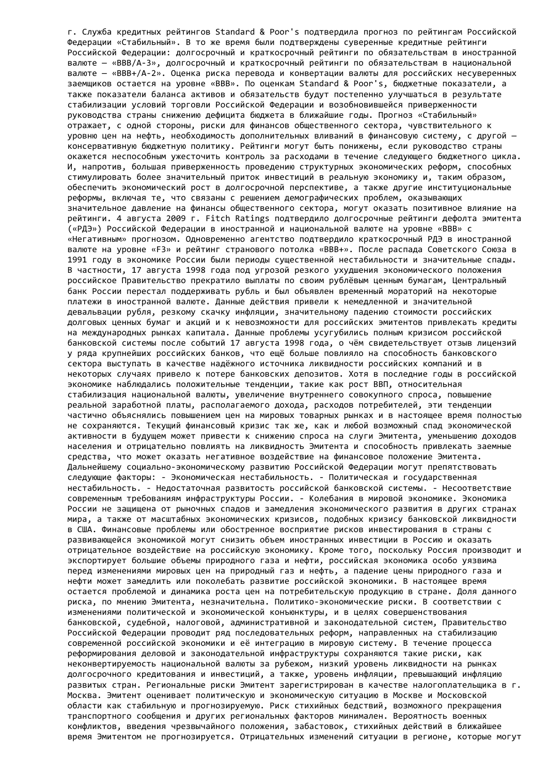г. Служба кредитных рейтингов Standard & Poor's подтвердила прогноз по рейтингам Российской Федерации «Стабильный». В то же время были подтверждены суверенные кредитные рейтинги Российской Федерации: долгосрочный и краткосрочный рейтинги по обязательствам в иностранной валюте — «BBB/A-3», долгосрочный и краткосрочный рейтинги по обязательствам в национальной валюте — «BBB+/A-2». Оценка риска перевода и конвертации валюты для российских несуверенных заемщиков остается на уровне «ВВВ». По оценкам Standard & Poor's, бюджетные показатели, а также показатели баланса активов и обязательств будут постепенно улучшаться в результате стабилизации условий торговли Российской Федерации и возобновившейся приверженности руководства страны снижению дефицита бюджета в ближайшие годы. Прогноз «Стабильный» отражает, с одной стороны, риски для финансов общественного сектора, чувствительного к уровню цен на нефть, необходимость дополнительных вливаний в финансовую систему, с другой консервативную бюджетную политику. Рейтинги могут быть понижены, если руководство страны окажется неспособным ужесточить контроль за расходами в течение следующего бюджетного цикла. И, напротив, большая приверженность проведению структурных экономических реформ, способных стимулировать более значительный приток инвестиций в реальную экономику и, таким образом, обеспечить экономический рост в долгосрочной перспективе, а также другие институциональные реформы, включая те, что связаны с решением демографических проблем, оказывающих значительное давление на финансы общественного сектора, могут оказать позитивное влияние на рейтинги. 4 августа 2009 г. Fitch Ratings подтвердило долгосрочные рейтинги дефолта эмитента («РДЭ») Российской Федерации в иностранной и национальной валюте на уровне «BBB» с «Негативным» прогнозом. Одновременно агентство подтвердило краткосрочный РДЭ в иностранной валюте на уровне «F3» и рейтинг странового потолка «BBB+». После распада Советского Союза в 1991 году в экономике России были периоды существенной нестабильности и значительные спады. В частности, 17 августа 1998 года под угрозой резкого ухудшения экономического положения российское Правительство прекратило выплаты по своим рублёвым ценным бумагам, Центральный банк России перестал поддерживать рубль и был объявлен временный мораторий на некоторые платежи в иностранной валюте. Данные действия привели к немедленной и значительной девальвации рубля, резкому скачку инфляции, значительному падению стоимости российских долговых ценных бумаг и акций и к невозможности для российских эмитентов привлекать кредиты на международных рынках капитала. Данные проблемы усугубились полным кризисом российской банковской системы после событий 17 августа 1998 года, о чём свидетельствует отзыв лицензий у ряда крупнейших российских банков, что ещё больше повлияло на способность банковского сектора выступать в качестве надёжного источника ликвидности российских компаний и в некоторых случаях привело к потере банковских депозитов. Хотя в последние годы в российской экономике наблюдались положительные тенденции, такие как рост ВВП, относительная стабилизация национальной валюты, увеличение внутреннего совокупного спроса, повышение реальной заработной платы, располагаемого дохода, расходов потребителей, эти тенденции частично объяснялись повышением цен на мировых товарных рынках и в настоящее время полностью не сохраняются. Текущий финансовый кризис так же, как и любой возможный спад экономической активности в будущем может привести к снижению спроса на слуги Эмитента, уменьшению доходов населения и отрицательно повлиять на ликвидность Эмитента и способность привлекать заемные средства, что может оказать негативное воздействие на финансовое положение Эмитента. Дальнейшему социально-экономическому развитию Российской Федерации могут препятствовать следующие факторы: - Экономическая нестабильность. - Политическая и государственная нестабильность. - Недостаточная развитость российской банковской системы. - Несоответствие современным требованиям инфраструктуры России. - Колебания в мировой экономике. Экономика России не защищена от рыночных спадов и замедления экономического развития в других странах мира, а также от масштабных экономических кризисов, подобных кризису банковской ликвидности в США. Финансовые проблемы или обостренное восприятие рисков инвестирования в страны с развивающейся экономикой могут снизить объем иностранных инвестиции в Россию и оказать отрицательное воздействие на российскую экономику. Кроме того, поскольку Россия производит и экспортирует большие объемы природного газа и нефти, российская экономика особо уязвима перед изменениями мировых цен на природный газ и нефть, а падение цены природного газа и нефти может замедлить или поколебать развитие российской экономики. В настоящее время остается проблемой и динамика роста цен на потребительскую продукцию в стране. Доля данного риска, по мнению Эмитента, незначительна. Политико-экономические риски. В соответствии с изменениями политической и экономической конъюнктуры, и в целях совершенствования банковской, судебной, налоговой, административной и законодательной систем, Правительство Российской Федерации проводит ряд последовательных реформ, направленных на стабилизацию современной российской экономики и её интеграцию в мировую систему. В течение процесса реформирования деловой и законодательной инфраструктуры сохраняются такие риски, как неконвертируемость национальной валюты за рубежом, низкий уровень ликвидности на рынках долгосрочного кредитования и инвестиций, а также, уровень инфляции, превышающий инфляцию развитых стран. Региональные риски Эмитент зарегистрирован в качестве налогоплательщика в г. Москва. Эмитент оценивает политическую и экономическую ситуацию в Москве и Московской области как стабильную и прогнозируемую. Риск стихийных бедствий, возможного прекращения транспортного сообщения и других региональных факторов минимален. Вероятность военных конфликтов, введения чрезвычайного положения, забастовок, стихийных действий в ближайшее время Эмитентом не прогнозируется. Отрицательных изменений ситуации в регионе, которые могут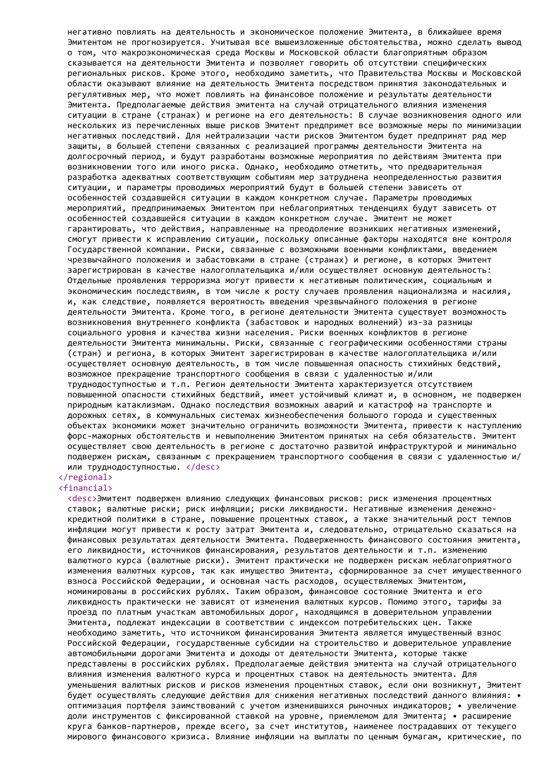негативно повлиять на деятельность и экономическое положение Эмитента, в ближайшее время Эмитентом не прогнозируется. Учитывая все вышеизложенные обстоятельства, можно сделать вывод о том, что макроэкономическая среда Москвы и Московской области благоприятным образом сказывается на деятельности Эмитента и позволяет говорить об отсутствии специфических региональных рисков. Кроме этого, необходимо заметить, что Правительства Москвы и Московской области оказывают влияние на деятельность Эмитента посредством принятия законодательных и регулятивных мер, что может повлиять на финансовое положение и результаты деятельности Эмитента. Предполагаемые действия эмитента на случай отрицательного влияния изменения ситуации в стране (странах) и регионе на его деятельность: В случае возникновения одного или нескольких из перечисленных выше рисков Эмитент предпримет все возможные меры по минимизации негативных последствий. Для нейтрализации части рисков Эмитентом будет предпринят ряд мер защиты, в большей степени связанных с реализацией программы деятельности Эмитента на долгосрочный период, и будут разработаны возможные мероприятия по действиям Эмитента при возникновении того или иного риска. Однако, необходимо отметить, что предварительная разработка адекватных соответствующим событиям мер затруднена неопределенностью развития ситуации, и параметры проводимых мероприятий будут в большей степени зависеть от особенностей создавшейся ситуации в каждом конкретном случае. Параметры проводимых мероприятий, предпринимаемых Эмитентом при неблагоприятных тенденциях будут зависеть от особенностей создавшейся ситуации в каждом конкретном случае. Эмитент не может гарантировать, что действия, направленные на преодоление возникших негативных изменений, смогут привести к исправлению ситуации, поскольку описанные факторы находятся вне контроля Государственной компании. Риски, связанные с возможными военными конфликтами, введением чрезвычайного положения и забастовками в стране (странах) и регионе, в которых Эмитент зарегистрирован в качестве налогоплательщика и/или осуществляет основную деятельность: Отдельные проявления терроризма могут привести к негативным политическим, социальным и экономическим последствиям, в том числе к росту случаев проявления национализма и насилия, и, как следствие, появляется вероятность введения чрезвычайного положения в регионе деятельности Эмитента. Кроме того, в регионе деятельности Эмитента существует возможность возникновения внутреннего конфликта (забастовок и народных волнений) из-за разницы социального уровня и качества жизни населения. Риски военных конфликтов в регионе деятельности Эмитента минимальны. Риски, связанные с географическими особенностями страны (стран) и региона, в которых Эмитент зарегистрирован в качестве налогоплательщика и/или осуществляет основную деятельность, в том числе повышенная опасность стихийных бедствий, возможное прекращение транспортного сообщения в связи с удаленностью и/или труднодоступностью и т.п. Регион деятельности Эмитента характеризуется отсутствием повышенной опасности стихийных бедствий, имеет устойчивый климат и, в основном, не подвержен природным катаклизмам. Однако последствия возможных аварий и катастроф на транспорте и дорожных сетях, в коммунальных системах жизнеобеспечения большого города и существенных объектах экономики может значительно ограничить возможности Эмитента, привести к наступлению форс-мажорных обстоятельств и невыполнению Эмитентом принятых на себя обязательств. Эмитент осуществляет свою деятельность в регионе с достаточно развитой инфраструктурой и минимально подвержен рискам, связанным с прекращением транспортного сообщения в связи с удаленностью и/ или труднодоступностью. </desc>

## </regional>

### <financial>

<desc>Эмитент подвержен влиянию следующих финансовых рисков: риск изменения процентных ставок; валютные риски; риск инфляции; риски ликвидности. Негативные изменения денежнокредитной политики в стране, повышение процентных ставок, а также значительный рост темпов инфляции могут привести к росту затрат Эмитента и, следовательно, отрицательно сказаться на финансовых результатах деятельности Эмитента. Подверженность финансового состояния эмитента, его ликвидности, источников финансирования, результатов деятельности и т.п. изменению валютного курса (валютные риски). Эмитент практически не подвержен рискам неблагоприятного изменения валютных курсов, так как имущество Эмитента, сформированное за счет имущественного взноса Российской Федерации, и основная часть расходов, осуществляемых Эмитентом, номинированы в российских рублях. Таким образом, финансовое состояние Эмитента и его ликвидность практически не зависят от изменения валютных курсов. Помимо этого, тарифы за проезд по платным участкам автомобильных дорог, находящимся в доверительном управлении Эмитента, подлежат индексации в соответствии с индексом потребительских цен. Также необходимо заметить, что источником финансирования Эмитента является имущественный взнос Российской Федерации, государственные субсидии на строительство и доверительное управление автомобильными дорогами Эмитента и доходы от деятельности Эмитента, которые также представлены в российских рублях. Предполагаемые действия эмитента на случай отрицательного влияния изменения валютного курса и процентных ставок на деятельность эмитента. Для уменьшения валютных рисков и рисков изменения процентных ставок, если они возникнут, Эмитент будет осуществлять следующие действия для снижения негативных последствий данного влияния: • оптимизация портфеля заимствований с учетом изменившихся рыночных индикаторов; • увеличение доли инструментов с фиксированной ставкой на уровне, приемлемом для Эмитента; • расширение круга банков-партнеров, прежде всего, за счет институтов, наименее пострадавших от текущего мирового финансового кризиса. Влияние инфляции на выплаты по ценным бумагам, критические, по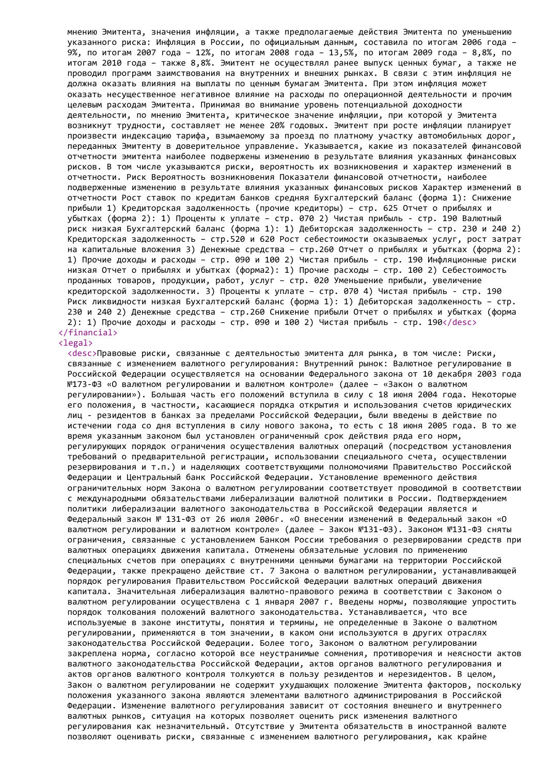мнению Эмитента, значения инфляции, а также предполагаемые действия Эмитента по уменьшению указанного риска: Инфляция в России, по официальным данным, составила по итогам 2006 года – 9%, по итогам 2007 года – 12%, по итогам 2008 года – 13,5%, по итогам 2009 года – 8,8%, по итогам 2010 года – также 8,8%. Эмитент не осуществлял ранее выпуск ценных бумаг, а также не проводил программ заимствования на внутренних и внешних рынках. В связи с этим инфляция не должна оказать влияния на выплаты по ценным бумагам Эмитента. При этом инфляция может оказать несущественное негативное влияние на расходы по операционной деятельности и прочим целевым расходам Эмитента. Принимая во внимание уровень потенциальной доходности деятельности, по мнению Эмитента, критическое значение инфляции, при которой у Эмитента возникнут трудности, составляет не менее 20% годовых. Эмитент при росте инфляции планирует произвести индексацию тарифа, взымаемому за проезд по платному участку автомобильных дорог, переданных Эмитенту в доверительное управление. Указывается, какие из показателей финансовой отчетности эмитента наиболее подвержены изменению в результате влияния указанных финансовых рисков. В том числе указываются риски, вероятность их возникновения и характер изменений в отчетности. Риск Вероятность возникновения Показатели финансовой отчетности, наиболее подверженные изменению в результате влияния указанных финансовых рисков Характер изменений в отчетности Рост ставок по кредитам банков средняя Бухгалтерский баланс (форма 1): Снижение прибыли 1) Кредиторская задолженность (прочие кредиторы) – стр. 625 Отчет о прибылях и убытках (форма 2): 1) Проценты к уплате – стр. 070 2) Чистая прибыль - стр. 190 Валютный риск низкая Бухгалтерский баланс (форма 1): 1) Дебиторская задолженность – стр. 230 и 240 2) Кредиторская задолженность – стр.520 и 620 Рост себестоимости оказываемых услуг, рост затрат на капитальные вложения 3) Денежные средства – стр.260 Отчет о прибылях и убытках (форма 2): 1) Прочие доходы и расходы – стр. 090 и 100 2) Чистая прибыль - стр. 190 Инфляционные риски низкая Отчет о прибылях и убытках (форма2): 1) Прочие расходы – стр. 100 2) Себестоимость проданных товаров, продукции, работ, услуг – стр. 020 Уменьшение прибыли, увеличение кредиторской задолженности. 3) Проценты к уплате – стр. 070 4) Чистая прибыль - стр. 190 Риск ликвидности низкая Бухгалтерский баланс (форма 1): 1) Дебиторская задолженность – стр. 230 и 240 2) Денежные средства – стр.260 Снижение прибыли Отчет о прибылях и убытках (форма 2): 1) Прочие доходы и расходы – стр. 090 и 100 2) Чистая прибыль - стр. 190</desc> </financial>

#### <legal>

<desc>Правовые риски, связанные с деятельностью эмитента для рынка, в том числе: Риски, связанные с изменением валютного регулирования: Внутренний рынок: Валютное регулирование в Российской Федерации осуществляется на основании Федерального закона от 10 декабря 2003 года №173-ФЗ «О валютном регулировании и валютном контроле» (далее - «Закон о валютном регулировании»). Большая часть его положений вступила в силу с 18 июня 2004 года. Некоторые его положения, в частности, касающиеся порядка открытия и использования счетов юридических лиц - резидентов в банках за пределами Российской Федерации, были введены в действие по истечении года со дня вступления в силу нового закона, то есть с 18 июня 2005 года. В то же время указанным законом был установлен ограниченный срок действия ряда его норм, регулирующих порядок ограничения осуществления валютных операций (посредством установления требований о предварительной регистрации, использовании специального счета, осуществлении резервирования и т.п.) и наделяющих соответствующими полномочиями Правительство Российской Федерации и Центральный банк Российской Федерации. Установление временного действия ограничительных норм Закона о валютном регулировании соответствует проводимой в соответствии с международными обязательствами либерализации валютной политики в России. Подтверждением политики либерализации валютного законодательства в Российской Федерации является и Федеральный закон № 131-ФЗ от 26 июля 2006г. «О внесении изменений в Федеральный закон «О валютном регулировании и валютном контроле» (далее – Закон №131-ФЗ). Законом №131-ФЗ сняты ограничения, связанные с установлением Банком России требования о резервировании средств при валютных операциях движения капитала. Отменены обязательные условия по применению специальных счетов при операциях с внутренними ценными бумагами на территории Российской Федерации, также прекращено действие ст. 7 Закона о валютном регулировании, устанавливающей порядок регулирования Правительством Российской Федерации валютных операций движения капитала. Значительная либерализация валютно-правового режима в соответствии с Законом о валютном регулировании осуществлена с 1 января 2007 г. Введены нормы, позволяющие упростить порядок толкования положений валютного законодательства. Устанавливается, что все используемые в законе институты, понятия и термины, не определенные в Законе о валютном регулировании, применяются в том значении, в каком они используются в других отраслях законодательства Российской Федерации. Более того, Законом о валютном регулировании закреплена норма, согласно которой все неустранимые сомнения, противоречия и неясности актов валютного законодательства Российской Федерации, актов органов валютного регулирования и актов органов валютного контроля толкуются в пользу резидентов и нерезидентов. В целом, Закон о валютном регулировании не содержит ухудшающих положение Эмитента факторов, поскольку положения указанного закона являются элементами валютного администрирования в Российской Федерации. Изменение валютного регулирования зависит от состояния внешнего и внутреннего валютных рынков, ситуация на которых позволяет оценить риск изменения валютного регулирования как незначительный. Отсутствие у Эмитента обязательств в иностранной валюте позволяют оценивать риски, связанные с изменением валютного регулирования, как крайне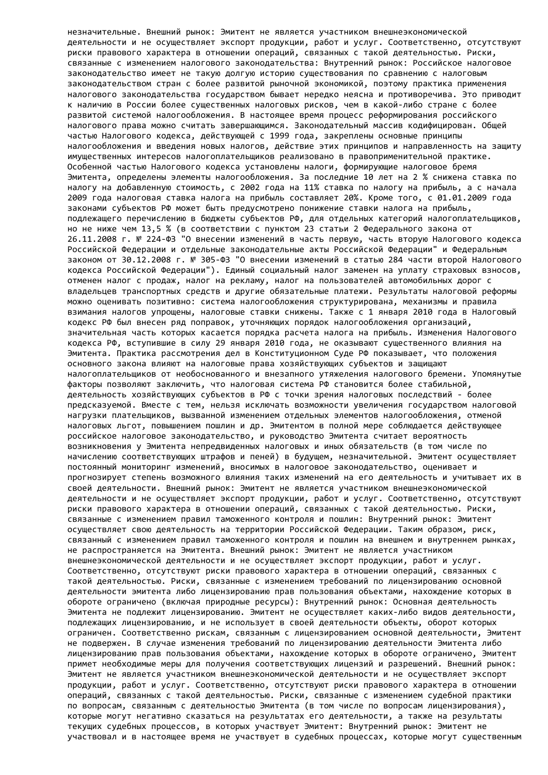незначительные. Внешний рынок: Эмитент не является участником внешнеэкономической деятельности и не осуществляет экспорт продукции, работ и услуг. Соответственно, отсутствуют риски правового характера в отношении операций, связанных с такой деятельностью. Риски, связанные с изменением налогового законодательства: Внутренний рынок: Российское налоговое законодательство имеет не такую долгую историю существования по сравнению с налоговым законодательством стран с более развитой рыночной экономикой, поэтому практика применения налогового законодательства государством бывает нередко неясна и противоречива. Это приводит к наличию в России более существенных налоговых рисков, чем в какой-либо стране с более развитой системой налогообложения. В настоящее время процесс реформирования российского налогового права можно считать завершающимся. Законодательный массив кодифицирован. Общей частью Налогового кодекса, действующей с 1999 года, закреплены основные принципы налогообложения и введения новых налогов, действие этих принципов и направленность на защиту имущественных интересов налогоплательщиков реализовано в правоприменительной практике. Особенной частью Налогового кодекса установлены налоги, формирующие налоговое бремя Эмитента, определены элементы налогообложения. За последние 10 лет на 2 % снижена ставка по налогу на добавленную стоимость, с 2002 года на 11% ставка по налогу на прибыль, а с начала 2009 года налоговая ставка налога на прибыль составляет 20%. Кроме того, с 01.01.2009 года законами субъектов РФ может быть предусмотрено понижение ставки налога на прибыль, подлежащего перечислению в бюджеты субъектов РФ, для отдельных категорий налогоплательщиков, но не ниже чем 13,5 % (в соответствии с пунктом 23 статьи 2 Федерального закона от 26.11.2008 г. № 224-ФЗ "О внесении изменений в часть первую, часть вторую Налогового кодекса Российской Федерации и отдельные законодательные акты Российской Федерации" и Федеральным законом от 30.12.2008 г. № 305-ФЗ "О внесении изменений в статью 284 части второй Налогового кодекса Российской Федерации"). Единый социальный налог заменен на уплату страховых взносов, отменен налог с продаж, налог на рекламу, налог на пользователей автомобильных дорог с владельцев транспортных средств и другие обязательные платежи. Результаты налоговой реформы можно оценивать позитивно: система налогообложения структурирована, механизмы и правила взимания налогов упрощены, налоговые ставки снижены. Также с 1 января 2010 года в Налоговый кодекс РФ был внесен ряд поправок, уточняющих порядок налогообложения организаций, значительная часть которых касается порядка расчета налога на прибыль. Изменения Налогового кодекса РФ, вступившие в силу 29 января 2010 года, не оказывают существенного влияния на Эмитента. Практика рассмотрения дел в Конституционном Суде РФ показывает, что положения основного закона влияют на налоговые права хозяйствующих субъектов и защищают налогоплательщиков от необоснованного и внезапного утяжеления налогового бремени. Упомянутые факторы позволяют заключить, что налоговая система РФ становится более стабильной, деятельность хозяйствующих субъектов в РФ с точки зрения налоговых последствий - более предсказуемой. Вместе с тем, нельзя исключать возможности увеличения государством налоговой нагрузки плательщиков, вызванной изменением отдельных элементов налогообложения, отменой налоговых льгот, повышением пошлин и др. Эмитентом в полной мере соблюдается действующее российское налоговое законодательство, и руководство Эмитента считает вероятность возникновения у Эмитента непредвиденных налоговых и иных обязательств (в том числе по начислению соответствующих штрафов и пеней) в будущем, незначительной. Эмитент осуществляет постоянный мониторинг изменений, вносимых в налоговое законодательство, оценивает и прогнозирует степень возможного влияния таких изменений на его деятельность и учитывает их в своей деятельности. Внешний рынок: Эмитент не является участником внешнеэкономической деятельности и не осуществляет экспорт продукции, работ и услуг. Соответственно, отсутствуют риски правового характера в отношении операций, связанных с такой деятельностью. Риски, связанные с изменением правил таможенного контроля и пошлин: Внутренний рынок: Эмитент осуществляет свою деятельность на территории Российской Федерации. Таким образом, риск, связанный с изменением правил таможенного контроля и пошлин на внешнем и внутреннем рынках, не распространяется на Эмитента. Внешний рынок: Эмитент не является участником внешнеэкономической деятельности и не осуществляет экспорт продукции, работ и услуг. Соответственно, отсутствуют риски правового характера в отношении операций, связанных с такой деятельностью. Риски, связанные с изменением требований по лицензированию основной деятельности эмитента либо лицензированию прав пользования объектами, нахождение которых в обороте ограничено (включая природные ресурсы): Внутренний рынок: Основная деятельность Эмитента не подлежит лицензированию. Эмитент не осуществляет каких-либо видов деятельности, подлежащих лицензированию, и не использует в своей деятельности объекты, оборот которых ограничен. Соответственно рискам, связанным с лицензированием основной деятельности, Эмитент не подвержен. В случае изменения требований по лицензированию деятельности Эмитента либо лицензированию прав пользования объектами, нахождение которых в обороте ограничено, Эмитент примет необходимые меры для получения соответствующих лицензий и разрешений. Внешний рынок: Эмитент не является участником внешнеэкономической деятельности и не осуществляет экспорт продукции, работ и услуг. Соответственно, отсутствуют риски правового характера в отношении операций, связанных с такой деятельностью. Риски, связанные с изменением судебной практики по вопросам, связанным с деятельностью Эмитента (в том числе по вопросам лицензирования), которые могут негативно сказаться на результатах его деятельности, а также на результаты текущих судебных процессов, в которых участвует Эмитент: Внутренний рынок: Эмитент не участвовал и в настоящее время не участвует в судебных процессах, которые могут существенным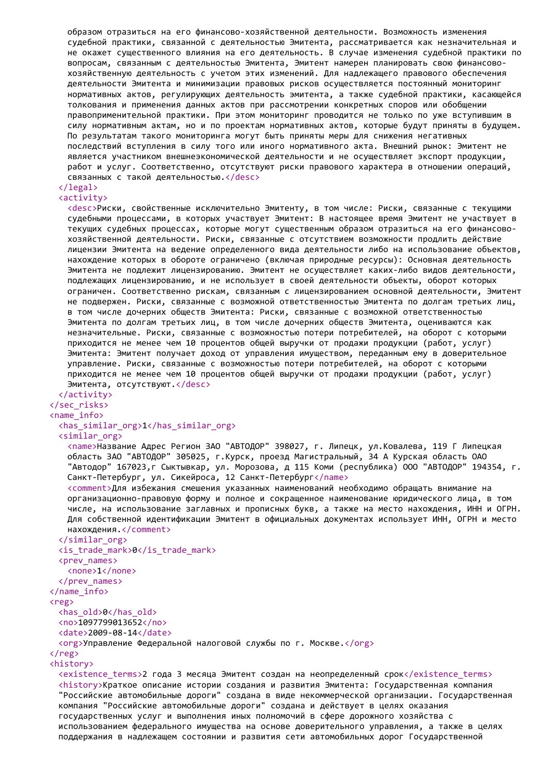образом отразиться на его финансово-хозяйственной деятельности. Возможность изменения судебной практики, связанной с деятельностью Эмитента, рассматривается как незначительная и не окажет существенного влияния на его деятельность. В случае изменения судебной практики по вопросам, связанным с деятельностью Эмитента, Эмитент намерен планировать свою финансовохозяйственную деятельность с учетом этих изменений. Для надлежащего правового обеспечения деятельности Эмитента и минимизации правовых рисков осуществляется постоянный мониторинг нормативных актов, регулирующих деятельность эмитента, а также судебной практики, касающейся толкования и применения данных актов при рассмотрении конкретных споров или обобщении правоприменительной практики. При этом мониторинг проводится не только по уже вступившим в силу нормативным актам, но и по проектам нормативных актов, которые будут приняты в будущем. По результатам такого мониторинга могут быть приняты меры для снижения негативных последствий вступления в силу того или иного нормативного акта. Внешний рынок: Эмитент не является участником внешнеэкономической деятельности и не осуществляет экспорт продукции, работ и услуг. Соответственно, отсутствуют риски правового характера в отношении операций, связанных с такой деятельностью.</desc>

## </legal>

#### <activity>

<desc>Риски, свойственные исключительно Эмитенту, в том числе: Риски, связанные с текущими судебными процессами, в которых участвует Эмитент: В настоящее время Эмитент не участвует в текущих судебных процессах, которые могут существенным образом отразиться на его финансовохозяйственной деятельности. Риски, связанные с отсутствием возможности продлить действие лицензии Эмитента на ведение определенного вида деятельности либо на использование объектов, нахождение которых в обороте ограничено (включая природные ресурсы): Основная деятельность Эмитента не подлежит лицензированию. Эмитент не осуществляет каких-либо видов деятельности, подлежащих лицензированию, и не использует в своей деятельности объекты, оборот которых ограничен. Соответственно рискам, связанным с лицензированием основной деятельности, Эмитент не подвержен. Риски, связанные с возможной ответственностью Эмитента по долгам третьих лиц, в том числе дочерних обществ Эмитента: Риски, связанные с возможной ответственностью Эмитента по долгам третьих лиц, в том числе дочерних обществ Эмитента, оцениваются как незначительные. Риски, связанные с возможностью потери потребителей, на оборот с которыми приходится не менее чем 10 процентов общей выручки от продажи продукции (работ, услуг) Эмитента: Эмитент получает доход от управления имуществом, переданным ему в доверительное управление. Риски, связанные с возможностью потери потребителей, на оборот с которыми приходится не менее чем 10 процентов общей выручки от продажи продукции (работ, услуг) Эмитента, отсутствуют.</desc>

# </activity>

</sec\_risks> <name\_info>

## <has\_similar\_org>1</has\_similar\_org> <similar\_org>

<name>Название Адрес Регион ЗАО "АВТОДОР" 398027, г. Липецк, ул.Ковалева, 119 Г Липецкая область ЗАО "АВТОДОР" 305025, г.Курск, проезд Магистральный, 34 А Курская область ОАО "Автодор" 167023,г Сыктывкар, ул. Морозова, д 115 Коми (республика) ООО "АВТОДОР" 194354, г. Санкт-Петербург, ул. Сикейроса, 12 Санкт-Петербург</name>

<comment>Для избежания смешения указанных наименований необходимо обращать внимание на организационно-правовую форму и полное и сокращенное наименование юридического лица, в том числе, на использование заглавных и прописных букв, а также на место нахождения, ИНН и ОГРН. Для собственной идентификации Эмитент в официальных документах использует ИНН, ОГРН и место нахождения.</comment>

```
</similar_org>
  <is_trade_mark>0</is_trade_mark>
  <prev_names>
   <none>1</none>
  </prev_names>
</name_info>
<reg>
  <has_old>0</has_old>
  <no>1097799013652</no>
  <date>2009-08-14</date>
  <org>Управление Федеральной налоговой службы по г. Москве.</org>
\langle/reg\rangle<history>
  <existence terms>2 года 3 месяца Эмитент создан на неопределенный срок</existence_terms>
```
<history>Краткое описание истории создания и развития Эмитента: Государственная компания "Российские автомобильные дороги" создана в виде некоммерческой организации. Государственная компания "Российские автомобильные дороги" создана и действует в целях оказания государственных услуг и выполнения иных полномочий в сфере дорожного хозяйства с использованием федерального имущества на основе доверительного управления, а также в целях поддержания в надлежащем состоянии и развития сети автомобильных дорог Государственной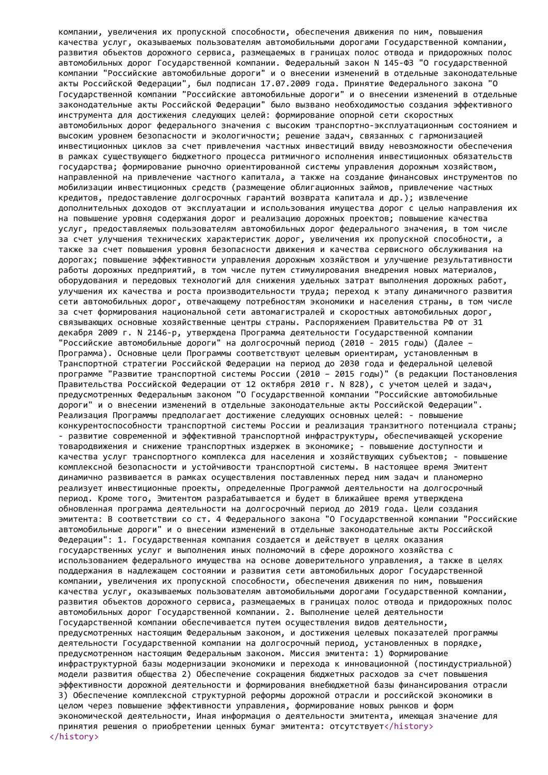компании, увеличения их пропускной способности, обеспечения движения по ним, повышения качества услуг, оказываемых пользователям автомобильными дорогами Государственной компании, развития объектов дорожного сервиса, размещаемых в границах полос отвода и придорожных полос автомобильных дорог Государственной компании. Федеральный закон N 145-ФЗ "О государственной компании "Российские автомобильные дороги" и о внесении изменений в отдельные законодательные акты Российской Федерации", был подписан 17.07.2009 года. Принятие Федерального закона "О Государственной компании "Российские автомобильные дороги" и о внесении изменений в отдельные законодательные акты Российской Федерации" было вызвано необходимостью создания эффективного инструмента для достижения следующих целей: формирование опорной сети скоростных автомобильных дорог федерального значения с высоким транспортно-эксплуатационным состоянием и высоким уровнем безопасности и экологичности; решение задач, связанных с гармонизацией инвестиционных циклов за счет привлечения частных инвестиций ввиду невозможности обеспечения в рамках существующего бюджетного процесса ритмичного исполнения инвестиционных обязательств государства; формирование рыночно ориентированной системы управления дорожным хозяйством, направленной на привлечение частного капитала, а также на создание финансовых инструментов по мобилизации инвестиционных средств (размещение облигационных займов, привлечение частных кредитов, предоставление долгосрочных гарантий возврата капитала и др.); извлечение дополнительных доходов от эксплуатации и использования имущества дорог с целью направления их на повышение уровня содержания дорог и реализацию дорожных проектов; повышение качества услуг, предоставляемых пользователям автомобильных дорог федерального значения, в том числе за счет улучшения технических характеристик дорог, увеличения их пропускной способности, а также за счет повышения уровня безопасности движения и качества сервисного обслуживания на дорогах; повышение эффективности управления дорожным хозяйством и улучшение результативности работы дорожных предприятий, в том числе путем стимулирования внедрения новых материалов, оборудования и передовых технологий для снижения удельных затрат выполнения дорожных работ, улучшения их качества и роста производительности труда; переход к этапу динамичного развития сети автомобильных дорог, отвечающему потребностям экономики и населения страны, в том числе за счет формирования национальной сети автомагистралей и скоростных автомобильных дорог, связывающих основные хозяйственные центры страны. Распоряжением Правительства РФ от 31 декабря 2009 г. N 2146-р, утверждена Программа деятельности Государственной компании "Российские автомобильные дороги" на долгосрочный период (2010 - 2015 годы) (Далее – Программа). Основные цели Программы соответствуют целевым ориентирам, установленным в Транспортной стратегии Российской Федерации на период до 2030 года и федеральной целевой программе "Развитие транспортной системы России (2010 – 2015 годы)" (в редакции Постановления Правительства Российской Федерации от 12 октября 2010 г. N 828), с учетом целей и задач, предусмотренных Федеральным законом "О Государственной компании "Российские автомобильные дороги" и о внесении изменений в отдельные законодательные акты Российской Федерации". Реализация Программы предполагает достижение следующих основных целей: - повышение конкурентоспособности транспортной системы России и реализация транзитного потенциала страны; - развитие современной и эффективной транспортной инфраструктуры, обеспечивающей ускорение товародвижения и снижение транспортных издержек в экономике; - повышение доступности и качества услуг транспортного комплекса для населения и хозяйствующих субъектов; - повышение комплексной безопасности и устойчивости транспортной системы. В настоящее время Эмитент динамично развивается в рамках осуществления поставленных перед ним задач и планомерно реализует инвестиционные проекты, определенные Программой деятельности на долгосрочный период. Кроме того, Эмитентом разрабатывается и будет в ближайшее время утверждена обновленная программа деятельности на долгосрочный период до 2019 года. Цели создания эмитента: В соответствии со ст. 4 Федерального закона "О Государственной компании "Российские автомобильные дороги" и о внесении изменений в отдельные законодательные акты Российской Федерации": 1. Государственная компания создается и действует в целях оказания государственных услуг и выполнения иных полномочий в сфере дорожного хозяйства с использованием федерального имущества на основе доверительного управления, а также в целях поддержания в надлежащем состоянии и развития сети автомобильных дорог Государственной компании, увеличения их пропускной способности, обеспечения движения по ним, повышения качества услуг, оказываемых пользователям автомобильными дорогами Государственной компании, развития объектов дорожного сервиса, размещаемых в границах полос отвода и придорожных полос автомобильных дорог Государственной компании. 2. Выполнение целей деятельности Государственной компании обеспечивается путем осуществления видов деятельности, предусмотренных настоящим Федеральным законом, и достижения целевых показателей программы деятельности Государственной компании на долгосрочный период, установленных в порядке, предусмотренном настоящим Федеральным законом. Миссия эмитента: 1) Формирование инфраструктурной базы модернизации экономики и перехода к инновационной (постиндустриальной) модели развития общества 2) Обеспечение сокращения бюджетных расходов за счет повышения эффективности дорожной деятельности и формирования внебюджетной базы финансирования отрасли 3) Обеспечение комплексной структурной реформы дорожной отрасли и российской экономики в целом через повышение эффективности управления, формирование новых рынков и форм экономической деятельности, Иная информация о деятельности эмитента, имеющая значение для принятия решения о приобретении ценных бумаг эмитента: отсутствует</history> </history>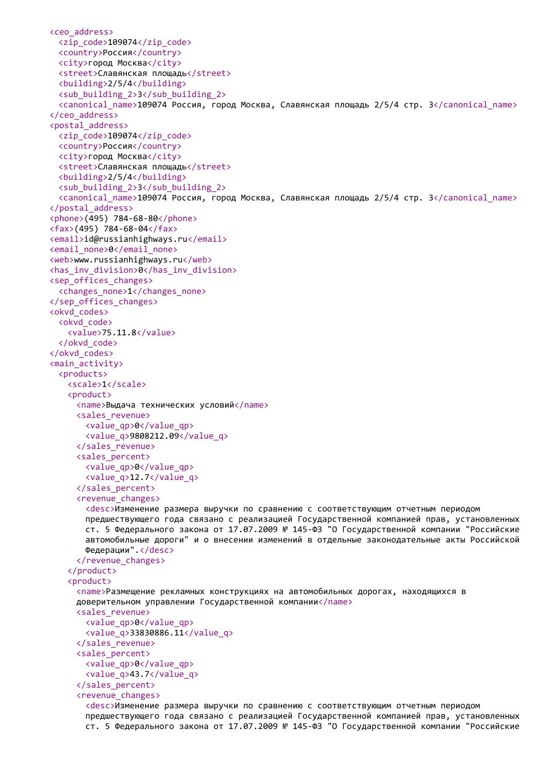```
<ceo_address>
  <zip_code>109074</zip_code>
  <country>Россия</country>
  <city>город Москва</city>
  <street>Славянская площадь</street>
  <building>2/5/4</building>
  <sub_building_2>3</sub_building_2>
  <canonical_name>109074 Россия, город Москва, Славянская площадь 2/5/4 стр. 3</canonical_name>
</ceo_address>
<postal_address>
 <zip_code>109074</zip_code>
  <country>Россия</country>
  <city>город Москва</city>
  <street>Славянская площадь</street>
  <building>2/5/4</building>
  <sub_building_2>3</sub_building_2>
  <canonical_name>109074 Россия, город Москва, Славянская площадь 2/5/4 стр. 3</canonical_name>
</postal_address>
<phone>(495) 784-68-80</phone>
<fax>(495) 784-68-04</fax>
<email>id@russianhighways.ru</email>
<email_none>0</email_none>
<web>www.russianhighways.ru</web>
<has_inv_division>0</has_inv_division>
<sep_offices_changes>
  <changes_none>1</changes_none>
</sep_offices_changes>
<okvd_codes>
  <okvd_code>
   <value>75.11.8</value>
  </okvd_code>
</okvd_codes>
<main_activity>
  <products>
   <scale>1</scale>
   <product>
     <name>Выдача технических условий</name>
     <sales_revenue>
       <value_qp>0</value_qp>
       <value_q>9808212.09</value_q>
     </sales_revenue>
     <sales_percent>
       <value_qp>0</value_qp>
       <value_q>12.7</value_q>
     </sales_percent>
     <revenue_changes>
       <desc>Изменение размера выручки по сравнению с соответствующим отчетным периодом
       предшествующего года связано с реализацией Государственной компанией прав, установленных
       ст. 5 Федерального закона от 17.07.2009 № 145-ФЗ "О Государственной компании "Российские
       автомобильные дороги" и о внесении изменений в отдельные законодательные акты Российской
       Федерации".</desc>
     </revenue_changes>
   </product>
   <product>
     <name>Размещение рекламных конструкциях на автомобильных дорогах, находящихся в
     доверительном управлении Государственной компании</name>
     <sales_revenue>
       <value_qp>0</value_qp>
       <value_q>33830886.11</value_q>
     </sales_revenue>
     <sales_percent>
       <value_qp>0</value_qp>
       <value_q>43.7</value_q>
     </sales_percent>
     <revenue_changes>
       <desc>Изменение размера выручки по сравнению с соответствующим отчетным периодом
       предшествующего года связано с реализацией Государственной компанией прав, установленных
       ст. 5 Федерального закона от 17.07.2009 № 145-ФЗ "О Государственной компании "Российские
```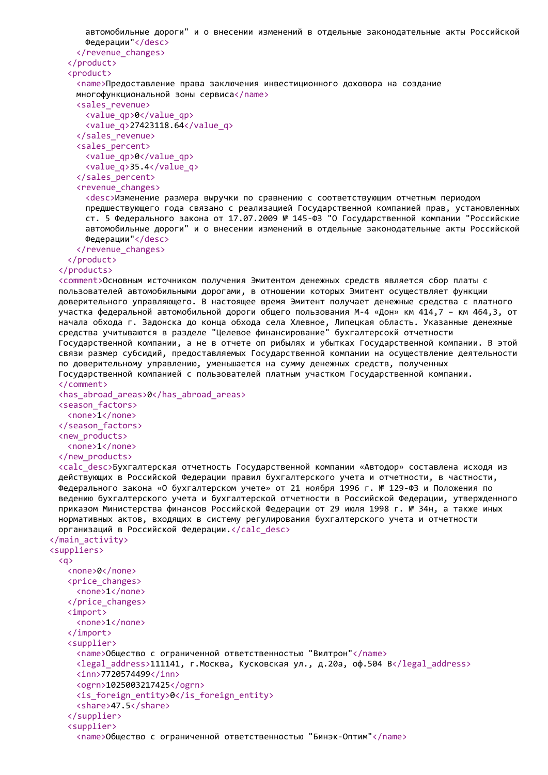```
автомобильные дороги" и о внесении изменений в отдельные законодательные акты Российской
       Федерации"</desc>
     </revenue_changes>
   </product>
   <product>
     <name>Предоставление права заключения инвестиционного доховора на создание
     многофункциональной зоны сервиса</name>
     <sales_revenue>
       <value_qp>0</value_qp>
       <value_q>27423118.64</value_q>
     </sales_revenue>
     <sales_percent>
       <value_qp>0</value_qp>
       <value_q>35.4</value_q>
     </sales_percent>
     <revenue_changes>
       <desc>Изменение размера выручки по сравнению с соответствующим отчетным периодом
       предшествующего года связано с реализацией Государственной компанией прав, установленных
       ст. 5 Федерального закона от 17.07.2009 № 145-ФЗ "О Государственной компании "Российские
       автомобильные дороги" и о внесении изменений в отдельные законодательные акты Российской
       Федерации"</desc>
     </revenue_changes>
   </product>
 </products>
 <comment>Основным источником получения Эмитентом денежных средств является сбор платы с
 пользователей автомобильными дорогами, в отношении которых Эмитент осуществляет функции
 доверительного управляющего. В настоящее время Эмитент получает денежные средства с платного
 участка федеральной автомобильной дороги общего пользования М-4 «Дон» км 414,7 – км 464,3, от
 начала обхода г. Задонска до конца обхода села Хлевное, Липецкая область. Указанные денежные
 средства учитываются в разделе "Целевое финансирование" бухгалтерсокй отчетности
 Государственной компании, а не в отчете оп рибылях и убытках Государственной компании. В этой
 связи размер субсидий, предоставляемых Государственной компании на осуществление деятельности
 по доверительному управлению, уменьшается на сумму денежных средств, полученных
 Государственной компанией с пользователей платным участком Государственной компании.
 </comment>
 <has_abroad_areas>0</has_abroad_areas>
 <season_factors>
   <none>1</none>
 </season_factors>
 <new_products>
   <none>1</none>
 </new_products>
 <calc desc>Бухгалтерская отчетность Государственной компании «Автодор» составлена исходя из
 действующих в Российской Федерации правил бухгалтерского учета и отчетности, в частности,
 Федерального закона «О бухгалтерском учете» от 21 ноября 1996 г. № 129-ФЗ и Положения по
 ведению бухгалтерского учета и бухгалтерской отчетности в Российской Федерации, утвержденного
 приказом Министерства финансов Российской Федерации от 29 июля 1998 г. № 34н, а также иных
 нормативных актов, входящих в систему регулирования бухгалтерского учета и отчетности
 организаций в Российской Федерации.</calc_desc>
</main_activity>
<suppliers>
 \langle a \rangle<none>0</none>
   <price_changes>
     <none>1</none>
   </price_changes>
   <import>
     <none>1</none>
   </import>
   <supplier>
     <name>Общество с ограниченной ответственностью "Вилтрон"</name>
     <legal_address>111141, г.Москва, Кусковская ул., д.20а, оф.504 В</legal_address>
     <inn>7720574499</inn>
     <ogrn>1025003217425</ogrn>
     <is_foreign_entity>0</is_foreign_entity>
     <share>47.5</share>
   </supplier>
   <supplier>
     <name>Общество с ограниченной ответственностью "Бинэк-Оптим"</name>
```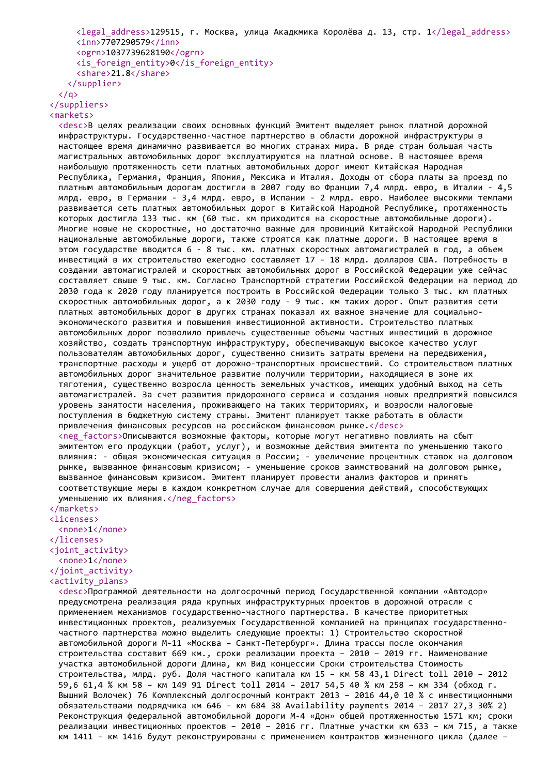```
<legal_address>129515, г. Москва, улица Акадкмика Королёва д. 13, стр. 1</legal_address>
   <inn>7707290579</inn>
   <ogrn>1037739628190</ogrn>
   <is_foreign_entity>0</is_foreign_entity>
   <share>21.8</share>
 </supplier>
\langle/q>
```
### </suppliers> <markets>

<desc>В целях реализации своих основных функций Эмитент выделяет рынок платной дорожной инфраструктуры. Государственно-частное партнерство в области дорожной инфраструктуры в настоящее время динамично развивается во многих странах мира. В ряде стран большая часть магистральных автомобильных дорог эксплуатируются на платной основе. В настоящее время наибольшую протяженность сети платных автомобильных дорог имеют Китайская Народная Республика, Германия, Франция, Япония, Мексика и Италия. Доходы от сбора платы за проезд по платным автомобильным дорогам достигли в 2007 году во Франции 7,4 млрд. евро, в Италии - 4,5 млрд. евро, в Германии - 3,4 млрд. евро, в Испании - 2 млрд. евро. Наиболее высокими темпами развивается сеть платных автомобильных дорог в Китайской Народной Республике, протяженность которых достигла 133 тыс. км (60 тыс. км приходится на скоростные автомобильные дороги). Многие новые не скоростные, но достаточно важные для провинций Китайской Народной Республики национальные автомобильные дороги, также строятся как платные дороги. В настоящее время в этом государстве вводится 6 - 8 тыс. км. платных скоростных автомагистралей в год, а объем инвестиций в их строительство ежегодно составляет 17 - 18 млрд. долларов США. Потребность в создании автомагистралей и скоростных автомобильных дорог в Российской Федерации уже сейчас составляет свыше 9 тыс. км. Согласно Транспортной стратегии Российской Федерации на период до 2030 года к 2020 году планируется построить в Российской Федерации только 3 тыс. км платных скоростных автомобильных дорог, а к 2030 году - 9 тыс. км таких дорог. Опыт развития сети платных автомобильных дорог в других странах показал их важное значение для социальноэкономического развития и повышения инвестиционной активности. Строительство платных автомобильных дорог позволило привлечь существенные объемы частных инвестиций в дорожное хозяйство, создать транспортную инфраструктуру, обеспечивающую высокое качество услуг пользователям автомобильных дорог, существенно снизить затраты времени на передвижения, транспортные расходы и ущерб от дорожно-транспортных происшествий. Со строительством платных автомобильных дорог значительное развитие получили территории, находящиеся в зоне их тяготения, существенно возросла ценность земельных участков, имеющих удобный выход на сеть автомагистралей. За счет развития придорожного сервиса и создания новых предприятий повысился уровень занятости населения, проживающего на таких территориях, и возросли налоговые поступления в бюджетную систему страны. Эмитент планирует также работать в области привлечения финансовых ресурсов на российском финансовом рынке.</desc> <neg\_factors>Описываются возможные факторы, которые могут негативно повлиять на сбыт эмитентом его продукции (работ, услуг), и возможные действия эмитента по уменьшению такого влияния: - общая экономическая ситуация в России; - увеличение процентных ставок на долговом рынке, вызванное финансовым кризисом; - уменьшение сроков заимствований на долговом рынке, вызванное финансовым кризисом. Эмитент планирует провести анализ факторов и принять соответствующие меры в каждом конкретном случае для совершения действий, способствующих

уменьшению их влияния.</neg\_factors> </markets>

<licenses> <none>1</none> </licenses> <joint\_activity> <none>1</none> </joint\_activity> <activity\_plans>

<desc>Программой деятельности на долгосрочный период Государственной компании «Автодор» предусмотрена реализация ряда крупных инфраструктурных проектов в дорожной отрасли с применением механизмов государственно-частного партнерства. В качестве приоритетных инвестиционных проектов, реализуемых Государственной компанией на принципах государственночастного партнерства можно выделить следующие проекты: 1) Строительство скоростной автомобильной дороги М-11 «Москва – Санкт-Петербург». Длина трассы после окончания строительства составит 669 км., сроки реализации проекта – 2010 – 2019 гг. Наименование участка автомобильной дороги Длина, км Вид концессии Сроки строительства Стоимость строительства, млрд. руб. Доля частного капитала км 15 – км 58 43,1 Direct toll 2010 – 2012 59,6 61,4 % км 58 – км 149 91 Direct toll 2014 – 2017 54,5 40 % км 258 – км 334 (обход г. Вышний Волочек) 76 Комплексный долгосрочный контракт 2013 – 2016 44,0 10 % с инвестиционными обязательствами подрядчика км 646 – км 684 38 Availability payments 2014 – 2017 27,3 30% 2) Реконструкция федеральной автомобильной дороги М-4 «Дон» общей протяженностью 1571 км; сроки реализации инвестиционных проектов – 2010 – 2016 гг. Платные участки км 633 – км 715, а также км 1411 – км 1416 будут реконструированы с применением контрактов жизненного цикла (далее –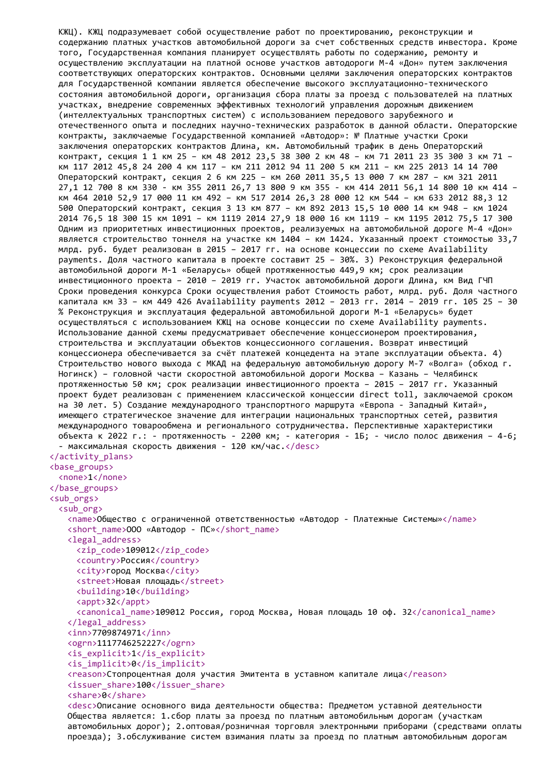КЖЦ). КЖЦ подразумевает собой осуществление работ по проектированию, реконструкции и содержанию платных участков автомобильной дороги за счет собственных средств инвестора. Кроме того, Государственная компания планирует осуществлять работы по содержанию, ремонту и осуществлению эксплуатации на платной основе участков автодороги М-4 «Дон» путем заключения соответствующих операторских контрактов. Основными целями заключения операторских контрактов для Государственной компании является обеспечение высокого эксплуатационно-технического состояния автомобильной дороги, организация сбора платы за проезд с пользователей на платных участках, внедрение современных эффективных технологий управления дорожным движением (интеллектуальных транспортных систем) с использованием передового зарубежного и отечественного опыта и последних научно-технических разработок в данной области. Операторские контракты, заключаемые Государственной компанией «Автодор»: № Платные участки Сроки заключения операторских контрактов Длина, км. Автомобильный трафик в день Операторский контракт, секция 1 1 км 25 – км 48 2012 23,5 38 300 2 км 48 – км 71 2011 23 35 300 3 км 71 – км 117 2012 45,8 24 200 4 км 117 – км 211 2012 94 11 200 5 км 211 – км 225 2013 14 14 700 Операторский контракт, секция 2 6 км 225 – км 260 2011 35,5 13 000 7 км 287 – км 321 2011 27,1 12 700 8 км 330 - км 355 2011 26,7 13 800 9 км 355 - км 414 2011 56,1 14 800 10 км 414 – км 464 2010 52,9 17 000 11 км 492 – км 517 2014 26,3 28 000 12 км 544 – км 633 2012 88,3 12 500 Операторский контракт, секция 3 13 км 877 – км 892 2013 15,5 10 000 14 км 948 – км 1024 2014 76,5 18 300 15 км 1091 – км 1119 2014 27,9 18 000 16 км 1119 – км 1195 2012 75,5 17 300 Одним из приоритетных инвестиционных проектов, реализуемых на автомобильной дороге М-4 «Дон» является строительство тоннеля на участке км 1404 – км 1424. Указанный проект стоимостью 33,7 млрд. руб. будет реализован в 2015 – 2017 гг. на основе концессии по схеме Availability payments. Доля частного капитала в проекте составит 25 – 30%. 3) Реконструкция федеральной автомобильной дороги М-1 «Беларусь» общей протяженностью 449,9 км; срок реализации инвестиционного проекта – 2010 – 2019 гг. Участок автомобильной дороги Длина, км Вид ГЧП Сроки проведения конкурса Сроки осуществления работ Стоимость работ, млрд. руб. Доля частного капитала км 33 – км 449 426 Availability payments 2012 – 2013 гг. 2014 – 2019 гг. 105 25 – 30 % Реконструкция и эксплуатация федеральной автомобильной дороги М-1 «Беларусь» будет осуществляться с использованием КЖЦ на основе концессии по схеме Availability payments. Использование данной схемы предусматривает обеспечение концессионером проектирования, строительства и эксплуатации объектов концессионного соглашения. Возврат инвестиций концессионера обеспечивается за счёт платежей концедента на этапе эксплуатации объекта. 4) Строительство нового выхода с МКАД на федеральную автомобильную дорогу М-7 «Волга» (обход г. Ногинск) – головной части скоростной автомобильной дороги Москва – Казань – Челябинск протяженностью 50 км; срок реализации инвестиционного проекта – 2015 – 2017 гг. Указанный проект будет реализован с применением классической концессии direct toll, заключаемой сроком на 30 лет. 5) Создание международного транспортного маршрута «Европа - Западный Китай», имеющего стратегическое значение для интеграции национальных транспортных сетей, развития международного товарообмена и регионального сотрудничества. Перспективные характеристики объекта к 2022 г.: - протяженность - 2200 км; - категория - 1Б; - число полос движения – 4-6; - максимальная скорость движения - 120 км/час.</desc> </activity\_plans> <base\_groups> <none>1</none> </base\_groups> <sub\_orgs> <sub\_org> <name>Общество с ограниченной ответственностью «Автодор - Платежные Системы»</name> <short name>ООО «Автодор - ПС»</short name> <legal\_address> <zip\_code>109012</zip\_code> <country>Россия</country> <city>город Москва</city> <street>Новая площадь</street> <building>10</building> <appt>32</appt> <canonical\_name>109012 Россия, город Москва, Новая площадь 10 оф. 32</canonical\_name> </legal\_address> <inn>7709874971</inn> <ogrn>1117746252227</ogrn> <is\_explicit>1</is\_explicit> <is\_implicit>0</is\_implicit> <reason>Стопроцентная доля участия Эмитента в уставном капитале лица</reason> <issuer\_share>100</issuer\_share> <share>0</share> <desc>Описание основного вида деятельности общества: Предметом уставной деятельности Общества является: 1.сбор платы за проезд по платным автомобильным дорогам (участкам автомобильных дорог); 2.оптовая/розничная торговля электронными приборами (средствами оплаты

проезда); 3.обслуживание систем взимания платы за проезд по платным автомобильным дорогам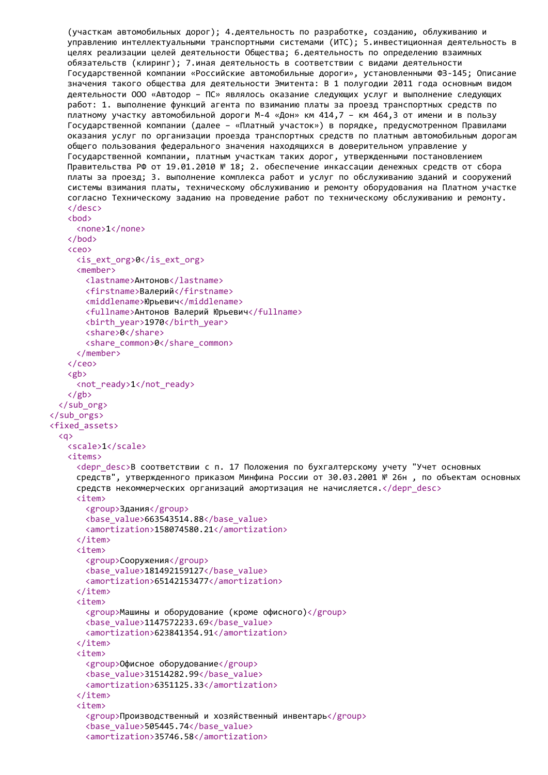```
(участкам автомобильных дорог); 4.деятельность по разработке, созданию, облуживанию и
   управлению интеллектуальными транспортными системами (ИТС); 5.инвестиционная деятельность в
   целях реализации целей деятельности Общества; 6.деятельность по определению взаимных
   обязательств (клиринг); 7.иная деятельность в соответствии с видами деятельности
   Государственной компании «Российские автомобильные дороги», установленными ФЗ-145; Описание
   значения такого общества для деятельности Эмитента: В 1 полугодии 2011 года основным видом
   деятельности ООО «Автодор – ПС» являлось оказание следующих услуг и выполнение следующих
   работ: 1. выполнение функций агента по взиманию платы за проезд транспортных средств по
   платному участку автомобильной дороги М-4 «Дон» км 414,7 – км 464,3 от имени и в пользу
   Государственной компании (далее – «Платный участок») в порядке, предусмотренном Правилами
   оказания услуг по организации проезда транспортных средств по платным автомобильным дорогам
   общего пользования федерального значения находящихся в доверительном управление у
   Государственной компании, платным участкам таких дорог, утвержденными постановлением
   Правительства РФ от 19.01.2010 № 18; 2. обеспечение инкассации денежных средств от сбора
   платы за проезд; 3. выполнение комплекса работ и услуг по обслуживанию зданий и сооружений
   системы взимания платы, техническому обслуживанию и ремонту оборудования на Платном участке
   согласно Техническому заданию на проведение работ по техническому обслуживанию и ремонту.
   </desc>
   <bod>
     <none>1</none>
   </bod>
   <ceo>
     <is_ext_org>0</is_ext_org>
     <member>
       <lastname>Антонов</lastname>
       <firstname>Валерий</firstname>
       <middlename>Юрьевич</middlename>
       <fullname>Антонов Валерий Юрьевич</fullname>
       <birth_year>1970</birth_year>
       <share>0</share>
       <share common>0</share common>
     </member>
   </ceo>
   <gb>
     <not_ready>1</not_ready>
   </gb>
 </sub_org>
</sub_orgs>
<fixed_assets>
 <q>
   <scale>1</scale>
   <items>
     <depr desc>В соответствии с п. 17 Положения по бухгалтерскому учету "Учет основных
     средств", утвержденного приказом Минфина России от 30.03.2001 № 26н , по объектам основных
     средств некоммерческих организаций амортизация не начисляется.</depr_desc>
     <item>
       <group>Здания</group>
       <base_value>663543514.88</base_value>
       <amortization>158074580.21</amortization>
     </item>
     <item>
       <group>Сооружения</group>
       <base_value>181492159127</base_value>
       <amortization>65142153477</amortization>
     </item>
     <item>
       <group>Машины и оборудование (кроме офисного)</group>
       <base_value>1147572233.69</base_value>
       <amortization>623841354.91</amortization>
     </item>
     <item>
       <group>Офисное оборудование</group>
       <base_value>31514282.99</base_value>
       <amortization>6351125.33</amortization>
     </item>
     <item>
       <group>Производственный и хозяйственный инвентарь</group>
       <base_value>505445.74</base_value>
       <amortization>35746.58</amortization>
```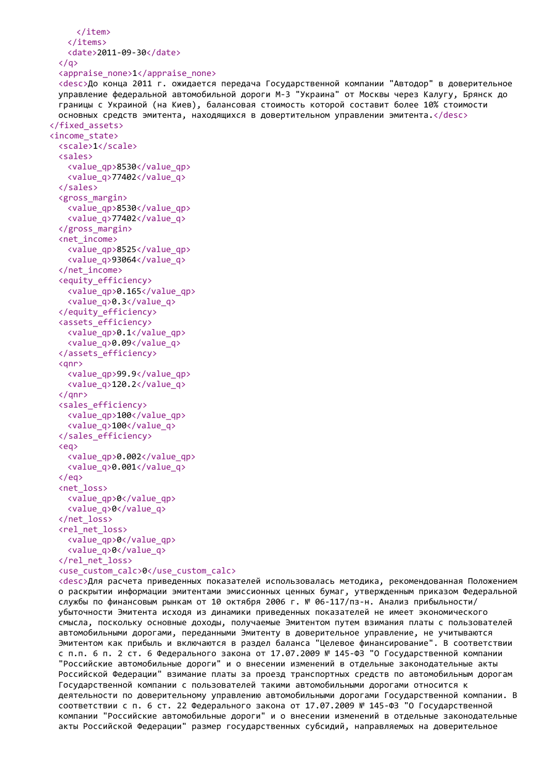```
</item>
   </items>
   <date>2011-09-30</date>
 \langle/a>
 <appraise_none>1</appraise_none>
 <desc>До конца 2011 г. ожидается передача Государственной компании "Автодор" в доверительное
 управление федеральной автомобильной дороги М-3 "Украина" от Москвы через Калугу, Брянск до
 границы с Украиной (на Киев), балансовая стоимость которой составит более 10% стоимости
 основных средств эмитента, находящихся в довертительном управлении эмитента.</desc>
</fixed_assets>
<income_state>
 <scale>1</scale>
 <sales>
   <value_qp>8530</value_qp>
   <value_q>77402</value_q>
 </sales>
 <gross_margin>
   <value_qp>8530</value_qp>
   <value_q>77402</value_q>
 </gross_margin>
 <net_income>
   <value_qp>8525</value_qp>
   <value_q>93064</value_q>
 </net_income>
 <equity_efficiency>
   <value_qp>0.165</value_qp>
   <value_q>0.3</value_q>
 </equity_efficiency>
 <assets_efficiency>
   <value_qp>0.1</value_qp>
   <value_q>0.09</value_q>
 </assets_efficiency>
 <qnr>
   <value_qp>99.9</value_qp>
   <value_q>120.2</value_q>
 </qnr>
 <sales_efficiency>
   <value_qp>100</value_qp>
   <value_q>100</value_q>
 </sales_efficiency>
 <eq>
   <value_qp>0.002</value_qp>
   <value_q>0.001</value_q>
 </eq>
 <net_loss>
   <value_qp>0</value_qp>
   <value_q>0</value_q>
 </net_loss>
 <rel_net_loss>
   <value_qp>0</value_qp>
   <value_q>0</value_q>
 </rel_net_loss>
 <use_custom_calc>0</use_custom_calc>
 <desc>Для расчета приведенных показателей использовалась методика, рекомендованная Положением
 о раскрытии информации эмитентами эмиссионных ценных бумаг, утвержденным приказом Федеральной
 службы по финансовым рынкам от 10 октября 2006 г. № 06-117/пз-н. Анализ прибыльности/
 убыточности Эмитента исходя из динамики приведенных показателей не имеет экономического
 смысла, поскольку основные доходы, получаемые Эмитентом путем взимания платы с пользователей
 автомобильными дорогами, переданными Эмитенту в доверительное управление, не учитываются
 Эмитентом как прибыль и включаются в раздел баланса "Целевое финансирование". В соответствии
 с п.п. 6 п. 2 ст. 6 Федерального закона от 17.07.2009 № 145-ФЗ "О Государственной компании
 "Российские автомобильные дороги" и о внесении изменений в отдельные законодательные акты
 Российской Федерации" взимание платы за проезд транспортных средств по автомобильным дорогам
```
Государственной компании с пользователей такими автомобильными дорогами относится к деятельности по доверительному управлению автомобильными дорогами Государственной компании. В соответствии с п. 6 ст. 22 Федерального закона от 17.07.2009 № 145-ФЗ "О Государственной компании "Российские автомобильные дороги" и о внесении изменений в отдельные законодательные акты Российской Федерации" размер государственных субсидий, направляемых на доверительное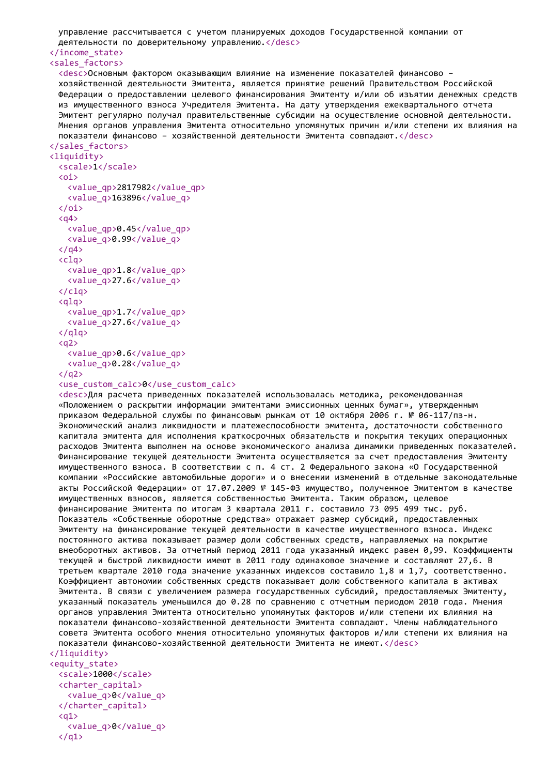управление рассчитывается с учетом планируемых доходов Государственной компании от деятельности по доверительному управлению.</desc>

# </income\_state>

## <sales\_factors>

<desc>Основным фактором оказывающим влияние на изменение показателей финансово – хозяйственной деятельности Эмитента, является принятие решений Правительством Российской Федерации о предоставлении целевого финансирования Эмитенту и/или об изъятии денежных средств из имущественного взноса Учредителя Эмитента. На дату утверждения ежеквартального отчета Эмитент регулярно получал правительственные субсидии на осуществление основной деятельности. Мнения органов управления Эмитента относительно упомянутых причин и/или степени их влияния на показатели финансово – хозяйственной деятельности Эмитента совпадают.</desc>

# </sales\_factors>

```
<liquidity>
  <scale>1</scale>
  \langleoi\rangle<value_qp>2817982</value_qp>
    <value_q>163896</value_q>
  \langle/oi>
  <sub>q4></sub></sub>
    <value_qp>0.45</value_qp>
    <value_q>0.99</value_q>
  \langle/q4>
  <cla><value_qp>1.8</value_qp>
    <value_q>27.6</value_q>
  \langle/clg\rangle<qlq>
    <value_qp>1.7</value_qp>
    <value_q>27.6</value_q>
  \langle/glg\rangle<a<sub>2</sub><value_qp>0.6</value_qp>
    <value_q>0.28</value_q>
  \langle/q2>
```
#### <use\_custom\_calc>0</use\_custom\_calc>

<desc>Для расчета приведенных показателей использовалась методика, рекомендованная «Положением о раскрытии информации эмитентами эмиссионных ценных бумаг», утвержденным приказом Федеральной службы по финансовым рынкам от 10 октября 2006 г. № 06-117/пз-н. Экономический анализ ликвидности и платежеспособности эмитента, достаточности собственного капитала эмитента для исполнения краткосрочных обязательств и покрытия текущих операционных расходов Эмитента выполнен на основе экономического анализа динамики приведенных показателей. Финансирование текущей деятельности Эмитента осуществляется за счет предоставления Эмитенту имущественного взноса. В соответствии с п. 4 ст. 2 Федерального закона «О Государственной компании «Российские автомобильные дороги» и о внесении изменений в отдельные законодательные акты Российской Федерации» от 17.07.2009 № 145-ФЗ имущество, полученное Эмитентом в качестве имущественных взносов, является собственностью Эмитента. Таким образом, целевое финансирование Эмитента по итогам 3 квартала 2011 г. составило 73 095 499 тыс. руб. Показатель «Собственные оборотные средства» отражает размер субсидий, предоставленных Эмитенту на финансирование текущей деятельности в качестве имущественного взноса. Индекс постоянного актива показывает размер доли собственных средств, направляемых на покрытие внеоборотных активов. За отчетный период 2011 года указанный индекс равен 0,99. Коэффициенты текущей и быстрой ликвидности имеют в 2011 году одинаковое значение и составляют 27,6. В третьем квартале 2010 года значение указанных индексов составило 1,8 и 1,7, соответственно. Коэффициент автономии собственных средств показывает долю собственного капитала в активах Эмитента. В связи с увеличением размера государственных субсидий, предоставляемых Эмитенту, указанный показатель уменьшился до 0.28 по сравнению с отчетным периодом 2010 года. Мнения органов управления Эмитента относительно упомянутых факторов и/или степени их влияния на показатели финансово-хозяйственной деятельности Эмитента совпадают. Члены наблюдательного совета Эмитента особого мнения относительно упомянутых факторов и/или степени их влияния на показатели финансово-хозяйственной деятельности Эмитента не имеют.</desc>

#### </liquidity>

```
<equity_state>
  <scale>1000</scale>
  <charter_capital>
    <value_q>0</value_q>
  </charter_capital>
  \langlea1>
    <value_q>0</value_q>
  \langle/q1>
```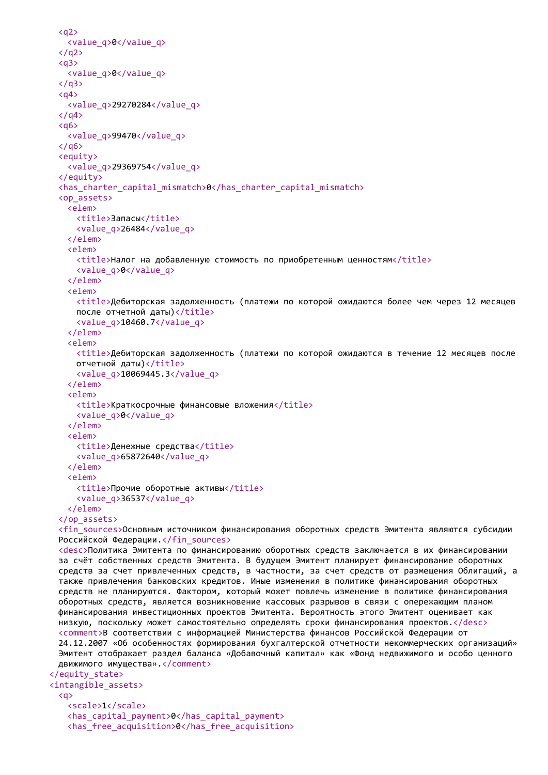```
<sub>q2</sub></sub>
   <value_q>0</value_q>
  \langle/q2>
  <q3>
   <value_q>0</value_q>
  \langle/q3>
  <sub>q4</sub></sub>
   <value_q>29270284</value_q>
  \langle/q4>
  <sub>q6</sub></sub>
   <value_q>99470</value_q>
  \langle/q6>
  <equity>
   <value_q>29369754</value_q>
  </equity>
  <has_charter_capital_mismatch>0</has_charter_capital_mismatch>
  <op_assets>
   <elem>
     <title>Запасы</title>
     <value_q>26484</value_q>
    \langle/elem>
    <elem>
     <title>Налог на добавленную стоимость по приобретенным ценностям</title>
     <value_q>0</value_q>
   </elem>
    <elem>
     <title>Дебиторская задолженность (платежи по которой ожидаются более чем через 12 месяцев
     после отчетной даты)</title>
     \langlevalue q>10460.7\langle/value q>
    </elem>
    <elem>
     <title>Дебиторская задолженность (платежи по которой ожидаются в течение 12 месяцев после
     отчетной даты)</title>
     <value_q>10069445.3</value_q>
    </elem>
    <elem>
     <title>Краткосрочные финансовые вложения</title>
     <value_q>0</value_q>
   </elem>
    <elem>
     <title>Денежные средства</title>
     <value_q>65872640</value_q>
   </elem>
    <elem>
     <title>Прочие оборотные активы</title>
     <value_q>36537</value_q>
   </elem>
  </op_assets>
  <fin_sources>Основным источником финансирования оборотных средств Эмитента являются субсидии
 Российской Федерации.</fin_sources>
  <desc>Политика Эмитента по финансированию оборотных средств заключается в их финансировании
  за счёт собственных средств Эмитента. В будущем Эмитент планирует финансирование оборотных
  средств за счет привлеченных средств, в частности, за счет средств от размещения Облигаций, а
  также привлечения банковских кредитов. Иные изменения в политике финансирования оборотных
  средств не планируются. Фактором, который может повлечь изменение в политике финансирования
  оборотных средств, является возникновение кассовых разрывов в связи с опережающим планом
  финансирования инвестиционных проектов Эмитента. Вероятность этого Эмитент оценивает как
 низкую, поскольку может самостоятельно определять сроки финансирования проектов.</desc>
  <comment>В соответствии с информацией Министерства финансов Российской Федерации от
 24.12.2007 «Об особенностях формирования бухгалтерской отчетности некоммерческих организаций»
 Эмитент отображает раздел баланса «Добавочный капитал» как «Фонд недвижимого и особо ценного
 движимого имущества».</comment>
</equity_state>
<intangible_assets>
  \langle a \rangle<scale>1</scale>
    <has_capital_payment>0</has_capital_payment>
```

```
<has_free_acquisition>0</has_free_acquisition>
```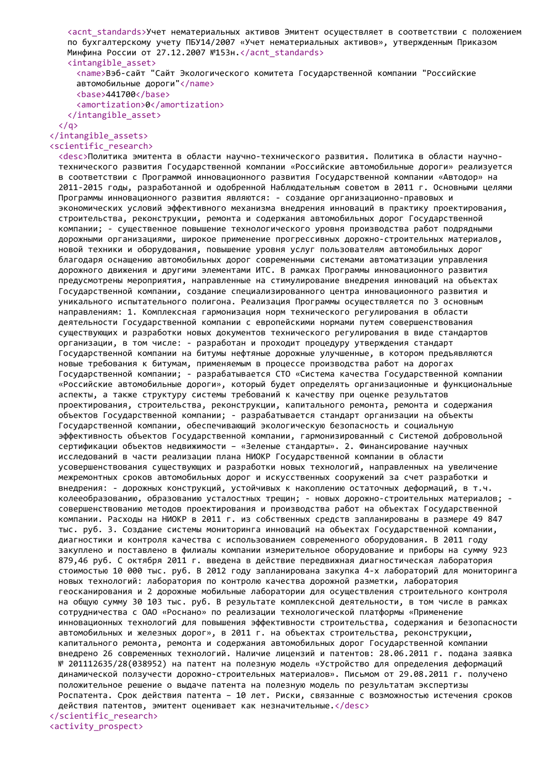<acnt\_standards>Учет нематериальных активов Эмитент осуществляет в соответствии с положением по бухгалтерскому учету ПБУ14/2007 «Учет нематериальных активов», утвержденным Приказом Минфина России от 27.12.2007 №153н.</acnt\_standards>

```
<intangible_asset>
```
<name>Вэб-сайт "Сайт Экологического комитета Государственной компании "Российские автомобильные дороги"</name> <base>441700</base> <amortization>0</amortization> </intangible\_asset>  $\langle$ /q>

### </intangible\_assets> <scientific\_research>

<desc>Политика эмитента в области научно-технического развития. Политика в области научнотехнического развития Государственной компании «Российские автомобильные дороги» реализуется в соответствии с Программой инновационного развития Государственной компании «Автодор» на 2011-2015 годы, разработанной и одобренной Наблюдательным советом в 2011 г. Основными целями Программы инновационного развития являются: - создание организационно-правовых и экономических условий эффективного механизма внедрения инноваций в практику проектирования, строительства, реконструкции, ремонта и содержания автомобильных дорог Государственной компании; - существенное повышение технологического уровня производства работ подрядными дорожными организациями, широкое применение прогрессивных дорожно-строительных материалов, новой техники и оборудования, повышение уровня услуг пользователям автомобильных дорог благодаря оснащению автомобильных дорог современными системами автоматизации управления дорожного движения и другими элементами ИТС. В рамках Программы инновационного развития предусмотрены мероприятия, направленные на стимулирование внедрения инноваций на объектах Государственной компании, создание специализированного центра инновационного развития и уникального испытательного полигона. Реализация Программы осуществляется по 3 основным направлениям: 1. Комплексная гармонизация норм технического регулирования в области деятельности Государственной компании с европейскими нормами путем совершенствования существующих и разработки новых документов технического регулирования в виде стандартов организации, в том числе: - разработан и проходит процедуру утверждения стандарт Государственной компании на битумы нефтяные дорожные улучшенные, в котором предъявляются новые требования к битумам, применяемым в процессе производства работ на дорогах Государственной компании; - разрабатывается СТО «Система качества Государственной компании «Российские автомобильные дороги», который будет определять организационные и функциональные аспекты, а также структуру системы требований к качеству при оценке результатов проектирования, строительства, реконструкции, капитального ремонта, ремонта и содержания объектов Государственной компании; - разрабатывается стандарт организации на объекты Государственной компании, обеспечивающий экологическую безопасность и социальную эффективность объектов Государственной компании, гармонизированный с Системой добровольной сертификации объектов недвижимости – «Зеленые стандарты». 2. Финансирование научных исследований в части реализации плана НИОКР Государственной компании в области усовершенствования существующих и разработки новых технологий, направленных на увеличение межремонтных сроков автомобильных дорог и искусственных сооружений за счет разработки и внедрения: - дорожных конструкций, устойчивых к накоплению остаточных деформаций, в т.ч. колееобразованию, образованию усталостных трещин; - новых дорожно-строительных материалов; совершенствованию методов проектирования и производства работ на объектах Государственной компании. Расходы на НИОКР в 2011 г. из собственных средств запланированы в размере 49 847 тыс. руб. 3. Создание системы мониторинга инноваций на объектах Государственной компании, диагностики и контроля качества с использованием современного оборудования. В 2011 году закуплено и поставлено в филиалы компании измерительное оборудование и приборы на сумму 923 879,46 руб. С октября 2011 г. введена в действие передвижная диагностическая лаборатория стоимостью 10 000 тыс. руб. В 2012 году запланирована закупка 4-х лабораторий для мониторинга новых технологий: лаборатория по контролю качества дорожной разметки, лаборатория геосканирования и 2 дорожные мобильные лаборатории для осуществления строительного контроля на общую сумму 30 103 тыс. руб. В результате комплексной деятельности, в том числе в рамках сотрудничества с ОАО «Роснано» по реализации технологической платформы «Применение инновационных технологий для повышения эффективности строительства, содержания и безопасности автомобильных и железных дорог», в 2011 г. на объектах строительства, реконструкции, капитального ремонта, ремонта и содержания автомобильных дорог Государственной компании внедрено 26 современных технологий. Наличие лицензий и патентов: 28.06.2011 г. подана заявка <sup>№</sup> 201112635/28(038952) на патент на полезную модель «Устройство для определения деформаций динамической ползучести дорожно-строительных материалов». Письмом от 29.08.2011 г. получено положительное решение о выдаче патента на полезную модель по результатам экспертизы Роспатента. Срок действия патента – 10 лет. Риски, связанные с возможностью истечения сроков действия патентов, эмитент оценивает как незначительные.</desc> </scientific\_research>

<activity\_prospect>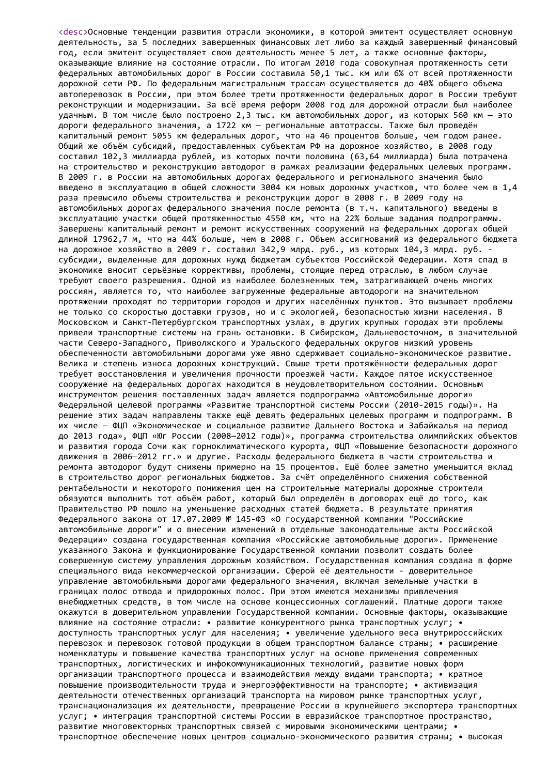<desc>Основные тенденции развития отрасли экономики, в которой эмитент осуществляет основную деятельность, за 5 последних завершенных финансовых лет либо за каждый завершенный финансовый год, если эмитент осуществляет свою деятельность менее 5 лет, а также основные факторы, оказывающие влияние на состояние отрасли. По итогам 2010 года совокупная протяженность сети федеральных автомобильных дорог в России составила 50,1 тыс. км или 6% от всей протяженности дорожной сети РФ. По федеральным магистральным трассам осуществляется до 40% общего объема автоперевозок в России, при этом более трети протяженности федеральных дорог в России требуют реконструкции и модернизации. За всё время реформ 2008 год для дорожной отрасли был наиболее удачным. В том числе было построено 2,3 тыс. км автомобильных дорог, из которых 560 км — это дороги федерального значения, а 1722 км — региональные автотрассы. Также был проведён капитальный ремонт 5055 км федеральных дорог, что на 46 процентов больше, чем годом ранее. Общий же объём субсидий, предоставленных субъектам РФ на дорожное хозяйство, в 2008 году составил 102,3 миллиарда рублей, из которых почти половина (63,64 миллиарда) была потрачена на строительство и реконструкцию автодорог в рамках реализации федеральных целевых программ. В 2009 г. в России на автомобильных дорогах федерального и регионального значения было введено в эксплуатацию в общей сложности 3004 км новых дорожных участков, что более чем в 1,4 раза превысило объемы строительства и реконструкции дорог в 2008 г. В 2009 году на автомобильных дорогах федерального значения после ремонта (в т.ч. капитального) введены в эксплуатацию участки общей протяженностью 4550 км, что на 22% больше задания подпрограммы. Завершены капитальный ремонт и ремонт искусственных сооружений на федеральных дорогах общей длиной 17962,7 м, что на 44% больше, чем в 2008 г. Объем ассигнований из федерального бюджета на дорожное хозяйство в 2009 г. составил 342,9 млрд. руб., из которых 104,3 млрд. руб. субсидии, выделенные для дорожных нужд бюджетам субъектов Российской Федерации. Хотя спад в экономике вносит серьёзные коррективы, проблемы, стоящие перед отраслью, в любом случае требуют своего разрешения. Одной из наиболее болезненных тем, затрагивающей очень многих россиян, является то, что наиболее загруженные федеральные автодороги на значительном протяжении проходят по территории городов и других населённых пунктов. Это вызывает проблемы не только со скоростью доставки грузов, но и с экологией, безопасностью жизни населения. В Московском и Санкт-Петербургском транспортных узлах, в других крупных городах эти проблемы привели транспортные системы на грань остановки. В Сибирском, Дальневосточном, в значительной части Северо-Западного, Приволжского и Уральского федеральных округов низкий уровень обеспеченности автомобильными дорогами уже явно сдерживает социально-экономическое развитие. Велика и степень износа дорожных конструкций. Свыше трети протяжённости федеральных дорог требует восстановления и увеличения прочности проезжей части. Каждое пятое искусственное сооружение на федеральных дорогах находится в неудовлетворительном состоянии. Основным инструментом решения поставленных задач является подпрограмма «Автомобильные дороги» Федеральной целевой программы «Развитие транспортной системы России (2010-2015 годы)». На решение этих задач направлены также ещё девять федеральных целевых программ и подпрограмм. В их числе — ФЦП «Экономическое и социальное развитие Дальнего Востока и Забайкалья на период до 2013 года», ФЦП «Юг России (2008—2012 годы)», программа строительства олимпийских объектов и развития города Сочи как горноклиматического курорта, ФЦП «Повышение безопасности дорожного движения в 2006—2012 гг.» и другие. Расходы федерального бюджета в части строительства и ремонта автодорог будут снижены примерно на 15 процентов. Ещё более заметно уменьшится вклад в строительство дорог региональных бюджетов. За счёт определённого снижения собственной рентабельности и некоторого понижения цен на строительные материалы дорожные строители обязуются выполнить тот объём работ, который был определён в договорах ещё до того, как Правительство РФ пошло на уменьшение расходных статей бюджета. В результате принятия Федерального закона от 17.07.2009 № 145-ФЗ «О государственной компании "Российские автомобильные дороги" и о внесении изменений в отдельные законодательные акты Российской Федерации» создана государственная компания «Российские автомобильные дороги». Применение указанного Закона и функционирование Государственной компании позволит создать более совершенную систему управления дорожным хозяйством. Государственная компания создана в форме специального вида некоммерческой организации. Сферой её деятельности - доверительное управление автомобильными дорогами федерального значения, включая земельные участки в границах полос отвода и придорожных полос. При этом имеются механизмы привлечения внебюджетных средств, в том числе на основе концессионных соглашений. Платные дороги также окажутся в доверительном управлении Государственной компании. Основные факторы, оказывающие влияние на состояние отрасли: • развитие конкурентного рынка транспортных услуг; • доступность транспортных услуг для населения; • увеличение удельного веса внутрироссийских перевозок и перевозок готовой продукции в общем транспортном балансе страны; • расширение номенклатуры и повышение качества транспортных услуг на основе применения современных транспортных, логистических и инфокоммуникационных технологий, развитие новых форм организации транспортного процесса и взаимодействия между видами транспорта; • кратное повышение производительности труда и энергоэффективности на транспорте; • активизация деятельности отечественных организаций транспорта на мировом рынке транспортных услуг, транснационализация их деятельности, превращение России в крупнейшего экспортера транспортных услуг; • интеграция транспортной системы России в евразийское транспортное пространство, развитие многовекторных транспортных связей с мировыми экономическими центрами; • транспортное обеспечение новых центров социально-экономического развития страны; • высокая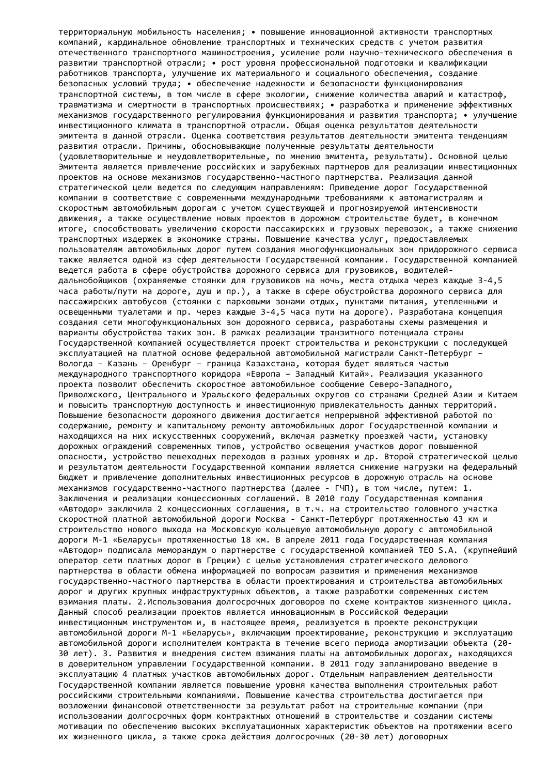территориальную мобильность населения; • повышение инновационной активности транспортных компаний, кардинальное обновление транспортных и технических средств с учетом развития отечественного транспортного машиностроения, усиление роли научно-технического обеспечения в развитии транспортной отрасли; • рост уровня профессиональной подготовки и квалификации работников транспорта, улучшение их материального и социального обеспечения, создание безопасных условий труда; • обеспечение надежности и безопасности функционирования транспортной системы, в том числе в сфере экологии, снижение количества аварий и катастроф, травматизма и смертности в транспортных происшествиях; • разработка и применение эффективных механизмов государственного регулирования функционирования и развития транспорта; • улучшение инвестиционного климата в транспортной отрасли. Общая оценка результатов деятельности эмитента в данной отрасли. Оценка соответствия результатов деятельности эмитента тенденциям развития отрасли. Причины, обосновывающие полученные результаты деятельности (удовлетворительные и неудовлетворительные, по мнению эмитента, результаты). Основной целью Эмитента является привлечение российских и зарубежных партнеров для реализации инвестиционных проектов на основе механизмов государственно-частного партнерства. Реализация данной стратегической цели ведется по следующим направлениям: Приведение дорог Государственной компании в соответствие с современными международными требованиями к автомагистралям и скоростным автомобильным дорогам с учетом существующей и прогнозируемой интенсивности движения, а также осуществление новых проектов в дорожном строительстве будет, в конечном итоге, способствовать увеличению скорости пассажирских и грузовых перевозок, а также снижению транспортных издержек в экономике страны. Повышение качества услуг, предоставляемых пользователям автомобильных дорог путем создания многофункциональных зон придорожного сервиса также является одной из сфер деятельности Государственной компании. Государственной компанией ведется работа в сфере обустройства дорожного сервиса для грузовиков, водителейдальнобойщиков (охраняемые стоянки для грузовиков на ночь, места отдыха через каждые 3-4,5 часа работы/пути на дороге, душ и пр.), а также в сфере обустройства дорожного сервиса для пассажирских автобусов (стоянки с парковыми зонами отдых, пунктами питания, утепленными и освещенными туалетами и пр. через каждые 3-4,5 часа пути на дороге). Разработана концепция создания сети многофункциональных зон дорожного сервиса, разработаны схемы размещения и варианты обустройства таких зон. В рамках реализации транзитного потенциала страны Государственной компанией осуществляется проект строительства и реконструкции с последующей эксплуатацией на платной основе федеральной автомобильной магистрали Санкт-Петербург – Вологда – Казань – Оренбург – граница Казахстана, которая будет являться частью международного транспортного коридора «Европа – Западный Китай». Реализация указанного проекта позволит обеспечить скоростное автомобильное сообщение Северо-Западного, Приволжского, Центрального и Уральского федеральных округов со странами Средней Азии и Китаем и повысить транспортную доступность и инвестиционную привлекательность данных территорий. Повышение безопасности дорожного движения достигается непрерывной эффективной работой по содержанию, ремонту и капитальному ремонту автомобильных дорог Государственной компании и находящихся на них искусственных сооружений, включая разметку проезжей части, установку дорожных ограждений современных типов, устройство освещения участков дорог повышенной опасности, устройство пешеходных переходов в разных уровнях и др. Второй стратегической целью и результатом деятельности Государственной компании является снижение нагрузки на федеральный бюджет и привлечение дополнительных инвестиционных ресурсов в дорожную отрасль на основе механизмов государственно-частного партнерства (далее - ГЧП), в том числе, путем: 1. Заключения и реализации концессионных соглашений. В 2010 году Государственная компания «Автодор» заключила 2 концессионных соглашения, в т.ч. на строительство головного участка скоростной платной автомобильной дороги Москва - Санкт-Петербург протяженностью 43 км и строительство нового выхода на Московскую кольцевую автомобильную дорогу с автомобильной дороги М-1 «Беларусь» протяженностью 18 км. В апреле 2011 года Государственная компания «Автодор» подписала меморандум о партнерстве с государственной компанией TEO S.A. (крупнейший оператор сети платных дорог в Греции) с целью установления стратегического делового партнерства в области обмена информацией по вопросам развития и применения механизмов государственно-частного партнерства в области проектирования и строительства автомобильных дорог и других крупных инфраструктурных объектов, а также разработки современных систем взимания платы. 2.Использования долгосрочных договоров по схеме контрактов жизненного цикла. Данный способ реализации проектов является инновационным в Российской Федерации инвестиционным инструментом и, в настоящее время, реализуется в проекте реконструкции автомобильной дороги М-1 «Беларусь», включающим проектирование, реконструкцию и эксплуатацию автомобильной дороги исполнителем контракта в течение всего периода амортизации объекта (20- 30 лет). 3. Развития и внедрения систем взимания платы на автомобильных дорогах, находящихся в доверительном управлении Государственной компании. В 2011 году запланировано введение в эксплуатацию 4 платных участков автомобильных дорог. Отдельным направлением деятельности Государственной компании является повышение уровня качества выполнения строительных работ российскими строительными компаниями. Повышение качества строительства достигается при возложении финансовой ответственности за результат работ на строительные компании (при использовании долгосрочных форм контрактных отношений в строительстве и создании системы мотивации по обеспечению высоких эксплуатационных характеристик объектов на протяжении всего их жизненного цикла, а также срока действия долгосрочных (20-30 лет) договорных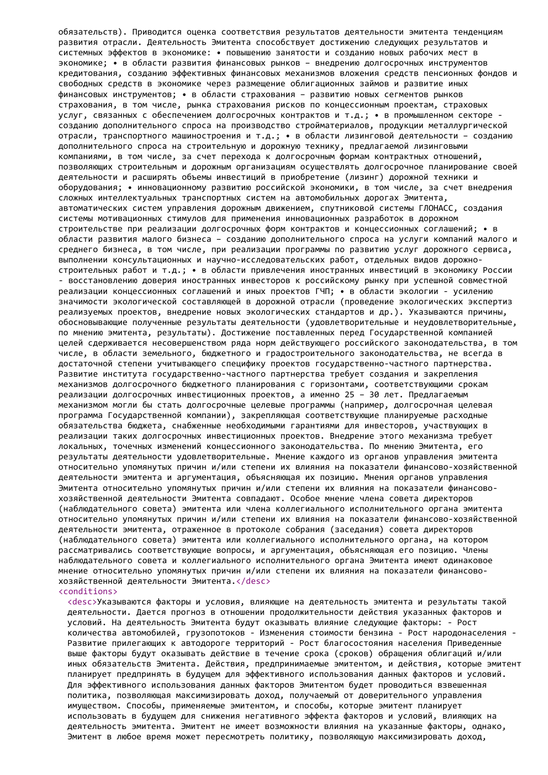обязательств). Приводится оценка соответствия результатов деятельности эмитента тенденциям развития отрасли. Деятельность Эмитента способствует достижению следующих результатов и системных эффектов в экономике: • повышению занятости и созданию новых рабочих мест в экономике; • в области развития финансовых рынков – внедрению долгосрочных инструментов кредитования, созданию эффективных финансовых механизмов вложения средств пенсионных фондов и свободных средств в экономике через размещение облигационных займов и развитие иных финансовых инструментов; • в области страхования – развитию новых сегментов рынков страхования, в том числе, рынка страхования рисков по концессионным проектам, страховых услуг, связанных с обеспечением долгосрочных контрактов и т.д.; • в промышленном секторе созданию дополнительного спроса на производство стройматериалов, продукции металлургической отрасли, транспортного машиностроения и т.д.; • в области лизинговой деятельности – созданию дополнительного спроса на строительную и дорожную технику, предлагаемой лизинговыми компаниями, в том числе, за счет перехода к долгосрочным формам контрактных отношений, позволяющих строительным и дорожным организациям осуществлять долгосрочное планирование своей деятельности и расширять объемы инвестиций в приобретение (лизинг) дорожной техники и оборудования; • инновационному развитию российской экономики, в том числе, за счет внедрения сложных интеллектуальных транспортных систем на автомобильных дорогах Эмитента, автоматических систем управления дорожным движением, спутниковой системы ГЛОНАСС, создания системы мотивационных стимулов для применения инновационных разработок в дорожном строительстве при реализации долгосрочных форм контрактов и концессионных соглашений; • в области развития малого бизнеса – созданию дополнительного спроса на услуги компаний малого и среднего бизнеса, в том числе, при реализации программы по развитию услуг дорожного сервиса, выполнении консультационных и научно-исследовательских работ, отдельных видов дорожностроительных работ и т.д.; • в области привлечения иностранных инвестиций в экономику России - восстановлению доверия иностранных инвесторов к российскому рынку при успешной совместной реализации концессионных соглашений и иных проектов ГЧП; • в области экологии - усилению значимости экологической составляющей в дорожной отрасли (проведение экологических экспертиз реализуемых проектов, внедрение новых экологических стандартов и др.). Указываются причины, обосновывающие полученные результаты деятельности (удовлетворительные и неудовлетворительные, по мнению эмитента, результаты). Достижение поставленных перед Государственной компанией целей сдерживается несовершенством ряда норм действующего российского законодательства, в том числе, в области земельного, бюджетного и градостроительного законодательства, не всегда в достаточной степени учитывающего специфику проектов государственно-частного партнерства. Развитие института государственно-частного партнерства требует создания и закрепления механизмов долгосрочного бюджетного планирования с горизонтами, соответствующими срокам реализации долгосрочных инвестиционных проектов, а именно 25 – 30 лет. Предлагаемым механизмом могли бы стать долгосрочные целевые программы (например, долгосрочная целевая программа Государственной компании), закрепляющая соответствующие планируемые расходные обязательства бюджета, снабженные необходимыми гарантиями для инвесторов, участвующих в реализации таких долгосрочных инвестиционных проектов. Внедрение этого механизма требует локальных, точечных изменений концессионного законодательства. По мнению Эмитента, его результаты деятельности удовлетворительные. Мнение каждого из органов управления эмитента относительно упомянутых причин и/или степени их влияния на показатели финансово-хозяйственной деятельности эмитента и аргументация, объясняющая их позицию. Мнения органов управления Эмитента относительно упомянутых причин и/или степени их влияния на показатели финансовохозяйственной деятельности Эмитента совпадают. Особое мнение члена совета директоров (наблюдательного совета) эмитента или члена коллегиального исполнительного органа эмитента относительно упомянутых причин и/или степени их влияния на показатели финансово-хозяйственной деятельности эмитента, отраженное в протоколе собрания (заседания) совета директоров (наблюдательного совета) эмитента или коллегиального исполнительного органа, на котором рассматривались соответствующие вопросы, и аргументация, объясняющая его позицию. Члены наблюдательного совета и коллегиального исполнительного органа Эмитента имеют одинаковое мнение относительно упомянутых причин и/или степени их влияния на показатели финансовохозяйственной деятельности Эмитента.</desc>

<conditions>

<desc>Указываются факторы и условия, влияющие на деятельность эмитента и результаты такой деятельности. Дается прогноз в отношении продолжительности действия указанных факторов и условий. На деятельность Эмитента будут оказывать влияние следующие факторы: - Рост количества автомобилей, грузопотоков - Изменения стоимости бензина - Рост народонаселения - Развитие прилегающих к автодороге территорий - Рост благосостояния населения Приведенные выше факторы будут оказывать действие в течение срока (сроков) обращения облигаций и/или иных обязательств Эмитента. Действия, предпринимаемые эмитентом, и действия, которые эмитент планирует предпринять в будущем для эффективного использования данных факторов и условий. Для эффективного использования данных факторов Эмитентом будет проводиться взвешенная политика, позволяющая максимизировать доход, получаемый от доверительного управления имуществом. Способы, применяемые эмитентом, и способы, которые эмитент планирует использовать в будущем для снижения негативного эффекта факторов и условий, влияющих на деятельность эмитента. Эмитент не имеет возможности влияния на указанные факторы, однако, Эмитент в любое время может пересмотреть политику, позволяющую максимизировать доход,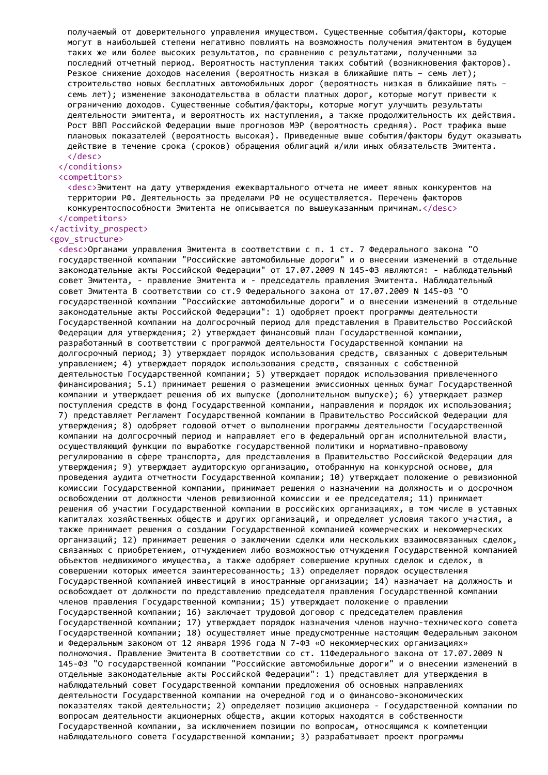получаемый от доверительного управления имуществом. Существенные события/факторы, которые могут в наибольшей степени негативно повлиять на возможность получения эмитентом в будущем таких же или более высоких результатов, по сравнению с результатами, полученными за последний отчетный период. Вероятность наступления таких событий (возникновения факторов). Резкое снижение доходов населения (вероятность низкая в ближайшие пять – семь лет); строительство новых бесплатных автомобильных дорог (вероятность низкая в ближайшие пять – семь лет); изменение законодательства в области платных дорог, которые могут привести к ограничению доходов. Существенные события/факторы, которые могут улучшить результаты деятельности эмитента, и вероятность их наступления, а также продолжительность их действия. Рост ВВП Российской Федерации выше прогнозов МЭР (вероятность средняя). Рост трафика выше плановых показателей (вероятность высокая). Приведенные выше события/факторы будут оказывать действие в течение срока (сроков) обращения облигаций и/или иных обязательств Эмитента. </desc>

#### </conditions>

#### <competitors>

<desc>Эмитент на дату утверждения ежеквартального отчета не имеет явных конкурентов на территории РФ. Деятельность за пределами РФ не осуществляется. Перечень факторов конкурентоспособности Эмитента не описывается по вышеуказанным причинам.</desc> </competitors>

# </activity\_prospect>

## <gov\_structure>

<desc>Органами управления Эмитента в соответствии с п. 1 ст. 7 Федерального закона "О государственной компании "Российские автомобильные дороги" и о внесении изменений в отдельные законодательные акты Российской Федерации" от 17.07.2009 N 145-ФЗ являются: - наблюдательный совет Эмитента, - правление Эмитента и - председатель правления Эмитента. Наблюдательный совет Эмитента В соответствии со ст.9 Федерального закона от 17.07.2009 N 145-ФЗ "О государственной компании "Российские автомобильные дороги" и о внесении изменений в отдельные законодательные акты Российской Федерации": 1) одобряет проект программы деятельности Государственной компании на долгосрочный период для представления в Правительство Российской Федерации для утверждения; 2) утверждает финансовый план Государственной компании, разработанный в соответствии с программой деятельности Государственной компании на долгосрочный период; 3) утверждает порядок использования средств, связанных с доверительным управлением; 4) утверждает порядок использования средств, связанных с собственной деятельностью Государственной компании; 5) утверждает порядок использования привлеченного финансирования; 5.1) принимает решения о размещении эмиссионных ценных бумаг Государственной компании и утверждает решения об их выпуске (дополнительном выпуске); 6) утверждает размер поступления средств в фонд Государственной компании, направления и порядок их использования; 7) представляет Регламент Государственной компании в Правительство Российской Федерации для утверждения; 8) одобряет годовой отчет о выполнении программы деятельности Государственной компании на долгосрочный период и направляет его в федеральный орган исполнительной власти, осуществляющий функции по выработке государственной политики и нормативно-правовому регулированию в сфере транспорта, для представления в Правительство Российской Федерации для утверждения; 9) утверждает аудиторскую организацию, отобранную на конкурсной основе, для проведения аудита отчетности Государственной компании; 10) утверждает положение о ревизионной комиссии Государственной компании, принимает решения о назначении на должность и о досрочном освобождении от должности членов ревизионной комиссии и ее председателя; 11) принимает решения об участии Государственной компании в российских организациях, в том числе в уставных капиталах хозяйственных обществ и других организаций, и определяет условия такого участия, а также принимает решения о создании Государственной компанией коммерческих и некоммерческих организаций; 12) принимает решения о заключении сделки или нескольких взаимосвязанных сделок, связанных с приобретением, отчуждением либо возможностью отчуждения Государственной компанией объектов недвижимого имущества, а также одобряет совершение крупных сделок и сделок, в совершении которых имеется заинтересованность; 13) определяет порядок осуществления Государственной компанией инвестиций в иностранные организации; 14) назначает на должность и освобождает от должности по представлению председателя правления Государственной компании членов правления Государственной компании; 15) утверждает положение о правлении Государственной компании; 16) заключает трудовой договор с председателем правления Государственной компании; 17) утверждает порядок назначения членов научно-технического совета Государственной компании; 18) осуществляет иные предусмотренные настоящим Федеральным законом и Федеральным законом от 12 января 1996 года N 7-ФЗ «О некоммерческих организациях» полномочия. Правление Эмитента В соответствии со ст. 11Федерального закона от 17.07.2009 N 145-ФЗ "О государственной компании "Российские автомобильные дороги" и о внесении изменений в отдельные законодательные акты Российской Федерации": 1) представляет для утверждения в наблюдательный совет Государственной компании предложения об основных направлениях деятельности Государственной компании на очередной год и о финансово-экономических показателях такой деятельности; 2) определяет позицию акционера - Государственной компании по вопросам деятельности акционерных обществ, акции которых находятся в собственности Государственной компании, за исключением позиции по вопросам, относящимся к компетенции наблюдательного совета Государственной компании; 3) разрабатывает проект программы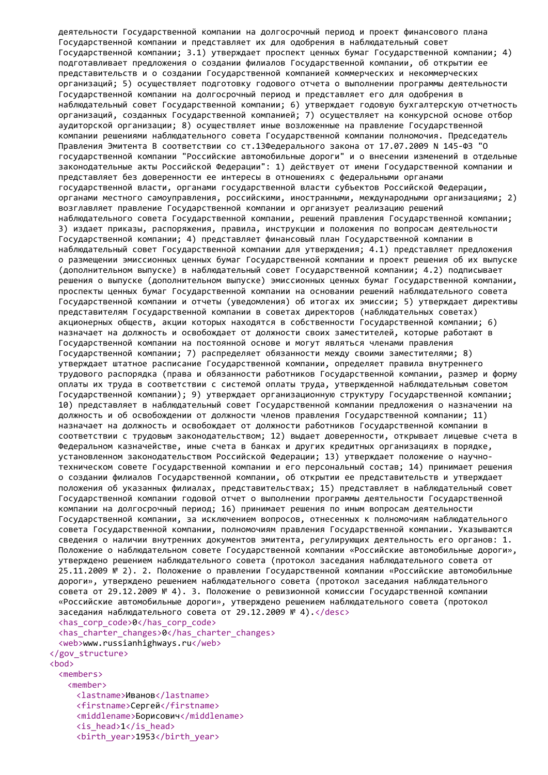деятельности Государственной компании на долгосрочный период и проект финансового плана Государственной компании и представляет их для одобрения в наблюдательный совет Государственной компании; 3.1) утверждает проспект ценных бумаг Государственной компании; 4) подготавливает предложения о создании филиалов Государственной компании, об открытии ее представительств и о создании Государственной компанией коммерческих и некоммерческих организаций; 5) осуществляет подготовку годового отчета о выполнении программы деятельности Государственной компании на долгосрочный период и представляет его для одобрения в наблюдательный совет Государственной компании; 6) утверждает годовую бухгалтерскую отчетность организаций, созданных Государственной компанией; 7) осуществляет на конкурсной основе отбор аудиторской организации; 8) осуществляет иные возложенные на правление Государственной компании решениями наблюдательного совета Государственной компании полномочия. Председатель Правления Эмитента В соответствии со ст.13Федерального закона от 17.07.2009 N 145-ФЗ "О государственной компании "Российские автомобильные дороги" и о внесении изменений в отдельные законодательные акты Российской Федерации": 1) действует от имени Государственной компании и представляет без доверенности ее интересы в отношениях с федеральными органами государственной власти, органами государственной власти субъектов Российской Федерации, органами местного самоуправления, российскими, иностранными, международными организациями; 2) возглавляет правление Государственной компании и организует реализацию решений наблюдательного совета Государственной компании, решений правления Государственной компании; 3) издает приказы, распоряжения, правила, инструкции и положения по вопросам деятельности Государственной компании; 4) представляет финансовый план Государственной компании в наблюдательный совет Государственной компании для утверждения; 4.1) представляет предложения о размещении эмиссионных ценных бумаг Государственной компании и проект решения об их выпуске (дополнительном выпуске) в наблюдательный совет Государственной компании; 4.2) подписывает решения о выпуске (дополнительном выпуске) эмиссионных ценных бумаг Государственной компании, проспекты ценных бумаг Государственной компании на основании решений наблюдательного совета Государственной компании и отчеты (уведомления) об итогах их эмиссии; 5) утверждает директивы представителям Государственной компании в советах директоров (наблюдательных советах) акционерных обществ, акции которых находятся в собственности Государственной компании; 6) назначает на должность и освобождает от должности своих заместителей, которые работают в Государственной компании на постоянной основе и могут являться членами правления Государственной компании; 7) распределяет обязанности между своими заместителями; 8) утверждает штатное расписание Государственной компании, определяет правила внутреннего трудового распорядка (права и обязанности работников Государственной компании, размер и форму оплаты их труда в соответствии с системой оплаты труда, утвержденной наблюдательным советом Государственной компании); 9) утверждает организационную структуру Государственной компании; 10) представляет в наблюдательный совет Государственной компании предложения о назначении на должность и об освобождении от должности членов правления Государственной компании; 11) назначает на должность и освобождает от должности работников Государственной компании в соответствии с трудовым законодательством; 12) выдает доверенности, открывает лицевые счета в Федеральном казначействе, иные счета в банках и других кредитных организациях в порядке, установленном законодательством Российской Федерации; 13) утверждает положение о научнотехническом совете Государственной компании и его персональный состав; 14) принимает решения о создании филиалов Государственной компании, об открытии ее представительств и утверждает положения об указанных филиалах, представительствах; 15) представляет в наблюдательный совет Государственной компании годовой отчет о выполнении программы деятельности Государственной компании на долгосрочный период; 16) принимает решения по иным вопросам деятельности Государственной компании, за исключением вопросов, отнесенных к полномочиям наблюдательного совета Государственной компании, полномочиям правления Государственной компании. Указываются сведения о наличии внутренних документов эмитента, регулирующих деятельность его органов: 1. Положение о наблюдательном совете Государственной компании «Российские автомобильные дороги», утверждено решением наблюдательного совета (протокол заседания наблюдательного совета от 25.11.2009 № 2). 2. Положение о правлении Государственной компании «Российские автомобильные дороги», утверждено решением наблюдательного совета (протокол заседания наблюдательного совета от 29.12.2009 № 4). 3. Положение о ревизионной комиссии Государственной компании «Российские автомобильные дороги», утверждено решением наблюдательного совета (протокол заседания наблюдательного совета от 29.12.2009 № 4).</desc> <has\_corp\_code>0</has\_corp\_code> <has\_charter\_changes>0</has\_charter\_changes> <web>www.russianhighways.ru</web> </gov\_structure> <bod> <members> <member> <lastname>Иванов</lastname> <firstname>Сергей</firstname> <middlename>Борисович</middlename> <is\_head>1</is\_head>

```
<birth_year>1953</birth_year>
```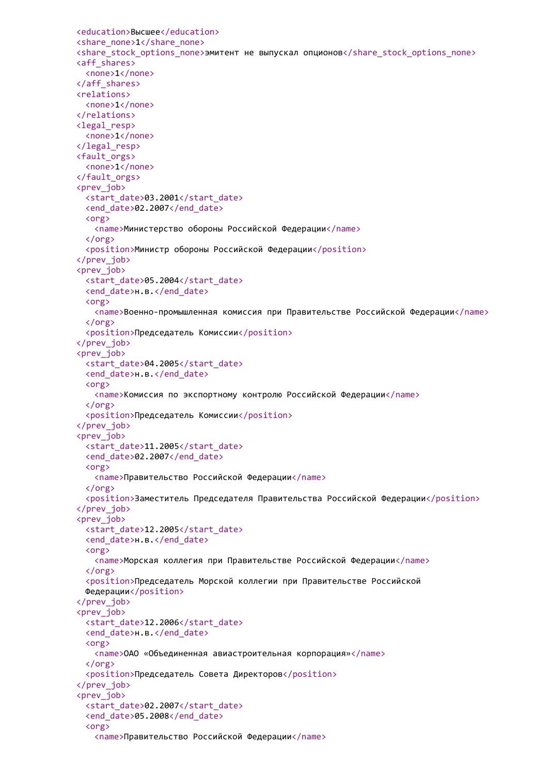```
<education>Высшее</education>
<share_none>1</share_none>
<share_stock_options_none>эмитент не выпускал опционов</share_stock_options_none>
<aff_shares>
 <none>1</none>
</aff_shares>
<relations>
 <none>1</none>
</relations>
<legal_resp>
 <none>1</none>
</legal_resp>
<fault_orgs>
 <none>1</none>
</fault_orgs>
<prev_job>
 <start_date>03.2001</start_date>
 <end_date>02.2007</end_date>
 <org>
   <name>Министерство обороны Российской Федерации</name>
 </org>
  <position>Министр обороны Российской Федерации</position>
</prev_job>
<prev_job>
 <start_date>05.2004</start_date>
  <end date>н.в.</end date>
 <org>
   <name>Военно-промышленная комиссия при Правительстве Российской Федерации</name>
 </org>
  <position>Председатель Комиссии</position>
</prev_job>
<prev_job>
 <start_date>04.2005</start_date>
  <end date>н.в.</end date>
 <org>
   <name>Комиссия по экспортному контролю Российской Федерации</name>
 </org>
  <position>Председатель Комиссии</position>
</prev_job>
<prev_job>
 <start_date>11.2005</start_date>
 <end_date>02.2007</end_date>
 <org>
   <name>Правительство Российской Федерации</name>
 \langle/org\rangle<position>Заместитель Председателя Правительства Российской Федерации</position>
</prev_job>
<prev_job>
 <start_date>12.2005</start_date>
 <end date>н.в.</end date>
 <org>
   <name>Морская коллегия при Правительстве Российской Федерации</name>
 \langle/org\rangle<position>Председатель Морской коллегии при Правительстве Российской
 Федерации</position>
</prev_job>
<prev_iob>
 <start_date>12.2006</start_date>
 <end date>н.в.</end date>
 <org>
   <name>ОАО «Объединенная авиастроительная корпорация»</name>
 </org>
  <position>Председатель Совета Директоров</position>
</prev_job>
<prev_job>
  <start_date>02.2007</start_date>
  <end_date>05.2008</end_date>
  <org>
   <name>Правительство Российской Федерации</name>
```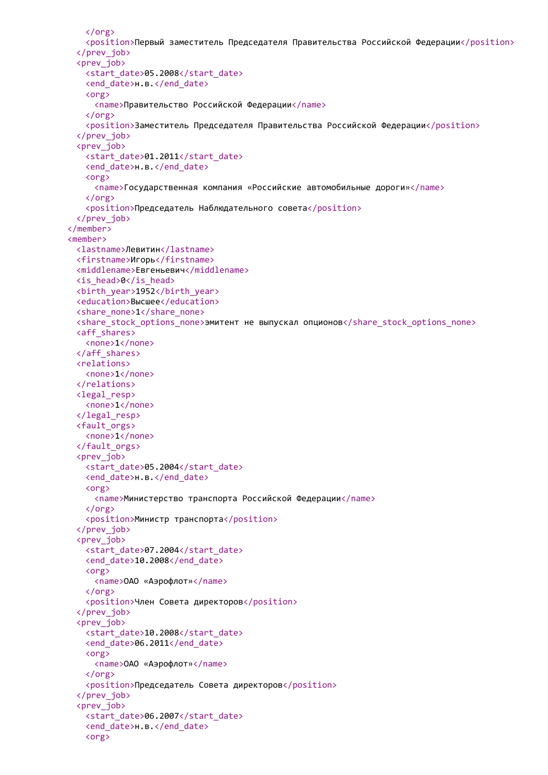```
</org>
   <position>Первый заместитель Председателя Правительства Российской Федерации</position>
 </prev_job>
 <prev_job>
   <start_date>05.2008</start_date>
   <end_date>н.в.</end_date>
   <org>
     <name>Правительство Российской Федерации</name>
   </org>
   <position>Заместитель Председателя Правительства Российской Федерации</position>
 </prev_job>
 <prev_job>
   <start_date>01.2011</start_date>
   <end date>н.в.</end date>
   <org>
     <name>Государственная компания «Российские автомобильные дороги»</name>
   </org>
   <position>Председатель Наблюдательного совета</position>
 </prev_job>
</member>
<member>
 <lastname>Левитин</lastname>
 <firstname>Игорь</firstname>
 <middlename>Евгеньевич</middlename>
 <is_head>0</is_head>
 <birth_year>1952</birth_year>
 <education>Высшее</education>
 <share_none>1</share_none>
 <share stock options none>эмитент не выпускал опционов</share stock options none>
 <aff_shares>
   <none>1</none>
 </aff_shares>
 <relations>
   <none>1</none>
 </relations>
 <legal_resp>
   <none>1</none>
 </legal_resp>
 <fault_orgs>
   <none>1</none>
 </fault_orgs>
 <prev_job>
   <start_date>05.2004</start_date>
   <end date>н.в.</end date>
   <org>
     <name>Министерство транспорта Российской Федерации</name>
   \langle/org\rangle<position>Министр транспорта</position>
 </prev_job>
 <prev_iob>
   <start_date>07.2004</start_date>
   <end_date>10.2008</end_date>
   <org>
     <name>ОАО «Аэрофлот»</name>
   </org>
   <position>Член Совета директоров</position>
 </prev_job>
 <prev_iob>
   <start_date>10.2008</start_date>
   <end date>06.2011</end date>
   <org>
     <name>ОАО «Аэрофлот»</name>
   </org>
   <position>Председатель Совета директоров</position>
 </prev_job>
 <prev_job>
   <start_date>06.2007</start_date>
   <end_date>н.в.</end_date>
   <org>
```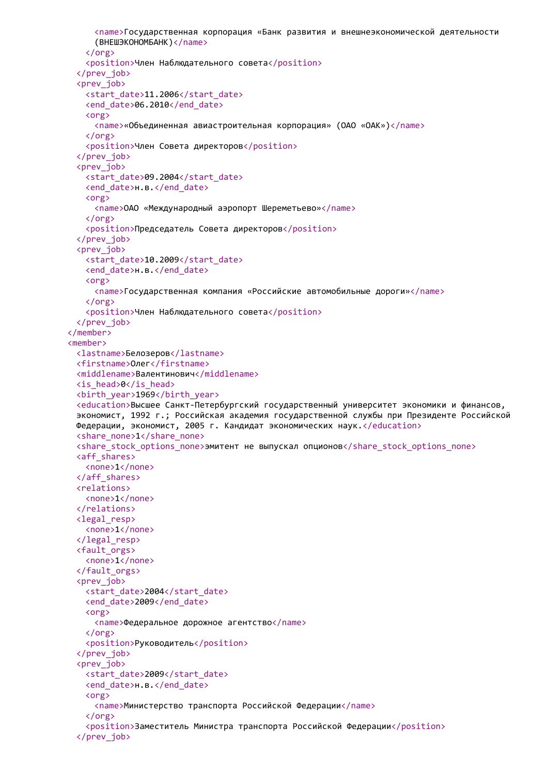```
<name>Государственная корпорация «Банк развития и внешнеэкономической деятельности
     (ВНЕШЭКОНОМБАНК)</name>
   </org>
   <position>Член Наблюдательного совета</position>
 </prev_job>
 <prev_job>
   <start_date>11.2006</start_date>
   <end date>06.2010</end date>
   <org>
     <name>«Объединенная авиастроительная корпорация» (ОАО «ОАК»)</name>
   </org>
   <position>Член Совета директоров</position>
 </prev_job>
 <prev_iob>
   <start_date>09.2004</start_date>
   <end date>н.в.</end date>
   <org>
     <name>ОАО «Международный аэропорт Шереметьево»</name>
   </org>
   <position>Председатель Совета директоров</position>
 </prev_job>
 <prev_job>
   <start_date>10.2009</start_date>
   <end date>н.в.</end date>
   <org>
     <name>Государственная компания «Российские автомобильные дороги»</name>
   </org>
   <position>Член Наблюдательного совета</position>
 </prev_job>
</member>
<member>
 <lastname>Белозеров</lastname>
 <firstname>Олег</firstname>
 <middlename>Валентинович</middlename>
 <is_head>0</is_head>
 <birth_year>1969</birth_year>
 <education>Высшее Санкт-Петербургский государственный университет экономики и финансов,
 экономист, 1992 г.; Российская академия государственной службы при Президенте Российской
 Федерации, экономист, 2005 г. Кандидат экономических наук.</education>
 <share_none>1</share_none>
 <share stock options none>эмитент не выпускал опционов</share stock options none>
 <aff_shares>
   <none>1</none>
 </aff_shares>
 <relations>
   <none>1</none>
 </relations>
 <legal_resp>
   <none>1</none>
 </legal_resp>
 <fault_orgs>
   <none>1</none>
 </fault_orgs>
 <prev_job>
   <start_date>2004</start_date>
   <end_date>2009</end_date>
   <org>
     <name>Федеральное дорожное агентство</name>
   </org>
   <position>Руководитель</position>
 </prev_job>
 <prev_iob>
   <start_date>2009</start_date>
   <end_date>н.в.</end_date>
   <org>
     <name>Министерство транспорта Российской Федерации</name>
   </org>
   <position>Заместитель Министра транспорта Российской Федерации</position>
 </prev_job>
```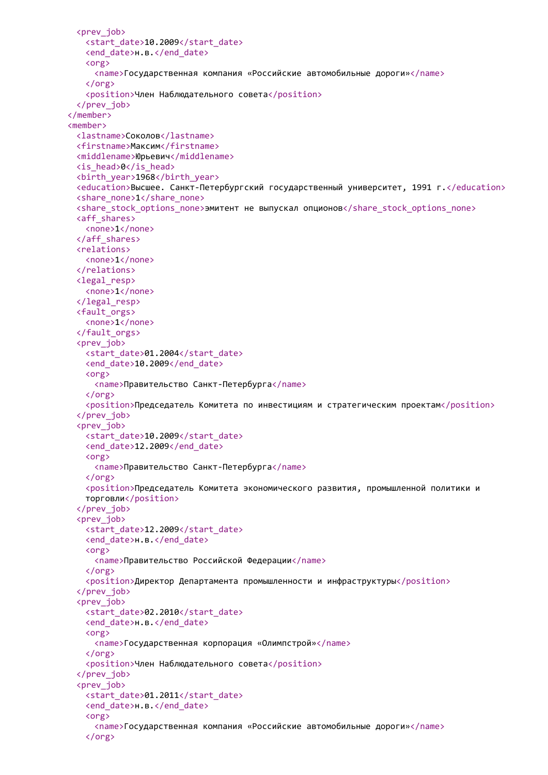```
<prev_job>
   <start_date>10.2009</start_date>
   <end_date>н.в.</end_date>
   <org>
     <name>Государственная компания «Российские автомобильные дороги»</name>
   </org>
   <position>Член Наблюдательного совета</position>
 </prev_job>
</member>
<member>
 <lastname>Соколов</lastname>
 <firstname>Максим</firstname>
 <middlename>Юрьевич</middlename>
 <is_head>0</is_head>
 <birth_year>1968</birth_year>
 <education>Высшее. Санкт-Петербургский государственный университет, 1991 г.</education>
 <share_none>1</share_none>
 <share_stock_options_none>эмитент не выпускал опционов</share stock options none>
 <aff_shares>
   <none>1</none>
 </aff_shares>
 <relations>
   <none>1</none>
 </relations>
 <legal_resp>
   <none>1</none>
 </legal_resp>
 <fault_orgs>
   <none>1</none>
 </fault_orgs>
 <prev_job>
   <start_date>01.2004</start_date>
   <end_date>10.2009</end_date>
   <org>
     <name>Правительство Санкт-Петербурга</name>
   </org>
   <position>Председатель Комитета по инвестициям и стратегическим проектам</position>
 </prev_job>
 <prev_job>
   <start_date>10.2009</start_date>
   <end date>12.2009</end date>
   <org>
     <name>Правительство Санкт-Петербурга</name>
   </org>
   <position>Председатель Комитета экономического развития, промышленной политики и
   торговли</position>
 </prev_job>
 <prev_job>
   <start_date>12.2009</start_date>
   <end date>н.в.</end date>
   <org>
     <name>Правительство Российской Федерации</name>
   \langle/org\rangle<position>Директор Департамента промышленности и инфраструктуры</position>
 </prev_job>
 <prev_iob>
   <start_date>02.2010</start_date>
   <end date>н.в.</end date>
   <org>
     <name>Государственная корпорация «Олимпстрой»</name>
   </org>
   <position>Член Наблюдательного совета</position>
 </prev_job>
 <prev_job>
   <start_date>01.2011</start_date>
   <end_date>н.в.</end_date>
   <org>
     <name>Государственная компания «Российские автомобильные дороги»</name>
   </org>
```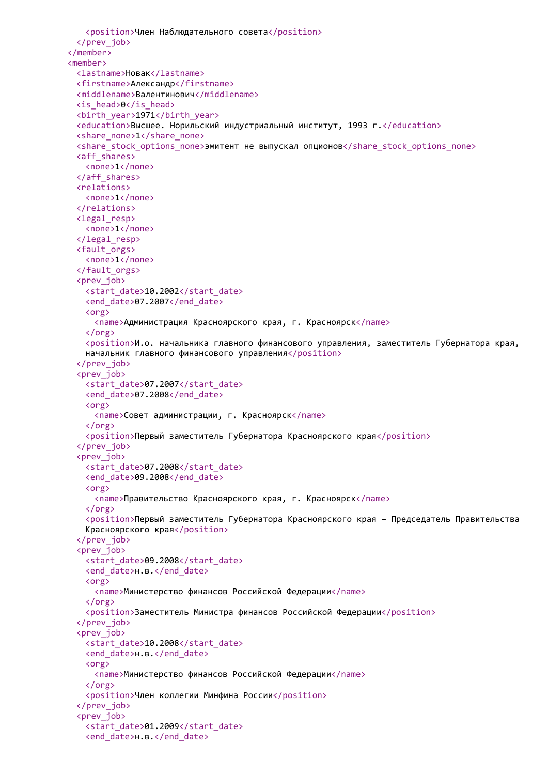```
<position>Член Наблюдательного совета</position>
 </prev_job>
</member>
<member>
 <lastname>Новак</lastname>
 <firstname>Александр</firstname>
 <middlename>Валентинович</middlename>
 <is_head>0</is_head>
 <birth_year>1971</birth_year>
 <education>Высшее. Норильский индустриальный институт, 1993 г.</education>
 <share_none>1</share_none>
 <share_stock_options_none>эмитент не выпускал опционов</share stock options none>
 <aff_shares>
   <none>1</none>
 </aff_shares>
 <relations>
   <none>1</none>
 </relations>
 <legal_resp>
   <none>1</none>
 </legal_resp>
 <fault_orgs>
   <none>1</none>
 </fault_orgs>
 <prev_job>
   <start_date>10.2002</start_date>
   <end_date>07.2007</end_date>
   <org>
     <name>Администрация Красноярского края, г. Красноярск</name>
   </org>
   <position>И.о. начальника главного финансового управления, заместитель Губернатора края,
   начальник главного финансового управления</position>
 </prev_job>
 <prev_job>
   <start_date>07.2007</start_date>
   <end_date>07.2008</end_date>
   <org>
     <name>Совет администрации, г. Красноярск</name>
   </org>
   <position>Первый заместитель Губернатора Красноярского края</position>
 </prev_job>
 <prev_job>
   <start_date>07.2008</start_date>
   <end date>09.2008</end date>
   <org>
     <name>Правительство Красноярского края, г. Красноярск</name>
   \langle/org\rangle<position>Первый заместитель Губернатора Красноярского края – Председатель Правительства
   Красноярского края</position>
 </prev_job>
 <prev_iob>
   <start_date>09.2008</start_date>
   <end date>н.в.</end date>
   <org>
     <name>Министерство финансов Российской Федерации</name>
   </org>
   <position>Заместитель Министра финансов Российской Федерации</position>
 </prev_job>
 <prev_job>
   <start_date>10.2008</start_date>
   <end date>н.в.</end date>
   <org>
     <name>Министерство финансов Российской Федерации</name>
   </org>
   <position>Член коллегии Минфина России</position>
 </prev_job>
 <prev_job>
   <start_date>01.2009</start_date>
   <end_date>н.в.</end_date>
```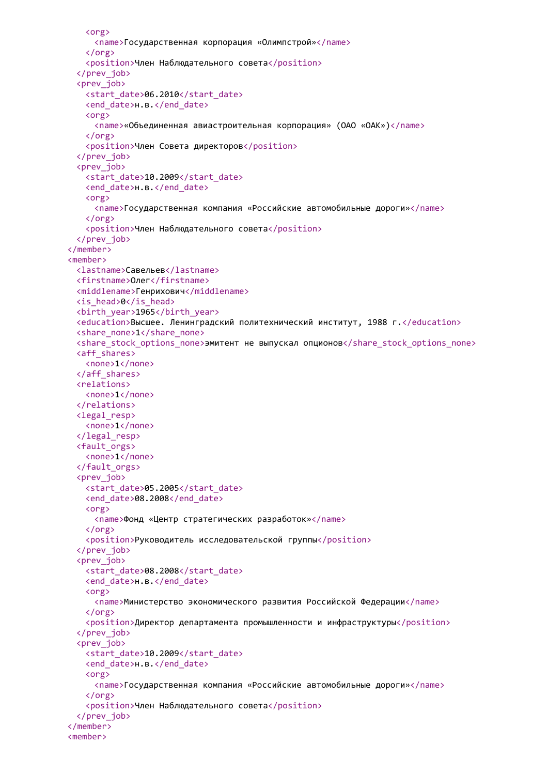```
<org>
     <name>Государственная корпорация «Олимпстрой»</name>
   </org>
   <position>Член Наблюдательного совета</position>
 </prev_job>
 <prev_job>
   <start_date>06.2010</start_date>
   <end_date>н.в.</end_date>
   <org>
     <name>«Объединенная авиастроительная корпорация» (ОАО «ОАК»)</name>
   </org>
   <position>Член Совета директоров</position>
 </prev_job>
 <prev_iob>
   <start_date>10.2009</start_date>
   <end date>н.в.</end date>
   <org>
     <name>Государственная компания «Российские автомобильные дороги»</name>
   </org>
   <position>Член Наблюдательного совета</position>
 </prev_job>
</member>
<member>
 <lastname>Савельев</lastname>
 <firstname>Олег</firstname>
 <middlename>Генрихович</middlename>
 <is_head>0</is_head>
 <birth_year>1965</birth_year>
 <education>Высшее. Ленинградский политехнический институт, 1988 г.</education>
 <share_none>1</share_none>
 <share stock options none>эмитент не выпускал опционов</share stock options none>
 <aff_shares>
   <none>1</none>
 </aff_shares>
 <relations>
   <none>1</none>
 </relations>
 <legal_resp>
   <none>1</none>
 </legal_resp>
 <fault_orgs>
   <none>1</none>
 </fault_orgs>
 <prev_job>
   <start_date>05.2005</start_date>
   <end date>08.2008</end date>
   <org>
     <name>Фонд «Центр стратегических разработок»</name>
   \langle/org\rangle<position>Руководитель исследовательской группы</position>
 </prev_job>
 <prev_iob>
   <start_date>08.2008</start_date>
   <end date>н.в.</end date>
   <org>
     <name>Министерство экономического развития Российской Федерации</name>
   </org>
   <position>Директор департамента промышленности и инфраструктуры</position>
 </prev_job>
 <prev_iob>
   <start_date>10.2009</start_date>
   <end date>н.в.</end date>
   <org>
     <name>Государственная компания «Российские автомобильные дороги»</name>
   </org>
   <position>Член Наблюдательного совета</position>
 </prev_job>
</member>
<member>
```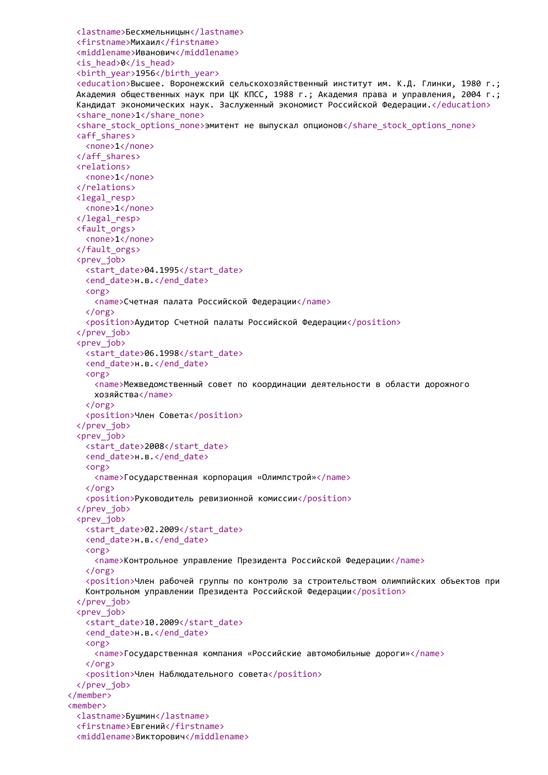```
<lastname>Бесхмельницын</lastname>
 <firstname>Михаил</firstname>
 <middlename>Иванович</middlename>
 <is_head>0</is_head>
 <birth_year>1956</birth_year>
 <education>Высшее. Воронежский сельскохозяйственный институт им. К.Д. Глинки, 1980 г.;
 Академия общественных наук при ЦК КПСС, 1988 г.; Академия права и управления, 2004 г.;
 Кандидат экономических наук. Заслуженный экономист Российской Федерации.</education>
 <share_none>1</share_none>
 <share stock options none>эмитент не выпускал опционов</share stock options none>
 <aff_shares>
   <none>1</none>
 </aff_shares>
 <relations>
   <none>1</none>
 </relations>
 <legal_resp>
   <none>1</none>
 </legal_resp>
 <fault_orgs>
   <none>1</none>
 </fault_orgs>
 <prev_job>
   <start_date>04.1995</start_date>
   <end_date>н.в.</end_date>
   <org>
     <name>Счетная палата Российской Федерации</name>
   </org>
   <position>Аудитор Счетной палаты Российской Федерации</position>
 </prev_job>
 <prev_job>
   <start_date>06.1998</start_date>
   <end date>н.в.</end date>
   <org>
     <name>Межведомственный совет по координации деятельности в области дорожного
     хозяйства</name>
   </org>
   <position>Член Совета</position>
 </prev_job>
 <prev_job>
   <start_date>2008</start_date>
   <end_date>н.в.</end_date>
   <org>
     <name>Государственная корпорация «Олимпстрой»</name>
   \langle/org\rangle<position>Руководитель ревизионной комиссии</position>
 </prev_job>
 <prev_job>
   <start_date>02.2009</start_date>
   <end date>н.в.</end date>
   <org>
     <name>Контрольное управление Президента Российской Федерации</name>
   \langle/org\rangle<position>Член рабочей группы по контролю за строительством олимпийских объектов при
   Контрольном управлении Президента Российской Федерации</position>
 </prev_job>
 <prev_iob>
   <start_date>10.2009</start_date>
   <end date>н.в.</end date>
   <org>
     <name>Государственная компания «Российские автомобильные дороги»</name>
   \zeta/org\zeta<position>Член Наблюдательного совета</position>
 </prev_job>
</member>
<member>
 <lastname>Бушмин</lastname>
 <firstname>Евгений</firstname>
 <middlename>Викторович</middlename>
```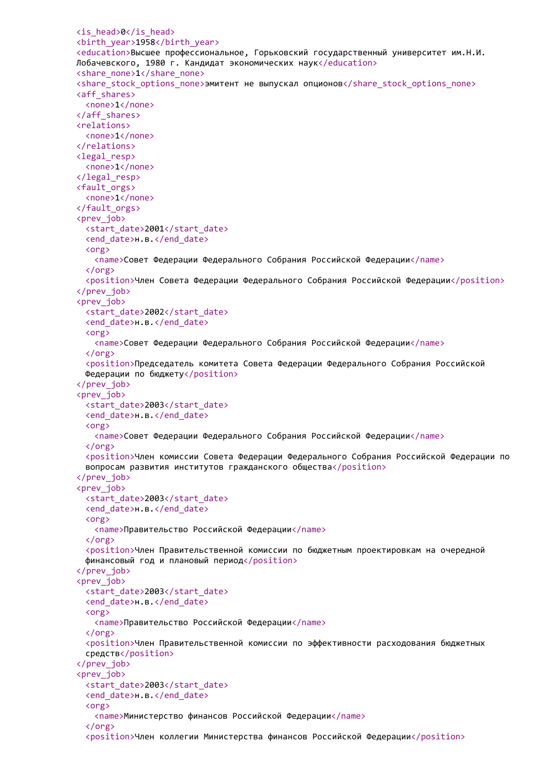```
<is_head>0</is_head>
<birth_year>1958</birth_year>
<education>Высшее профессиональное, Горьковский государственный университет им.Н.И.
Лобачевского, 1980 г. Кандидат экономических наук</education>
<share_none>1</share_none>
<share stock options none>эмитент не выпускал опционов</share stock options none>
<aff_shares>
 <none>1</none>
</aff_shares>
<relations>
 <none>1</none>
</relations>
<legal_resp>
 <none>1</none>
</legal_resp>
<fault_orgs>
 <none>1</none>
</fault_orgs>
<prev_job>
  <start_date>2001</start_date>
  <end date>н.в.</end date>
  <org>
    <name>Совет Федерации Федерального Собрания Российской Федерации</name>
  </org>
  <position>Член Совета Федерации Федерального Собрания Российской Федерации</position>
</prev_job>
<prev_job>
  <start_date>2002</start_date>
  <end date>н.в.</end date>
  <org>
    <name>Совет Федерации Федерального Собрания Российской Федерации</name>
  </org>
  <position>Председатель комитета Совета Федерации Федерального Собрания Российской
  Федерации по бюджету</position>
</prev_job>
<prev_job>
  <start_date>2003</start_date>
  <end date>н.в.</end date>
 <org>
   <name>Совет Федерации Федерального Собрания Российской Федерации</name>
  </org>
  <position>Член комиссии Совета Федерации Федерального Собрания Российской Федерации по
  вопросам развития институтов гражданского общества</position>
</prev_job>
<prev_job>
  <start_date>2003</start_date>
  <end date>н.в.</end date>
  <org>
   <name>Правительство Российской Федерации</name>
  \langle/org\rangle<position>Член Правительственной комиссии по бюджетным проектировкам на очередной
  финансовый год и плановый период</position>
</prev_job>
<prev_job>
  <start_date>2003</start_date>
  <end date>н.в.</end date>
  <org>
   <name>Правительство Российской Федерации</name>
  \zeta/org\zeta<position>Член Правительственной комиссии по эффективности расходования бюджетных
  средств</position>
</prev_job>
<prev_iob>
  <start_date>2003</start_date>
  <end_date>н.в.</end_date>
  <org>
   <name>Министерство финансов Российской Федерации</name>
  </org>
  <position>Член коллегии Министерства финансов Российской Федерации</position>
```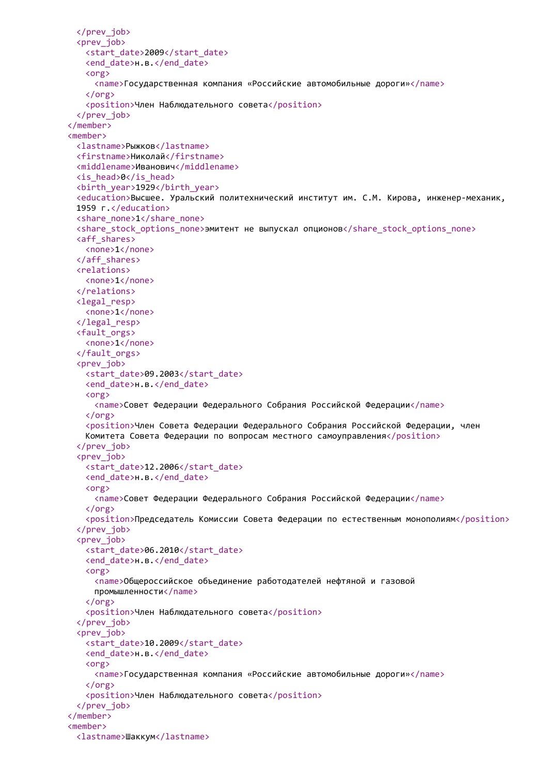```
</prev_job>
 <prev_job>
   <start_date>2009</start_date>
   <end_date>н.в.</end_date>
   <org>
     <name>Государственная компания «Российские автомобильные дороги»</name>
   </org>
   <position>Член Наблюдательного совета</position>
 </prev_job>
</member>
<member>
 <lastname>Рыжков</lastname>
 <firstname>Николай</firstname>
 <middlename>Иванович</middlename>
 <is_head>0</is_head>
 <birth_year>1929</birth_year>
 <education>Высшее. Уральский политехнический институт им. С.М. Кирова, инженер-механик,
 1959 г.</education>
 <share_none>1</share_none>
 <share stock options none>эмитент не выпускал опционов</share stock options none>
 <aff_shares>
   <none>1</none>
 </aff_shares>
 <relations>
   <none>1</none>
 </relations>
 <legal_resp>
   <none>1</none>
 </legal_resp>
 <fault_orgs>
   <none>1</none>
 </fault_orgs>
 <prev_job>
   <start_date>09.2003</start_date>
   <end date>н.в.</end date>
   <org>
     <name>Совет Федерации Федерального Собрания Российской Федерации</name>
   </org>
   <position>Член Совета Федерации Федерального Собрания Российской Федерации, член
   Комитета Совета Федерации по вопросам местного самоуправления</position>
 </prev_job>
 <prev_job>
   <start_date>12.2006</start_date>
   <end date>н.в.</end date>
   <org>
     <name>Совет Федерации Федерального Собрания Российской Федерации</name>
   \langle/org\rangle<position>Председатель Комиссии Совета Федерации по естественным монополиям</position>
 </prev_job>
 <prev_iob>
   <start_date>06.2010</start_date>
   <end date>н.в.</end date>
   <org>
     <name>Общероссийское объединение работодателей нефтяной и газовой
     промышленности</name>
   </org>
   <position>Член Наблюдательного совета</position>
 </prev_job>
 <prev_iob>
   <start_date>10.2009</start_date>
   <end date>н.в.</end date>
   <org>
     <name>Государственная компания «Российские автомобильные дороги»</name>
   </org>
   <position>Член Наблюдательного совета</position>
 </prev_job>
</member>
<member>
 <lastname>Шаккум</lastname>
```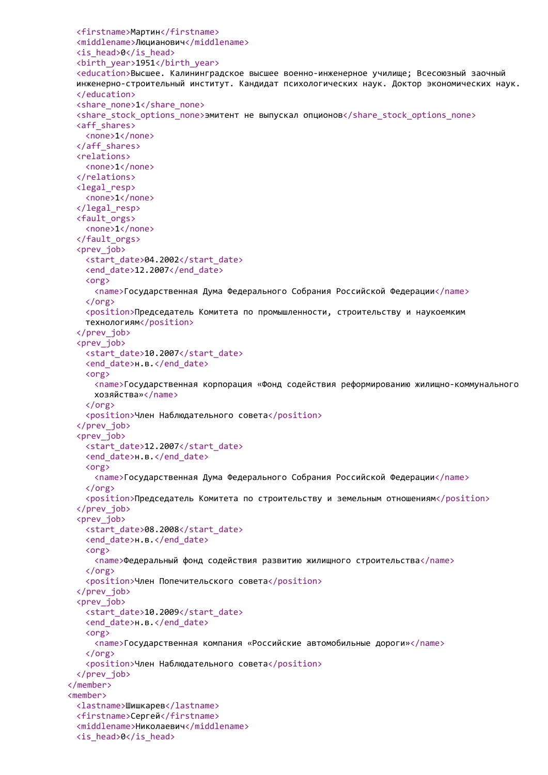```
<firstname>Мартин</firstname>
 <middlename>Люцианович</middlename>
 <is_head>0</is_head>
 <birth_year>1951</birth_year>
 <education>Высшее. Калининградское высшее военно-инженерное училище; Всесоюзный заочный
 инженерно-строительный институт. Кандидат психологических наук. Доктор экономических наук.
 </education>
 <share_none>1</share_none>
 <share_stock_options_none>эмитент не выпускал опционов</share_stock_options_none>
 <aff_shares>
   <none>1</none>
 </aff_shares>
 <relations>
   <none>1</none>
 </relations>
 <legal_resp>
   <none>1</none>
 </legal_resp>
 <fault_orgs>
   <none>1</none>
 </fault_orgs>
 <prev_job>
   <start_date>04.2002</start_date>
   <end_date>12.2007</end_date>
   <org>
     <name>Государственная Дума Федерального Собрания Российской Федерации</name>
   </org>
   <position>Председатель Комитета по промышленности, строительству и наукоемким
   технологиям</position>
 </prev_job>
 <prev_job>
   <start_date>10.2007</start_date>
   <end date>н.в.</end date>
   <org>
     <name>Государственная корпорация «Фонд содействия реформированию жилищно-коммунального
     хозяйства»</name>
   </org>
   <position>Член Наблюдательного совета</position>
 </prev_job>
 <prev_job>
   <start_date>12.2007</start_date>
   <end_date>н.в.</end_date>
   <org>
     <name>Государственная Дума Федерального Собрания Российской Федерации</name>
   \langle/org\rangle<position>Председатель Комитета по строительству и земельным отношениям</position>
 </prev_job>
 <prev_job>
   <start_date>08.2008</start_date>
   <end date>н.в.</end date>
   <org>
     <name>Федеральный фонд содействия развитию жилищного строительства</name>
   \langle/org\rangle<position>Член Попечительского совета</position>
 </prev_job>
 <prev_iob>
   <start_date>10.2009</start_date>
   <end date>н.в.</end date>
   <org>
     <name>Государственная компания «Российские автомобильные дороги»</name>
   </org>
   <position>Член Наблюдательного совета</position>
 </prev_job>
</member>
<member>
 <lastname>Шишкарев</lastname>
 <firstname>Сергей</firstname>
 <middlename>Николаевич</middlename>
 <is_head>0</is_head>
```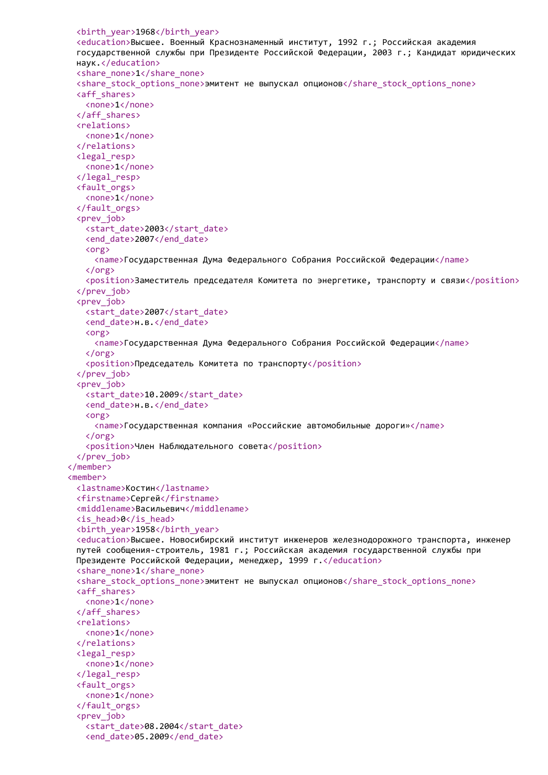```
<birth_year>1968</birth_year>
 <education>Высшее. Военный Краснознаменный институт, 1992 г.; Российская академия
 государственной службы при Президенте Российской Федерации, 2003 г.; Кандидат юридических
 наук.</education>
 <share_none>1</share_none>
 <share stock options none>эмитент не выпускал опционов</share stock options none>
 <aff_shares>
   <none>1</none>
 </aff_shares>
 <relations>
   <none>1</none>
 </relations>
 <legal_resp>
   <none>1</none>
 </legal_resp>
 <fault_orgs>
   <none>1</none>
 </fault_orgs>
 <prev_job>
   <start_date>2003</start_date>
   <end_date>2007</end_date>
   <org>
     <name>Государственная Дума Федерального Собрания Российской Федерации</name>
   </org>
   <position>Заместитель председателя Комитета по энергетике, транспорту и связи</position>
 </prev_job>
 <prev_job>
   <start_date>2007</start_date>
   <end date>н.в.</end date>
   <org>
     <name>Государственная Дума Федерального Собрания Российской Федерации</name>
   </org>
   <position>Председатель Комитета по транспорту</position>
 </prev_job>
 <prev_job>
   <start_date>10.2009</start_date>
   <end_date>н.в.</end_date>
   <org>
     <name>Государственная компания «Российские автомобильные дороги»</name>
   </org>
   <position>Член Наблюдательного совета</position>
 </prev_job>
</member>
<member>
 <lastname>Костин</lastname>
 <firstname>Сергей</firstname>
 <middlename>Васильевич</middlename>
 <is_head>0</is_head>
 <birth_year>1958</birth_year>
 <education>Высшее. Новосибирский институт инженеров железнодорожного транспорта, инженер
 путей сообщения-строитель, 1981 г.; Российская академия государственной службы при
 Президенте Российской Федерации, менеджер, 1999 г.</education>
 <share_none>1</share_none>
 <share stock options none>эмитент не выпускал опционов</share stock options none>
 <aff_shares>
   <none>1</none>
 </aff_shares>
 <relations>
   <none>1</none>
 </relations>
 <legal_resp>
   <none>1</none>
 </legal_resp>
 <fault_orgs>
   <none>1</none>
 </fault_orgs>
 <prev_job>
   <start_date>08.2004</start_date>
   <end_date>05.2009</end_date>
```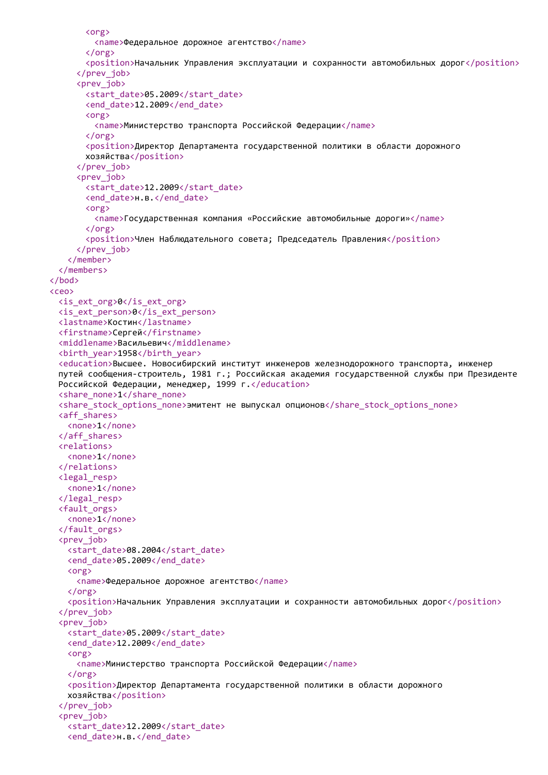```
<org>
         <name>Федеральное дорожное агентство</name>
       </org>
       <position>Начальник Управления эксплуатации и сохранности автомобильных дорог</position>
     </prev_job>
     <prev_job>
       <start_date>05.2009</start_date>
       <end_date>12.2009</end_date>
       <org>
         <name>Министерство транспорта Российской Федерации</name>
       </org>
       <position>Директор Департамента государственной политики в области дорожного
       хозяйства</position>
     </prev_job>
     <prev_job>
       <start_date>12.2009</start_date>
       <end date>н.в.</end date>
       <org>
         <name>Государственная компания «Российские автомобильные дороги»</name>
       </org>
       <position>Член Наблюдательного совета; Председатель Правления</position>
     </prev_job>
   </member>
  </members>
</bod>
<ceo>
  <is_ext_org>0</is_ext_org>
  <is_ext_person>0</is_ext_person>
  <lastname>Костин</lastname>
  <firstname>Сергей</firstname>
  <middlename>Васильевич</middlename>
  <birth_year>1958</birth_year>
  <education>Высшее. Новосибирский институт инженеров железнодорожного транспорта, инженер
 путей сообщения-строитель, 1981 г.; Российская академия государственной службы при Президенте
 Российской Федерации, менеджер, 1999 г.</education>
  <share_none>1</share_none>
  <share_stock_options_none>эмитент не выпускал опционов</share_stock_options_none>
  <aff_shares>
   <none>1</none>
  </aff_shares>
  <relations>
   <none>1</none>
  </relations>
  <legal_resp>
   <none>1</none>
  </legal_resp>
  <fault_orgs>
   <none>1</none>
  </fault_orgs>
  <prev_iob>
   <start_date>08.2004</start_date>
   <end_date>05.2009</end_date>
   <org>
     <name>Федеральное дорожное агентство</name>
   </org>
   <position>Начальник Управления эксплуатации и сохранности автомобильных дорог</position>
  </prev_job>
  <prev_iob>
   <start_date>05.2009</start_date>
   <end_date>12.2009</end_date>
   <org>
     <name>Министерство транспорта Российской Федерации</name>
   \langle/org\rangle<position>Директор Департамента государственной политики в области дорожного
   хозяйства</position>
  </prev_job>
  <prev_job>
   <start_date>12.2009</start_date>
   <end_date>н.в.</end_date>
```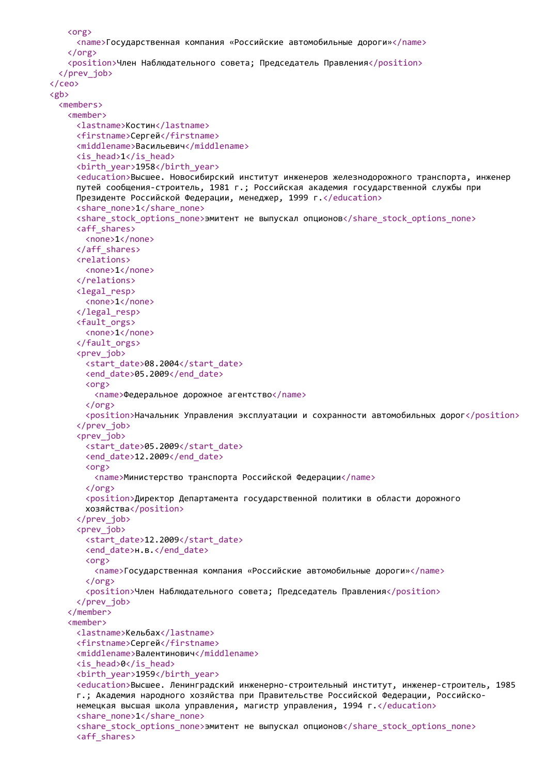```
<org>
     <name>Государственная компания «Российские автомобильные дороги»</name>
   </org>
   <position>Член Наблюдательного совета; Председатель Правления</position>
  </prev_job>
</ceo>
<gb>
  <members>
   <member>
     <lastname>Костин</lastname>
     <firstname>Сергей</firstname>
     <middlename>Васильевич</middlename>
     <is_head>1</is_head>
     <birth_year>1958</birth_year>
     <education>Высшее. Новосибирский институт инженеров железнодорожного транспорта, инженер
     путей сообщения-строитель, 1981 г.; Российская академия государственной службы при
     Президенте Российской Федерации, менеджер, 1999 г.</education>
     <share_none>1</share_none>
     <share_stock_options_none>эмитент не выпускал опционов</share_stock_options_none>
     <aff_shares>
       <none>1</none>
     </aff_shares>
     <relations>
       <none>1</none>
     </relations>
     <legal_resp>
       <none>1</none>
     </legal_resp>
     <fault_orgs>
       <none>1</none>
     </fault_orgs>
     <prev_job>
       <start_date>08.2004</start_date>
       <end_date>05.2009</end_date>
       <org>
         <name>Федеральное дорожное агентство</name>
       </org>
       <position>Начальник Управления эксплуатации и сохранности автомобильных дорог</position>
     </prev_job>
     <prev_job>
       <start_date>05.2009</start_date>
       <end_date>12.2009</end_date>
       <org>
         <name>Министерство транспорта Российской Федерации</name>
       \langle/org\rangle<position>Директор Департамента государственной политики в области дорожного
       хозяйства</position>
     </prev_job>
     <prev_job>
       <start_date>12.2009</start_date>
       <end date>н.в.</end date>
       <org>
         <name>Государственная компания «Российские автомобильные дороги»</name>
       \zeta/org\zeta<position>Член Наблюдательного совета; Председатель Правления</position>
     </prev_job>
   </member>
   <member>
     <lastname>Кельбах</lastname>
     <firstname>Сергей</firstname>
     <middlename>Валентинович</middlename>
     <is_head>0</is_head>
     <birth_year>1959</birth_year>
     <education>Высшее. Ленинградский инженерно-строительный институт, инженер-строитель, 1985
     г.; Академия народного хозяйства при Правительстве Российской Федерации, Российско-
     немецкая высшая школа управления, магистр управления, 1994 г.</education>
     <share_none>1</share_none>
     <share_stock_options_none>эмитент не выпускал опционов</share_stock_options_none>
     <aff_shares>
```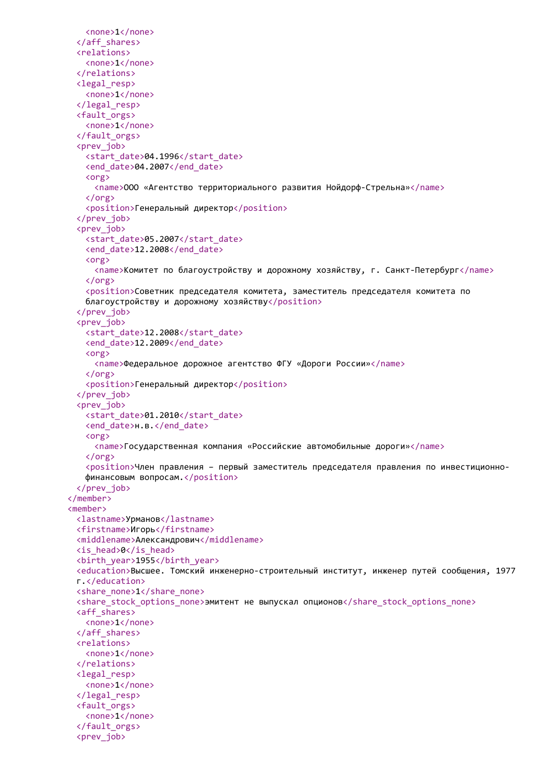```
<none>1</none>
 </aff_shares>
 <relations>
   <none>1</none>
 </relations>
 <legal_resp>
   <none>1</none>
 </legal_resp>
 <fault_orgs>
   <none>1</none>
 </fault_orgs>
 <prev_job>
   <start_date>04.1996</start_date>
   <end_date>04.2007</end_date>
   <org>
     <name>ООО «Агентство территориального развития Нойдорф-Стрельна»</name>
   </org>
   <position>Генеральный директор</position>
 </prev_job>
 <prev_job>
   <start_date>05.2007</start_date>
   <end date>12.2008</end date>
   <org>
     <name>Комитет по благоустройству и дорожному хозяйству, г. Санкт-Петербург</name>
   </org>
   <position>Советник председателя комитета, заместитель председателя комитета по
   благоустройству и дорожному хозяйству</position>
 </prev_job>
 <prev_job>
   <start_date>12.2008</start_date>
   <end_date>12.2009</end_date>
   <org>
     <name>Федеральное дорожное агентство ФГУ «Дороги России»</name>
   </org>
   <position>Генеральный директор</position>
 </prev_job>
 <prev_job>
   <start_date>01.2010</start_date>
   <end date>н.в.</end date>
   <org>
     <name>Государственная компания «Российские автомобильные дороги»</name>
   </org>
   <position>Член правления – первый заместитель председателя правления по инвестиционно-
   финансовым вопросам.</position>
 </prev_job>
</member>
<member>
 <lastname>Урманов</lastname>
 <firstname>Игорь</firstname>
 <middlename>Александрович</middlename>
 <is_head>0</is_head>
 <birth_year>1955</birth_year>
 <education>Высшее. Томский инженерно-строительный институт, инженер путей сообщения, 1977
 г.</education>
 <share_none>1</share_none>
 <share_stock_options_none>эмитент не выпускал опционов</share_stock_options_none>
 <aff_shares>
   <none>1</none>
 </aff_shares>
 <relations>
   <none>1</none>
 </relations>
 <legal_resp>
   <none>1</none>
 </legal_resp>
 <fault_orgs>
   <none>1</none>
 </fault_orgs>
 <prev_job>
```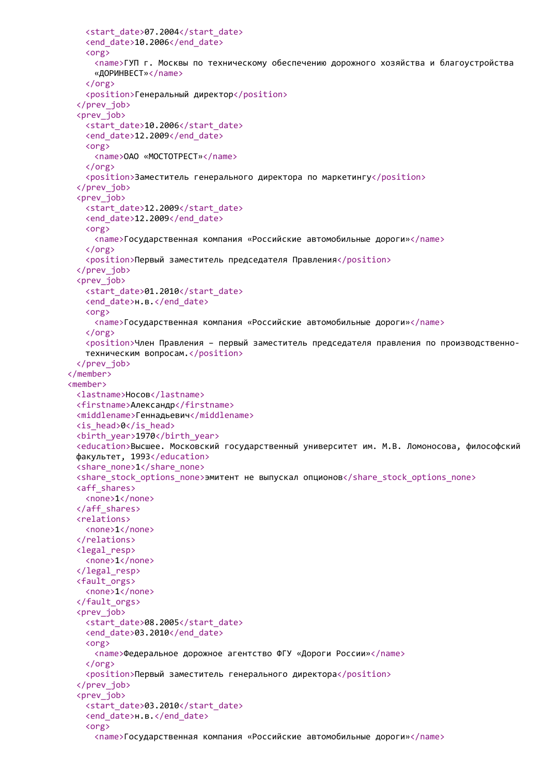```
<start_date>07.2004</start_date>
   <end_date>10.2006</end_date>
   <org>
     <name>ГУП г. Москвы по техническому обеспечению дорожного хозяйства и благоустройства
     «ДОРИНВЕСТ»</name>
   </org>
   <position>Генеральный директор</position>
 </prev_job>
 <prev_job>
   <start_date>10.2006</start_date>
   <end_date>12.2009</end_date>
   <org>
     <name>ОАО «МОСТОТРЕСТ»</name>
   </org>
   <position>Заместитель генерального директора по маркетингу</position>
 </prev_job>
 <prev_job>
   <start_date>12.2009</start_date>
   <end_date>12.2009</end_date>
   <org>
     <name>Государственная компания «Российские автомобильные дороги»</name>
   </org>
   <position>Первый заместитель председателя Правления</position>
 </prev_job>
 <prev_job>
   <start_date>01.2010</start_date>
   <end date>н.в.</end date>
   <org>
     <name>Государственная компания «Российские автомобильные дороги»</name>
   </org>
   <position>Член Правления – первый заместитель председателя правления по производственно-
   техническим вопросам.</position>
 </prev_job>
</member>
<member>
 <lastname>Носов</lastname>
 <firstname>Александр</firstname>
 <middlename>Геннадьевич</middlename>
 <is_head>0</is_head>
 <birth_year>1970</birth_year>
 <education>Высшее. Московский государственный университет им. М.В. Ломоносова, философский
 факультет, 1993</education>
 <share_none>1</share_none>
 <share stock options none>эмитент не выпускал опционов</share stock options none>
 <aff_shares>
   <none>1</none>
 </aff_shares>
 <relations>
   <none>1</none>
 </relations>
 <legal_resp>
   <none>1</none>
 </legal_resp>
 <fault_orgs>
   <none>1</none>
 </fault_orgs>
 <prev_iob>
   <start_date>08.2005</start_date>
   <end date>03.2010</end date>
   <org>
     <name>Федеральное дорожное агентство ФГУ «Дороги России»</name>
   </org>
   <position>Первый заместитель генерального директора</position>
 </prev_job>
 <prev_job>
   <start_date>03.2010</start_date>
   <end_date>н.в.</end_date>
   <org>
     <name>Государственная компания «Российские автомобильные дороги»</name>
```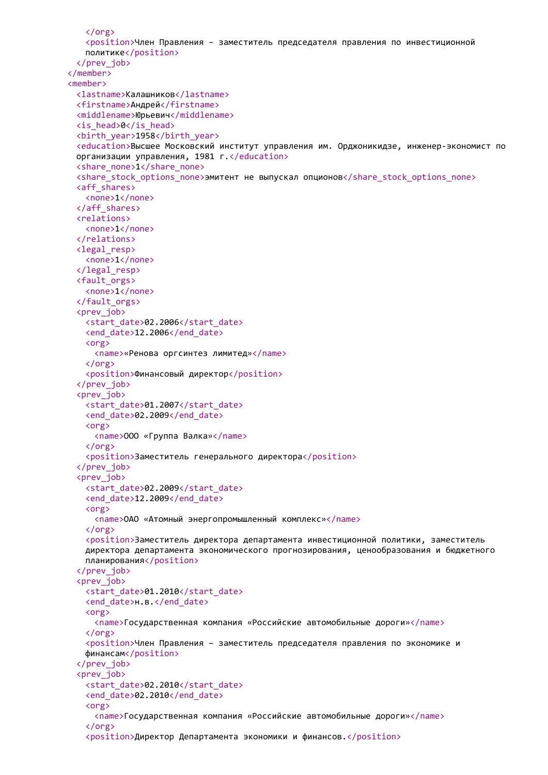```
</org>
   <position>Член Правления – заместитель председателя правления по инвестиционной
   политике</position>
 </prev_job>
</member>
<member>
 <lastname>Калашников</lastname>
 <firstname>Андрей</firstname>
 <middlename>Юрьевич</middlename>
 <is_head>0</is_head>
 <birth_year>1958</birth_year>
 <education>Высшее Московский институт управления им. Орджоникидзе, инженер-экономист по
 организации управления, 1981 г.</education>
 <share_none>1</share_none>
 <share_stock_options_none>эмитент не выпускал опционов</share_stock_options_none>
 <aff_shares>
   <none>1</none>
 </aff_shares>
 <relations>
   <none>1</none>
 </relations>
 <legal_resp>
   <none>1</none>
 </legal_resp>
 <fault_orgs>
   <none>1</none>
 </fault_orgs>
 <prev_job>
   <start_date>02.2006</start_date>
   <end_date>12.2006</end_date>
   <org>
     <name>«Ренова оргсинтез лимитед»</name>
   </org>
   <position>Финансовый директор</position>
 </prev_job>
 <prev_job>
   <start_date>01.2007</start_date>
   <end_date>02.2009</end_date>
   <org>
     <name>ООО «Группа Валка»</name>
   </org>
   <position>Заместитель генерального директора</position>
 </prev_job>
 <prev_job>
   <start_date>02.2009</start_date>
   <end date>12.2009</end date>
   <org>
     <name>ОАО «Атомный энергопромышленный комплекс»</name>
   \langle/org\rangle<position>Заместитель директора департамента инвестиционной политики, заместитель
   директора департамента экономического прогнозирования, ценообразования и бюджетного
   планирования</position>
 </prev_job>
 <prev_job>
   <start_date>01.2010</start_date>
   <end date>н.в.</end date>
   <org>
     <name>Государственная компания «Российские автомобильные дороги»</name>
   \zeta/org\zeta<position>Член Правления – заместитель председателя правления по экономике и
   финансам</position>
 </prev_job>
 <prev_iob>
   <start_date>02.2010</start_date>
   <end_date>02.2010</end_date>
   <org>
     <name>Государственная компания «Российские автомобильные дороги»</name>
   </org>
   <position>Директор Департамента экономики и финансов.</position>
```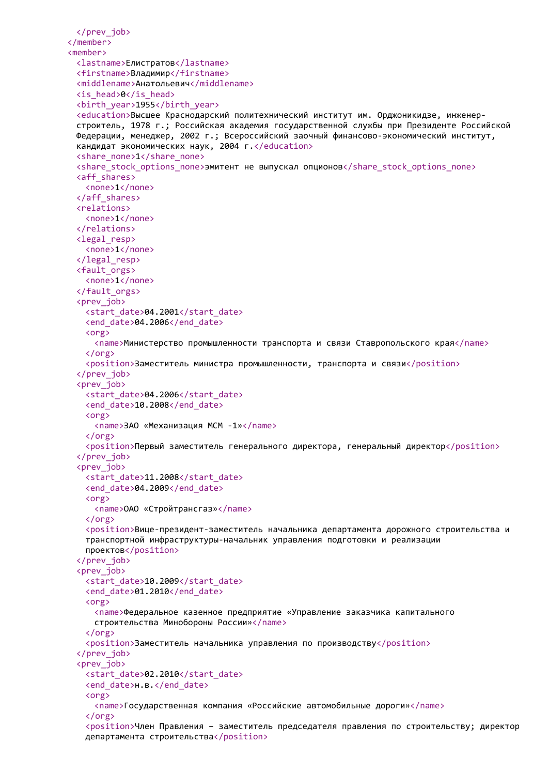```
</prev_job>
</member>
<member>
 <lastname>Елистратов</lastname>
 <firstname>Владимир</firstname>
 <middlename>Анатольевич</middlename>
 <is_head>0</is_head>
 <birth_year>1955</birth_year>
 <education>Высшее Краснодарский политехнический институт им. Орджоникидзе, инженер-
 строитель, 1978 г.; Российская академия государственной службы при Президенте Российской
 Федерации, менеджер, 2002 г.; Всероссийский заочный финансово-экономический институт,
 кандидат экономических наук, 2004 г.</education>
 <share_none>1</share_none>
 <share stock options none>эмитент не выпускал опционов</share stock options none>
 <aff_shares>
   <none>1</none>
 </aff_shares>
 <relations>
   <none>1</none>
 </relations>
 <legal_resp>
   <none>1</none>
 </legal_resp>
 <fault_orgs>
   <none>1</none>
 </fault_orgs>
 <prev_job>
   <start_date>04.2001</start_date>
   <end_date>04.2006</end_date>
   <org>
     <name>Министерство промышленности транспорта и связи Ставропольского края</name>
   </org>
   <position>Заместитель министра промышленности, транспорта и связи</position>
 </prev_job>
 <prev_job>
   <start_date>04.2006</start_date>
   <end_date>10.2008</end_date>
   <org>
     <name>ЗАО «Механизация МСМ -1»</name>
   </org>
   <position>Первый заместитель генерального директора, генеральный директор</position>
 </prev_job>
 <prev_job>
   <start_date>11.2008</start_date>
   <end date>04.2009</end date>
   <org>
     <name>ОАО «Стройтрансгаз»</name>
   \langle/org\rangle<position>Вице-президент-заместитель начальника департамента дорожного строительства и
   транспортной инфраструктуры-начальник управления подготовки и реализации
   проектов</position>
 </prev_job>
 <prev_iob>
   <start_date>10.2009</start_date>
   <end_date>01.2010</end_date>
   <org>
     <name>Федеральное казенное предприятие «Управление заказчика капитального
     строительства Минобороны России»</name>
   \zeta/org\zeta<position>Заместитель начальника управления по производству</position>
 </prev_job>
 <prev_iob>
   <start_date>02.2010</start_date>
   <end date>н.в.</end date>
   <org>
     <name>Государственная компания «Российские автомобильные дороги»</name>
   </org>
   <position>Член Правления – заместитель председателя правления по строительству; директор
   департамента строительства</position>
```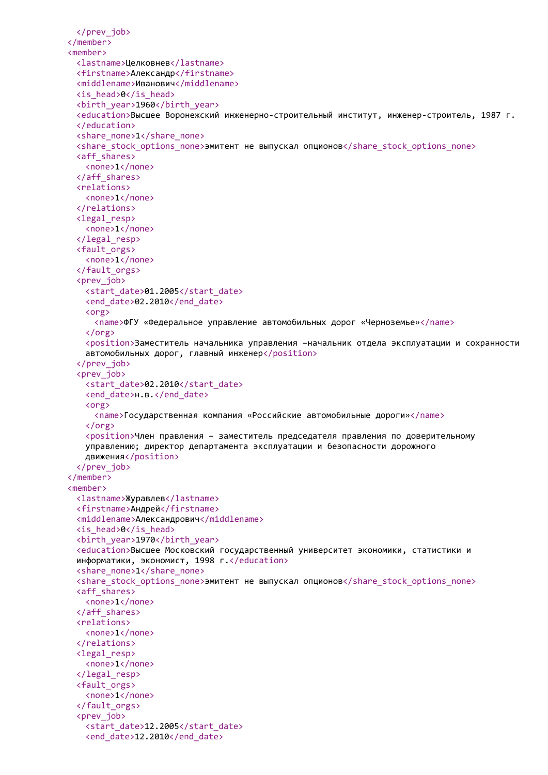```
</prev_job>
</member>
<member>
 <lastname>Целковнев</lastname>
 <firstname>Александр</firstname>
 <middlename>Иванович</middlename>
 <is_head>0</is_head>
 <birth_year>1960</birth_year>
 <education>Высшее Воронежский инженерно-строительный институт, инженер-строитель, 1987 г.
 </education>
 <share_none>1</share_none>
 <share_stock_options_none>эмитент не выпускал опционов</share_stock_options_none>
 <aff_shares>
   <none>1</none>
 </aff_shares>
 <relations>
   <none>1</none>
 </relations>
 <legal_resp>
   <none>1</none>
 </legal_resp>
 <fault_orgs>
   <none>1</none>
 </fault_orgs>
 <prev_job>
   <start_date>01.2005</start_date>
   <end date>02.2010</end date>
   <org>
     <name>ФГУ «Федеральное управление автомобильных дорог «Черноземье»</name>
   </org>
   <position>Заместитель начальника управления –начальник отдела эксплуатации и сохранности
   автомобильных дорог, главный инженер</position>
 </prev_job>
 <prev_job>
   <start_date>02.2010</start_date>
   <end_date>н.в.</end_date>
   <org>
     <name>Государственная компания «Российские автомобильные дороги»</name>
   </org>
   <position>Член правления – заместитель председателя правления по доверительному
   управлению; директор департамента эксплуатации и безопасности дорожного
   движения</position>
 </prev_job>
</member>
<member>
 <lastname>Журавлев</lastname>
 <firstname>Андрей</firstname>
 <middlename>Александрович</middlename>
 <is_head>0</is_head>
 <birth_year>1970</birth_year>
 <education>Высшее Московский государственный университет экономики, статистики и
 информатики, экономист, 1998 г.</education>
 <share_none>1</share_none>
 <share stock options none>эмитент не выпускал опционов</share stock options none>
 <aff_shares>
   <none>1</none>
 </aff_shares>
 <relations>
   <none>1</none>
 </relations>
 <legal_resp>
   <none>1</none>
 </legal_resp>
 <fault_orgs>
   <none>1</none>
 </fault_orgs>
 <prev_job>
   <start_date>12.2005</start_date>
   <end_date>12.2010</end_date>
```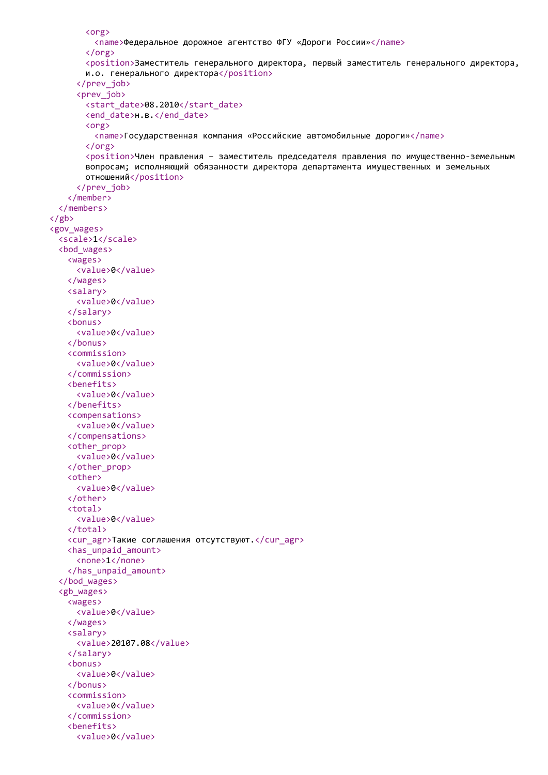```
<org>
         <name>Федеральное дорожное агентство ФГУ «Дороги России»</name>
       </org>
       <position>Заместитель генерального директора, первый заместитель генерального директора,
       и.о. генерального директора</position>
     </prev_job>
     <prev_job>
       <start_date>08.2010</start_date>
       <end_date>н.в.</end_date>
       <org>
         <name>Государственная компания «Российские автомобильные дороги»</name>
       </org>
       <position>Член правления – заместитель председателя правления по имущественно-земельным
       вопросам; исполняющий обязанности директора департамента имущественных и земельных
       отношений</position>
     </prev_job>
   </member>
 </members>
\langle/gb>
<gov_wages>
 <scale>1</scale>
  <bod_wages>
   <wages>
     <value>0</value>
   </wages>
   <salary>
     <value>0</value>
   </salary>
   <bonus>
     <value>0</value>
   </bonus>
   <commission>
     <value>0</value>
   </commission>
   <benefits>
     <value>0</value>
   </benefits>
   <compensations>
     <value>0</value>
   </compensations>
   <other_prop>
     <value>0</value>
   </other_prop>
   <other>
     <value>0</value>
   </other>
   <total>
     <value>0</value>
   </total>
   <cur_agr>Такие соглашения отсутствуют.</cur_agr>
   <has_unpaid_amount>
     <none>1</none>
   </has_unpaid_amount>
  </bod_wages>
  <gb_wages>
   <wages>
     <value>0</value>
   </wages>
   <salary>
     <value>20107.08</value>
   </salary>
   <bonus>
     <value>0</value>
   </bonus>
   <commission>
     <value>0</value>
   </commission>
   <benefits>
     <value>0</value>
```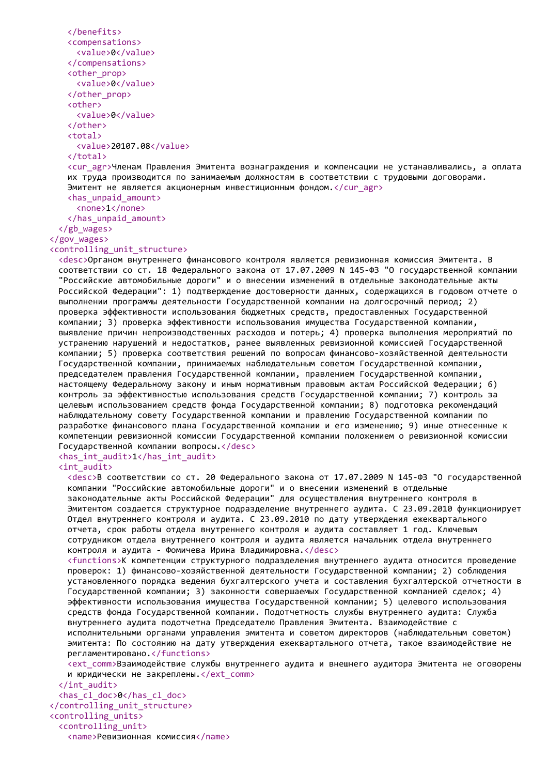```
</benefits>
<compensations>
 <value>0</value>
</compensations>
<other_prop>
 <value>0</value>
</other_prop>
<other>
 <value>0</value>
</other>
<total>
 <value>20107.08</value>
</total>
```
<cur\_agr>Членам Правления Эмитента вознаграждения и компенсации не устанавливались, а оплата их труда производится по занимаемым должностям в соответствии с трудовыми договорами. Эмитент не является акционерным инвестиционным фондом.</cur\_agr>

<has\_unpaid\_amount> <none>1</none> </has\_unpaid\_amount> </gb\_wages>

### </gov\_wages>

#### <controlling\_unit\_structure>

<desc>Органом внутреннего финансового контроля является ревизионная комиссия Эмитента. В соответствии со ст. 18 Федерального закона от 17.07.2009 N 145-ФЗ "О государственной компании "Российские автомобильные дороги" и о внесении изменений в отдельные законодательные акты Российской Федерации": 1) подтверждение достоверности данных, содержащихся в годовом отчете о выполнении программы деятельности Государственной компании на долгосрочный период; 2) проверка эффективности использования бюджетных средств, предоставленных Государственной компании; 3) проверка эффективности использования имущества Государственной компании, выявление причин непроизводственных расходов и потерь; 4) проверка выполнения мероприятий по устранению нарушений и недостатков, ранее выявленных ревизионной комиссией Государственной компании; 5) проверка соответствия решений по вопросам финансово-хозяйственной деятельности Государственной компании, принимаемых наблюдательным советом Государственной компании, председателем правления Государственной компании, правлением Государственной компании, настоящему Федеральному закону и иным нормативным правовым актам Российской Федерации; 6) контроль за эффективностью использования средств Государственной компании; 7) контроль за целевым использованием средств фонда Государственной компании; 8) подготовка рекомендаций наблюдательному совету Государственной компании и правлению Государственной компании по разработке финансового плана Государственной компании и его изменению; 9) иные отнесенные к компетенции ревизионной комиссии Государственной компании положением о ревизионной комиссии Государственной компании вопросы.</desc>

# <has\_int\_audit>1</has\_int\_audit>

## <int\_audit>

<desc>В соответствии со ст. 20 Федерального закона от 17.07.2009 N 145-ФЗ "О государственной компании "Российские автомобильные дороги" и о внесении изменений в отдельные законодательные акты Российской Федерации" для осуществления внутреннего контроля в Эмитентом создается структурное подразделение внутреннего аудита. С 23.09.2010 функционирует Отдел внутреннего контроля и аудита. С 23.09.2010 по дату утверждения ежеквартального отчета, срок работы отдела внутреннего контроля и аудита составляет 1 год. Ключевым сотрудником отдела внутреннего контроля и аудита является начальник отдела внутреннего контроля и аудита - Фомичева Ирина Владимировна.</desc>

<functions>К компетенции структурного подразделения внутреннего аудита относится проведение проверок: 1) финансово-хозяйственной деятельности Государственной компании; 2) соблюдения установленного порядка ведения бухгалтерского учета и составления бухгалтерской отчетности в Государственной компании; 3) законности совершаемых Государственной компанией сделок; 4) эффективности использования имущества Государственной компании; 5) целевого использования средств фонда Государственной компании. Подотчетность службы внутреннего аудита: Служба внутреннего аудита подотчетна Председателю Правления Эмитента. Взаимодействие с исполнительными органами управления эмитента и советом директоров (наблюдательным советом) эмитента: По состоянию на дату утверждения ежеквартального отчета, такое взаимодействие не регламентировано.</functions>

<ext\_comm>Взаимодействие службы внутреннего аудита и внешнего аудитора Эмитента не оговорены и юридически не закреплены. </ext comm>

## </int\_audit> <has\_cl\_doc>0</has\_cl\_doc> </controlling\_unit\_structure> <controlling\_units> <controlling\_unit>

<name>Ревизионная комиссия</name>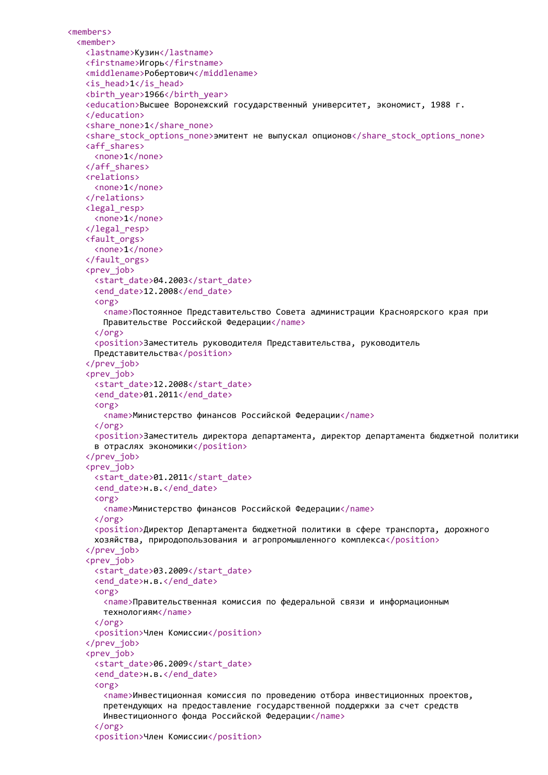```
<members>
 <member>
   <lastname>Кузин</lastname>
   <firstname>Игорь</firstname>
   <middlename>Робертович</middlename>
   <is_head>1</is_head>
   <birth_year>1966</birth_year>
   <education>Высшее Воронежский государственный университет, экономист, 1988 г.
   </education>
   <share_none>1</share_none>
   <share stock options none>эмитент не выпускал опционов</share stock options none>
   <aff_shares>
     <none>1</none>
   </aff_shares>
   <relations>
     <none>1</none>
   </relations>
   <legal_resp>
     <none>1</none>
   </legal_resp>
   <fault_orgs>
     <none>1</none>
   </fault_orgs>
   <prev_job>
     <start_date>04.2003</start_date>
     <end date>12.2008</end date>
     <org>
       <name>Постоянное Представительство Совета администрации Красноярского края при
       Правительстве Российской Федерации</name>
     </org>
     <position>Заместитель руководителя Представительства, руководитель
     Представительства</position>
   </prev_job>
   <prev_job>
     <start_date>12.2008</start_date>
     <end_date>01.2011</end_date>
     <org>
       <name>Министерство финансов Российской Федерации</name>
     </org>
     <position>Заместитель директора департамента, директор департамента бюджетной политики
     в отраслях экономики</position>
   </prev_job>
   <prev_job>
     <start_date>01.2011</start_date>
     <end date>н.в.</end date>
     <org>
       <name>Министерство финансов Российской Федерации</name>
     \langle/org\rangle<position>Директор Департамента бюджетной политики в сфере транспорта, дорожного
     хозяйства, природопользования и агропромышленного комплекса</position>
   </prev_job>
   <prev_iob>
     <start_date>03.2009</start_date>
     <end date>н.в.</end date>
     <org>
       <name>Правительственная комиссия по федеральной связи и информационным
       технологиям</name>
     </org>
     <position>Член Комиссии</position>
   </prev_job>
   <prev_iob>
     <start_date>06.2009</start_date>
     <end date>н.в.</end date>
     <org>
       <name>Инвестиционная комиссия по проведению отбора инвестиционных проектов,
       претендующих на предоставление государственной поддержки за счет средств
       Инвестиционного фонда Российской Федерации</name>
     </org>
     <position>Член Комиссии</position>
```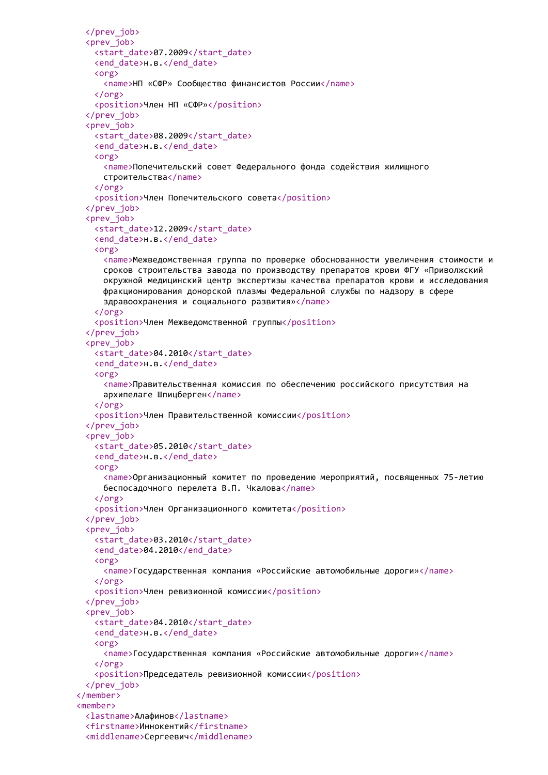```
</prev_job>
 <prev_job>
   <start_date>07.2009</start_date>
   <end_date>н.в.</end_date>
   <org>
     <name>НП «СФР» Сообщество финансистов России</name>
   </org>
   <position>Член НП «СФР»</position>
 </prev_job>
 <prev_job>
   <start_date>08.2009</start_date>
   <end_date>н.в.</end_date>
   <org>
     <name>Попечительский совет Федерального фонда содействия жилищного
     строительства</name>
   </org>
   <position>Член Попечительского совета</position>
 </prev_job>
 <prev_job>
   <start_date>12.2009</start_date>
   <end date>н.в.</end date>
   <org>
     <name>Межведомственная группа по проверке обоснованности увеличения стоимости и
     сроков строительства завода по производству препаратов крови ФГУ «Приволжский
     окружной медицинский центр экспертизы качества препаратов крови и исследования
     фракционирования донорской плазмы Федеральной службы по надзору в сфере
     здравоохранения и социального развития»</name>
   </org>
   <position>Член Межведомственной группы</position>
 </prev_job>
 <prev_job>
   <start_date>04.2010</start_date>
   <end date>н.в.</end date>
   <org>
     <name>Правительственная комиссия по обеспечению российского присутствия на
     архипелаге Шпицберген</name>
   </org>
   <position>Член Правительственной комиссии</position>
 </prev_job>
 <prev_job>
   <start_date>05.2010</start_date>
   <end_date>н.в.</end_date>
   <org>
     <name>Организационный комитет по проведению мероприятий, посвященных 75-летию
     беспосадочного перелета В.П. Чкалова</name>
   </org>
   <position>Член Организационного комитета</position>
 </prev_job>
 <prev_iob>
   <start_date>03.2010</start_date>
   <end_date>04.2010</end_date>
   <org>
     <name>Государственная компания «Российские автомобильные дороги»</name>
   \zeta/org\zeta<position>Член ревизионной комиссии</position>
 </prev_job>
 <prev_iob>
   <start_date>04.2010</start_date>
   <end date>н.в.</end date>
   <org>
     <name>Государственная компания «Российские автомобильные дороги»</name>
   \zeta/org\zeta<position>Председатель ревизионной комиссии</position>
 </prev_job>
</member>
<member>
 <lastname>Алафинов</lastname>
 <firstname>Иннокентий</firstname>
 <middlename>Сергеевич</middlename>
```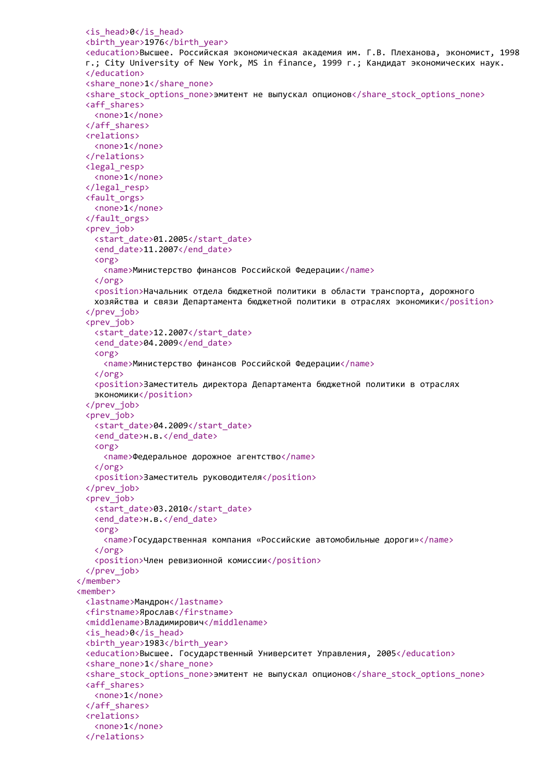```
<is_head>0</is_head>
 <birth_year>1976</birth_year>
 <education>Высшее. Российская экономическая академия им. Г.В. Плеханова, экономист, 1998
 г.; City University of New York, MS in finance, 1999 г.; Кандидат экономических наук.
 </education>
 <share_none>1</share_none>
 <share_stock_options_none>эмитент не выпускал опционов</share_stock_options_none>
 <aff_shares>
   <none>1</none>
 </aff_shares>
 <relations>
   <none>1</none>
 </relations>
 <legal_resp>
   <none>1</none>
 </legal_resp>
 <fault_orgs>
   <none>1</none>
 </fault_orgs>
 <prev_job>
   <start_date>01.2005</start_date>
   <end_date>11.2007</end_date>
   <org>
     <name>Министерство финансов Российской Федерации</name>
   </org>
   <position>Начальник отдела бюджетной политики в области транспорта, дорожного
   хозяйства и связи Департамента бюджетной политики в отраслях экономики</position>
 </prev_job>
 <prev_job>
   <start_date>12.2007</start_date>
   <end_date>04.2009</end_date>
   <org>
     <name>Министерство финансов Российской Федерации</name>
   </org>
   <position>Заместитель директора Департамента бюджетной политики в отраслях
   экономики</position>
 </prev_job>
 <prev_job>
   <start_date>04.2009</start_date>
   <end date>н.в.</end date>
   <org>
     <name>Федеральное дорожное агентство</name>
   </org>
   <position>Заместитель руководителя</position>
 </prev_job>
 <prev_job>
   <start_date>03.2010</start_date>
   <end date>н.в.</end date>
   <org>
     <name>Государственная компания «Российские автомобильные дороги»</name>
   </org>
   <position>Член ревизионной комиссии</position>
 </prev_job>
</member>
<member>
 <lastname>Мандрон</lastname>
 <firstname>Ярослав</firstname>
 <middlename>Владимирович</middlename>
 <is_head>0</is_head>
 <birth_year>1983</birth_year>
 <education>Высшее. Государственный Университет Управления, 2005</education>
 <share_none>1</share_none>
 <share stock options none>эмитент не выпускал опционов</share stock options none>
 <aff_shares>
   <none>1</none>
 </aff_shares>
 <relations>
   <none>1</none>
 </relations>
```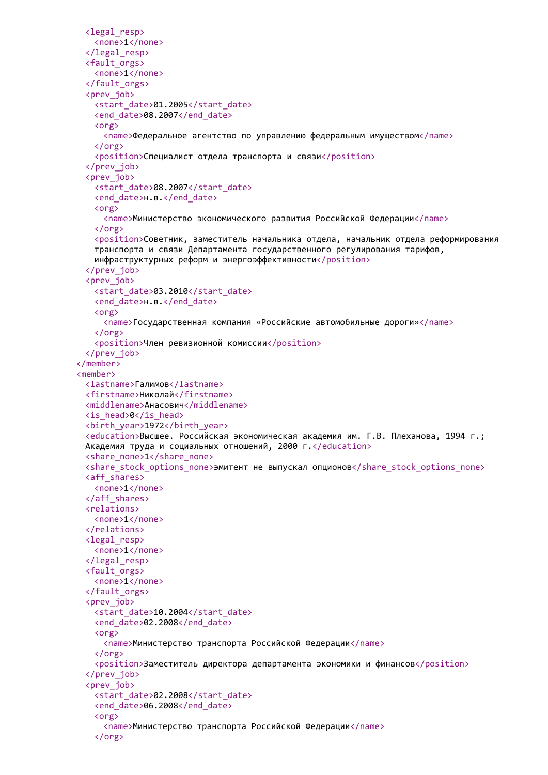```
<legal_resp>
   <none>1</none>
 </legal_resp>
 <fault_orgs>
   <none>1</none>
 </fault_orgs>
 <prev_job>
   <start_date>01.2005</start_date>
   <end_date>08.2007</end_date>
   <org>
     <name>Федеральное агентство по управлению федеральным имуществом</name>
   </org>
   <position>Специалист отдела транспорта и связи</position>
 </prev_job>
 <prev_job>
   <start_date>08.2007</start_date>
   <end date>н.в.</end date>
   <org>
     <name>Министерство экономического развития Российской Федерации</name>
   </org>
   <position>Советник, заместитель начальника отдела, начальник отдела реформирования
   транспорта и связи Департамента государственного регулирования тарифов,
   инфраструктурных реформ и энергоэффективности</position>
 </prev_job>
 <prev_job>
   <start_date>03.2010</start_date>
   <end date>н.в.</end date>
   <org>
     <name>Государственная компания «Российские автомобильные дороги»</name>
   </org>
   <position>Член ревизионной комиссии</position>
 </prev_job>
</member>
<member>
 <lastname>Галимов</lastname>
 <firstname>Николай</firstname>
 <middlename>Анасович</middlename>
 <is_head>0</is_head>
 <birth_year>1972</birth_year>
 <education>Высшее. Российская экономическая академия им. Г.В. Плеханова, 1994 г.;
 Академия труда и социальных отношений, 2000 г.</education>
 <share_none>1</share_none>
 <share stock options none>эмитент не выпускал опционов</share stock options none>
 <aff_shares>
   <none>1</none>
 </aff_shares>
 <relations>
   <none>1</none>
 </relations>
 <legal_resp>
   <none>1</none>
 </legal_resp>
 <fault_orgs>
   <none>1</none>
 </fault_orgs>
 <prev_iob>
   <start_date>10.2004</start_date>
   <end_date>02.2008</end_date>
   <org>
     <name>Министерство транспорта Российской Федерации</name>
   </org>
   <position>Заместитель директора департамента экономики и финансов</position>
 </prev_job>
 <prev_job>
   <start_date>02.2008</start_date>
   <end_date>06.2008</end_date>
   <org>
     <name>Министерство транспорта Российской Федерации</name>
   </org>
```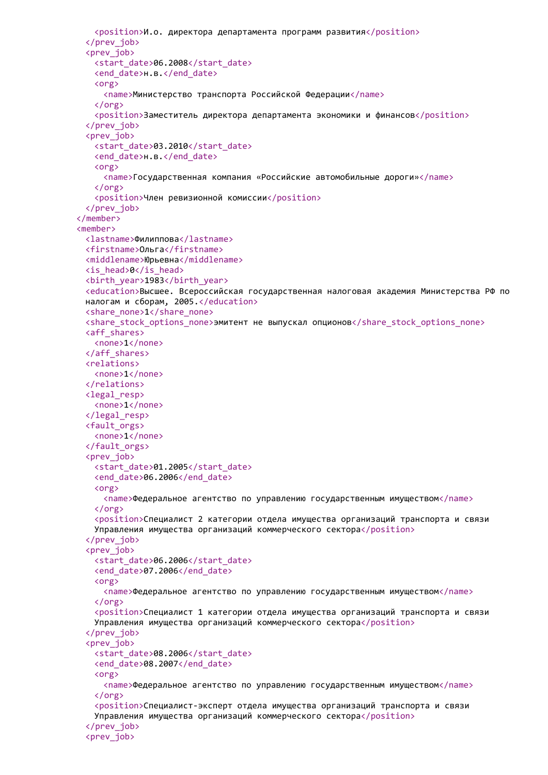```
<position>И.о. директора департамента программ развития</position>
 </prev_job>
 <prev_job>
   <start_date>06.2008</start_date>
   <end_date>н.в.</end_date>
   <org>
     <name>Министерство транспорта Российской Федерации</name>
   </org>
   <position>Заместитель директора департамента экономики и финансов</position>
 </prev_job>
 <prev_job>
   <start_date>03.2010</start_date>
   <end date>н.в.</end date>
   <org>
     <name>Государственная компания «Российские автомобильные дороги»</name>
   </org>
   <position>Член ревизионной комиссии</position>
 </prev_job>
</member>
<member>
 <lastname>Филиппова</lastname>
 <firstname>Ольга</firstname>
 <middlename>Юрьевна</middlename>
 <is_head>0</is_head>
 <birth_year>1983</birth_year>
 <education>Высшее. Всероссийская государственная налоговая академия Министерства РФ по
 налогам и сборам, 2005.</education>
 <share_none>1</share_none>
 <share stock options none>эмитент не выпускал опционов</share stock options none>
 <aff_shares>
   <none>1</none>
 </aff_shares>
 <relations>
   <none>1</none>
 </relations>
 <legal_resp>
   <none>1</none>
 </legal_resp>
 <fault_orgs>
   <none>1</none>
 </fault_orgs>
 <prev_job>
   <start_date>01.2005</start_date>
   <end date>06.2006</end date>
   <org>
     <name>Федеральное агентство по управлению государственным имуществом</name>
   \langle/org\rangle<position>Специалист 2 категории отдела имущества организаций транспорта и связи
   Управления имущества организаций коммерческого сектора</position>
 </prev_job>
 <prev_iob>
   <start_date>06.2006</start_date>
   <end_date>07.2006</end_date>
   <org>
     <name>Федеральное агентство по управлению государственным имуществом</name>
   \zeta/org\zeta<position>Специалист 1 категории отдела имущества организаций транспорта и связи
   Управления имущества организаций коммерческого сектора\langle/position\rangle</prev_job>
 <prev_iob>
   <start_date>08.2006</start_date>
   <end_date>08.2007</end_date>
   <org>
     <name>Федеральное агентство по управлению государственным имуществом</name>
   </org>
   <position>Специалист-эксперт отдела имущества организаций транспорта и связи
   Управления имущества организаций коммерческого сектора</position>
 </prev_job>
 <prev_job>
```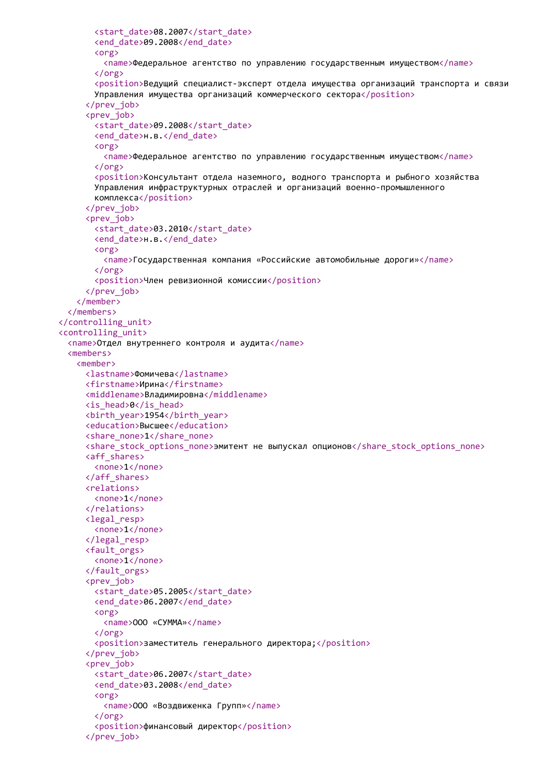```
<start_date>08.2007</start_date>
       <end_date>09.2008</end_date>
       <org>
         <name>Федеральное агентство по управлению государственным имуществом</name>
       </org>
       <position>Ведущий специалист-эксперт отдела имущества организаций транспорта и связи
       Управления имущества организаций коммерческого сектора</position>
     </prev_job>
     <prev_job>
       <start_date>09.2008</start_date>
       <end_date>н.в.</end_date>
       <org>
         <name>Федеральное агентство по управлению государственным имуществом</name>
       </org>
       <position>Консультант отдела наземного, водного транспорта и рыбного хозяйства
       Управления инфраструктурных отраслей и организаций военно-промышленного
       комплекса</position>
     </prev_job>
     <prev_job>
       <start_date>03.2010</start_date>
       <end date>н.в.</end date>
       <org>
         <name>Государственная компания «Российские автомобильные дороги»</name>
       </org>
       <position>Член ревизионной комиссии</position>
     </prev_job>
   </member>
 </members>
</controlling_unit>
<controlling_unit>
 <name>Отдел внутреннего контроля и аудита</name>
 <members>
   <member>
     <lastname>Фомичева</lastname>
     <firstname>Ирина</firstname>
     <middlename>Владимировна</middlename>
     <is_head>0</is_head>
     <birth_year>1954</birth_year>
     <education>Высшее</education>
     <share_none>1</share_none>
     <share stock options none>эмитент не выпускал опционов</share stock options none>
     <aff_shares>
       <none>1</none>
     </aff_shares>
     <relations>
       <none>1</none>
     </relations>
     <legal_resp>
       <none>1</none>
     </legal_resp>
     <fault_orgs>
       <none>1</none>
     </fault_orgs>
     <prev_iob>
       <start_date>05.2005</start_date>
       <end_date>06.2007</end_date>
       <org>
         <name>ООО «СУММА»</name>
       </org>
       <position>заместитель генерального директора;</position>
     </prev_job>
     <prev_iob>
       <start_date>06.2007</start_date>
       <end_date>03.2008</end_date>
       <org>
         <name>ООО «Воздвиженка Групп»</name>
       </org>
       <position>финансовый директор</position>
     </prev_job>
```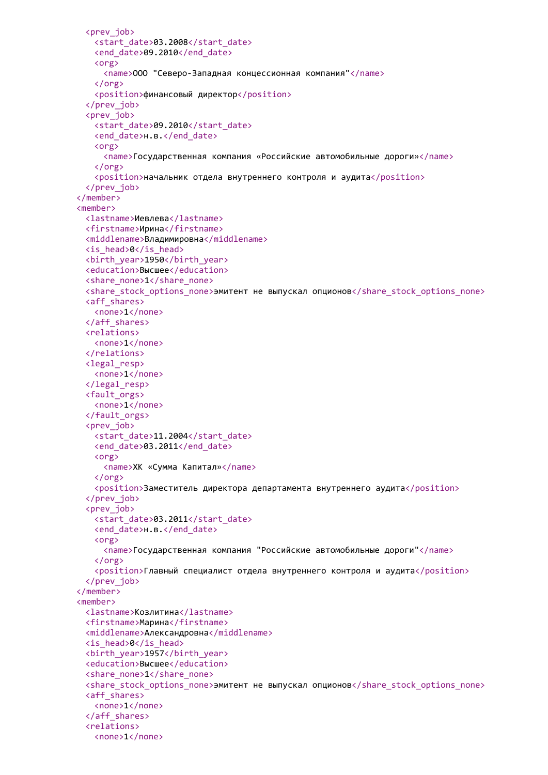```
<prev_job>
   <start_date>03.2008</start_date>
   <end_date>09.2010</end_date>
   <org>
     <name>ООО "Северо-Западная концессионная компания"</name>
   </org>
   <position>финансовый директор</position>
 </prev_job>
 <prev_job>
   <start_date>09.2010</start_date>
   <end_date>н.в.</end_date>
   <org>
     <name>Государственная компания «Российские автомобильные дороги»</name>
   </org>
   <position>начальник отдела внутреннего контроля и аудита</position>
 </prev_job>
</member>
<member>
 <lastname>Иевлева</lastname>
 <firstname>Ирина</firstname>
 <middlename>Владимировна</middlename>
 <is_head>0</is_head>
 <birth_year>1950</birth_year>
 <education>Высшее</education>
 <share_none>1</share_none>
 <share stock options none>эмитент не выпускал опционов</share stock options none>
 <aff_shares>
   <none>1</none>
 </aff_shares>
 <relations>
   <none>1</none>
 </relations>
 <legal_resp>
   <none>1</none>
 </legal_resp>
 <fault_orgs>
   <none>1</none>
 </fault_orgs>
 <prev_job>
   <start date>11.2004</start date>
   <end date>03.2011</end date>
   <org>
     <name>ХК «Сумма Капитал»</name>
   </org>
   <position>Заместитель директора департамента внутреннего аудита</position>
 </prev_job>
 <prev_job>
   <start_date>03.2011</start_date>
   <end date>н.в.</end date>
   <org>
     <name>Государственная компания "Российские автомобильные дороги"</name>
   \langle/org\rangle<position>Главный специалист отдела внутреннего контроля и аудита</position>
 </prev_job>
</member>
<member>
 <lastname>Козлитина</lastname>
 <firstname>Марина</firstname>
 <middlename>Александровна</middlename>
 <is_head>0</is_head>
 <birth_year>1957</birth_year>
 <education>Высшее</education>
 <share_none>1</share_none>
 <share stock options none>эмитент не выпускал опционов</share stock options none>
 <aff_shares>
   <none>1</none>
 </aff_shares>
 <relations>
   <none>1</none>
```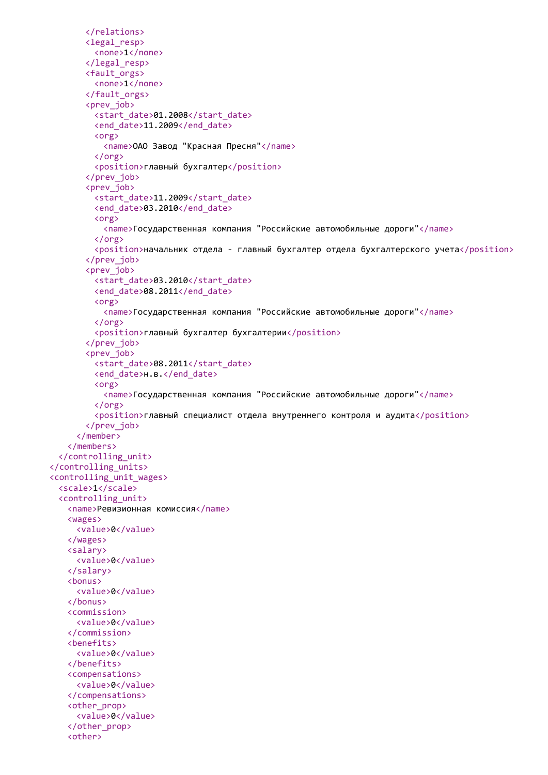```
</relations>
       <legal_resp>
         <none>1</none>
       </legal_resp>
       <fault_orgs>
         <none>1</none>
       </fault_orgs>
       <prev_job>
         <start_date>01.2008</start_date>
         <end_date>11.2009</end_date>
         <org>
           <name>ОАО Завод "Красная Пресня"</name>
         </org>
         <position>главный бухгалтер</position>
       </prev_job>
       <prev_job>
         <start_date>11.2009</start_date>
         <end date>03.2010</end date>
         <org>
           <name>Государственная компания "Российские автомобильные дороги"</name>
         </org>
         <position>начальник отдела - главный бухгалтер отдела бухгалтерского учета</position>
       </prev_job>
       <prev_job>
         <start_date>03.2010</start_date>
         <end date>08.2011</end date>
         <org>
           <name>Государственная компания "Российские автомобильные дороги"</name>
         </org>
         <position>главный бухгалтер бухгалтерии</position>
       </prev_job>
       <prev_job>
         <start_date>08.2011</start_date>
         <end date>н.в.</end date>
         <org>
           <name>Государственная компания "Российские автомобильные дороги"</name>
         </org>
         <position>главный специалист отдела внутреннего контроля и аудита</position>
       </prev_job>
     </member>
   </members>
  </controlling_unit>
</controlling_units>
<controlling_unit_wages>
  <scale>1</scale>
  <controlling_unit>
   <name>Ревизионная комиссия</name>
   <wages>
     <value>0</value>
   </wages>
   <salary>
     <value>0</value>
   </salary>
   <bonus>
     <value>0</value>
   </bonus>
   <commission>
     <value>0</value>
   </commission>
   <benefits>
     <value>0</value>
   </benefits>
   <compensations>
     <value>0</value>
   </compensations>
   <other_prop>
     <value>0</value>
   </other_prop>
   <other>
```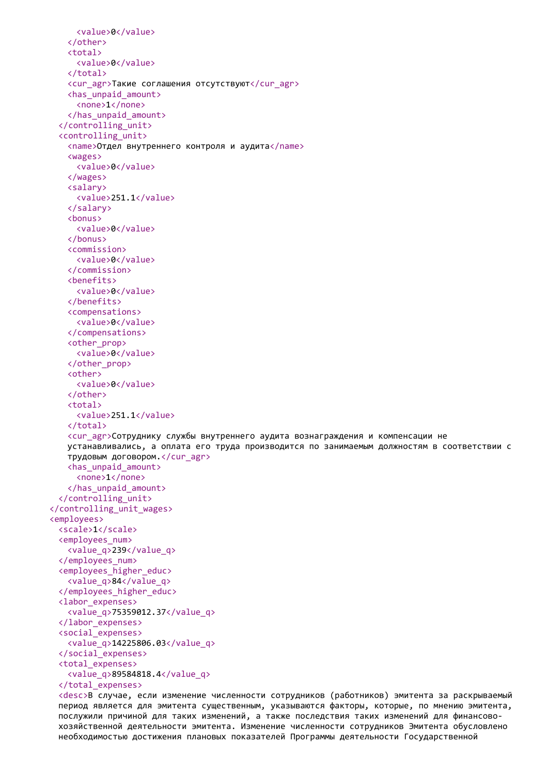```
<value>0</value>
   </other>
   <total>
     <value>0</value>
   </total>
   <cur_agr>Такие соглашения отсутствуют</cur_agr>
   <has_unpaid_amount>
     <none>1</none>
   </has_unpaid_amount>
  </controlling_unit>
  <controlling_unit>
   <name>Отдел внутреннего контроля и аудита</name>
   <wages>
     <value>0</value>
   </wages>
   <salary>
     <value>251.1</value>
   </salary>
   <bonus>
     <value>0</value>
   </bonus>
   <commission>
     <value>0</value>
   </commission>
   <benefits>
     <value>0</value>
   </benefits>
   <compensations>
     <value>0</value>
   </compensations>
   <other_prop>
     <value>0</value>
   </other_prop>
   <other>
     <value>0</value>
   </other>
   <total>
     <value>251.1</value>
   </total>
   <cur agr>Сотруднику службы внутреннего аудита вознаграждения и компенсации не
   устанавливались, а оплата его труда производится по занимаемым должностям в соответствии с
   трудовым договором.</cur_agr>
   <has_unpaid_amount>
     <none>1</none>
   </has_unpaid_amount>
  </controlling_unit>
</controlling_unit_wages>
<employees>
  <scale>1</scale>
  <employees_num>
   <value_q>239</value_q>
  </employees_num>
  <employees_higher_educ>
   <value_q>84</value_q>
  </employees_higher_educ>
  <labor_expenses>
   <value_q>75359012.37</value_q>
  </labor_expenses>
  <social_expenses>
   <value_q>14225806.03</value_q>
  </social_expenses>
  <total_expenses>
   <value_q>89584818.4</value_q>
  </total_expenses>
  <desc>В случае, если изменение численности сотрудников (работников) эмитента за раскрываемый
```
период является для эмитента существенным, указываются факторы, которые, по мнению эмитента, послужили причиной для таких изменений, а также последствия таких изменений для финансовохозяйственной деятельности эмитента. Изменение численности сотрудников Эмитента обусловлено необходимостью достижения плановых показателей Программы деятельности Государственной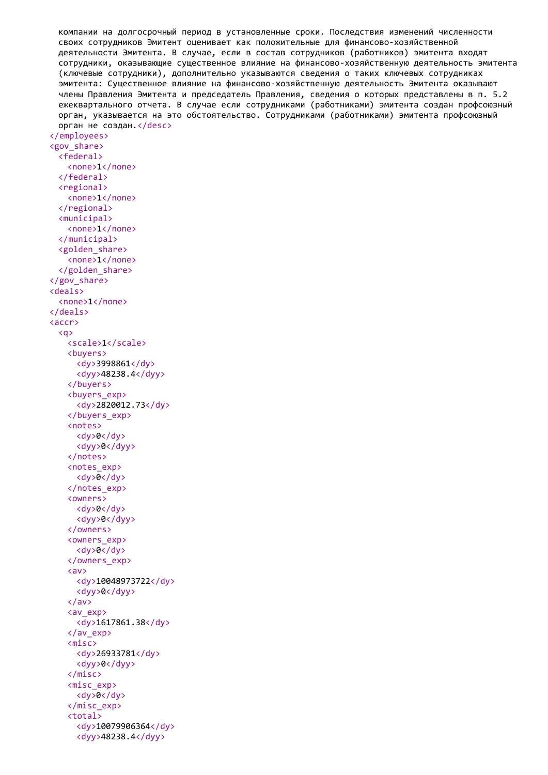```
компании на долгосрочный период в установленные сроки. Последствия изменений численности
  своих сотрудников Эмитент оценивает как положительные для финансово-хозяйственной
  деятельности Эмитента. В случае, если в состав сотрудников (работников) эмитента входят
  сотрудники, оказывающие существенное влияние на финансово-хозяйственную деятельность эмитента
  (ключевые сотрудники), дополнительно указываются сведения о таких ключевых сотрудниках
  эмитента: Существенное влияние на финансово-хозяйственную деятельность Эмитента оказывают
  члены Правления Эмитента и председатель Правления, сведения о которых представлены в п. 5.2
  ежеквартального отчета. В случае если сотрудниками (работниками) эмитента создан профсоюзный
 орган, указывается на это обстоятельство. Сотрудниками (работниками) эмитента профсоюзный
 орган не создан.</desc>
</employees>
<gov_share>
  <federal>
   <none>1</none>
  </federal>
  <regional>
   <none>1</none>
  </regional>
  <municipal>
   <none>1</none>
  </municipal>
  <golden_share>
   <none>1</none>
  </golden_share>
</gov_share>
<deals>
  <none>1</none>
</deals>
<accr>
  <q>
   <scale>1</scale>
   <buyers>
     <dy>3998861</dy>
     <dyy>48238.4</dyy>
    </buyers>
    <buyers_exp>
     <dy>2820012.73</dy>
    </buyers_exp>
    <notes>
     \langle dy \rangle 0 \langle dy \rangle<dyy>0</dyy>
    </notes>
    <notes_exp>
     <dy>0</dy>
    </notes_exp>
    <owners>
     <dy>0</dy>
     <dyy>0</dyy>
    </owners>
    <owners_exp>
     <dy>0</dy>
    </owners_exp>
    <av>
     <dy>10048973722</dy>
     <dyy>0</dyy>
    </av>
    <av_exp>
     <dy>1617861.38</dy>
    </av_exp>
    <sub>miss</sub></sub>
     <dy>26933781</dy>
     <dyy>0</dyy>
    </misc>
    <misc_exp>
     <dy>0</dy>
    </misc_exp>
    <total>
     <dy>10079906364</dy>
```
<dyy>48238.4</dyy>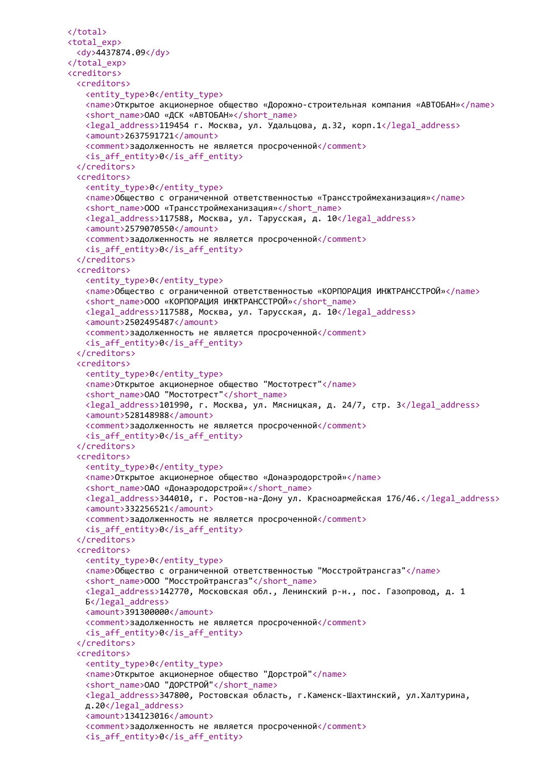```
</total>
<total_exp>
 <dy>4437874.09</dy>
</total_exp>
<creditors>
 <creditors>
   <entity_type>0</entity_type>
   <name>Открытое акционерное общество «Дорожно-строительная компания «АВТОБАН»</name>
   <short_name>ОАО «ДСК «АВТОБАН»</short_name>
   <legal_address>119454 г. Москва, ул. Удальцова, д.32, корп.1</legal_address>
   <amount>2637591721</amount>
   <comment>задолженность не является просроченной</comment>
   <is_aff_entity>0</is_aff_entity>
 </creditors>
 <creditors>
   <entity_type>0</entity_type>
   <name>Общество с ограниченной ответственностью «Трансстроймеханизация»</name>
   <short_name>ООО «Трансстроймеханизация»</short_name>
   <legal_address>117588, Москва, ул. Тарусская, д. 10</legal_address>
   <amount>2579070550</amount>
   <comment>задолженность не является просроченной</comment>
   <is_aff_entity>0</is_aff_entity>
 </creditors>
 <creditors>
   <entity_type>0</entity_type>
   <name>Общество с ограниченной ответственностью «КОРПОРАЦИЯ ИНЖТРАНССТРОЙ»</name>
   <short name>ООО «КОРПОРАЦИЯ ИНЖТРАНССТРОЙ»</short name>
   <legal_address>117588, Москва, ул. Тарусская, д. 10</legal_address>
   <amount>2502495487</amount>
   <comment>задолженность не является просроченной</comment>
   <is_aff_entity>0</is_aff_entity>
 </creditors>
 <creditors>
   <entity_type>0</entity_type>
   <name>Открытое акционерное общество "Мостотрест"</name>
   <short_name>ОАО "Мостотрест"</short_name>
   <legal_address>101990, г. Москва, ул. Мясницкая, д. 24/7, стр. 3</legal_address>
   <amount>528148988</amount>
   <comment>задолженность не является просроченной</comment>
   \langle is aff entity>0\langle is aff entity>
 </creditors>
 <creditors>
   <entity_type>0</entity_type>
   <name>Открытое акционерное общество «Донаэродорстрой»</name>
   <short name>ОАО «Донаэродорстрой»</short name>
   <legal_address>344010, г. Ростов-на-Дону ул. Красноармейская 176/46.</legal_address>
   <amount>332256521</amount>
   <comment>задолженность не является просроченной</comment>
   <is_aff_entity>0</is_aff_entity>
 </creditors>
 <creditors>
   <entity_type>0</entity_type>
   <name>Общество с ограниченной ответственностью "Мосстройтрансгаз"</name>
   <short_name>ООО "Мосстройтрансгаз"</short_name>
   \langlelegal address>142770, Московская обл., Ленинский р-н., пос. Газопровод, д. 1
   Б</legal_address>
   <amount>391300000</amount>
   <comment>задолженность не является просроченной</comment>
   <is_aff_entity>0</is_aff_entity>
 </creditors>
 <creditors>
   <entity_type>0</entity_type>
   <name>Открытое акционерное общество "Дорстрой"</name>
   <short name>ОАО "ДОРСТРОЙ"</short name>
   <legal_address>347800, Ростовская область, г.Каменск-Шахтинский, ул.Халтурина,
   д.20</legal_address>
   <amount>134123016</amount>
   <comment>задолженность не является просроченной</comment>
   <is_aff_entity>0</is_aff_entity>
```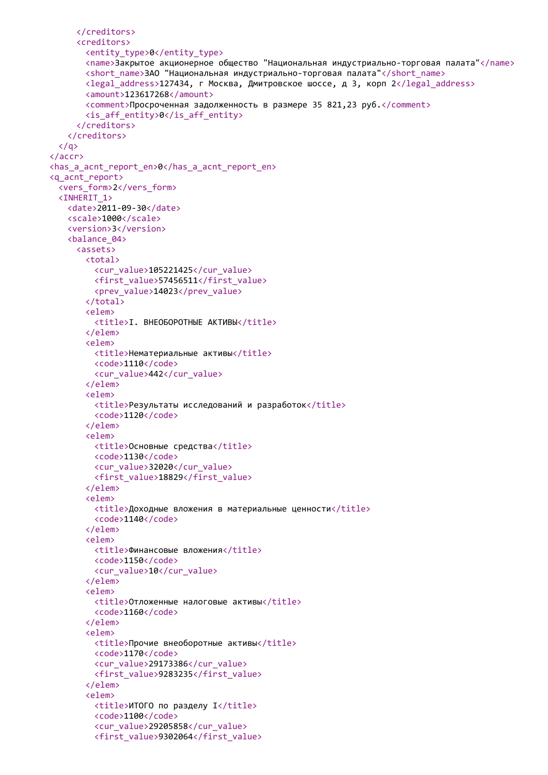```
</creditors>
     <creditors>
       <entity_type>0</entity_type>
       <name>Закрытое акционерное общество "Национальная индустриально-торговая палата"</name>
       <short_name>ЗАО "Национальная индустриально-торговая палата"</short_name>
       <legal_address>127434, г Москва, Дмитровское шоссе, д 3, корп 2</legal_address>
       <amount>123617268</amount>
       <comment>Просроченная задолженность в размере 35 821,23 руб.</comment>
       <is_aff_entity>0</is_aff_entity>
     </creditors>
   </creditors>
  \langle/q>
</accr>
<has_a_acnt_report_en>0</has_a_acnt_report_en>
<q_acnt_report>
  <vers_form>2</vers_form>
  <INHERIT_1>
   <date>2011-09-30</date>
   <scale>1000</scale>
   <version>3</version>
   <balance_04>
     <assets>
       <total>
         <cur_value>105221425</cur_value>
         <first_value>57456511</first_value>
         <prev_value>14023</prev_value>
       </total>
       <elem>
         <title>I. ВНЕОБОРОТНЫЕ AКТИВЫ</title>
       </elem>
       <elem>
         <title>Нематериальные активы</title>
         <code>1110</code>
         <cur_value>442</cur_value>
       </elem>
       <elem>
         <title>Результаты исследований и разработок</title>
         <code>1120</code>
       </elem>
       <elem>
         <title>Основные средства</title>
         <code>1130</code>
         <cur_value>32020</cur_value>
         <first_value>18829</first_value>
       </elem>
       <elem>
         <title>Доходные вложения в материальные ценности</title>
         <code>1140</code>
       </elem>
       <elem>
         <title>Финансовые вложения</title>
         <code>1150</code>
         <cur_value>10</cur_value>
       </elem>
       <elem>
         <title>Отложенные налоговые активы</title>
         <code>1160</code>
       </elem>
       <elem>
         <title>Прочие внеоборотные активы</title>
         <code>1170</code>
         <cur_value>29173386</cur_value>
         <first_value>9283235</first_value>
       </elem>
       <elem>
         <title>ИТОГО по разделу I</title>
         <code>1100</code>
         <cur_value>29205858</cur_value>
         <first_value>9302064</first_value>
```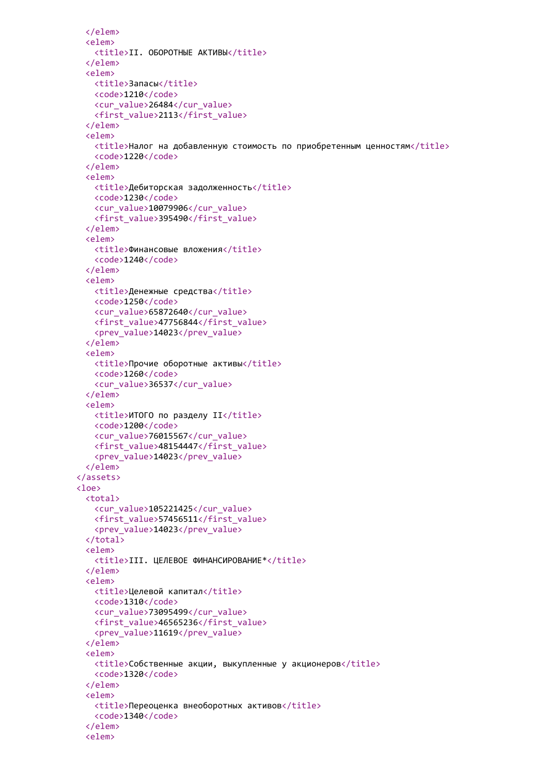```
</elem>
 <elem>
   <title>II. ОБОРОТНЫЕ АКТИВЫ</title>
 </elem>
 <elem>
   <title>Запасы</title>
   <code>1210</code>
   <cur_value>26484</cur_value>
   <first_value>2113</first_value>
 </elem>
 <elem>
   <title>Налог на добавленную стоимость по приобретенным ценностям</title>
   <code>1220</code>
 </elem>
 <elem>
   <title>Дебиторская задолженность</title>
   <code>1230</code>
   <cur_value>10079906</cur_value>
   <first_value>395490</first_value>
 </elem>
 <elem>
   <title>Финансовые вложения</title>
   <code>1240</code>
 </elem>
 <elem>
   <title>Денежные средства</title>
   <code>1250</code>
   <cur_value>65872640</cur_value>
   <first_value>47756844</first_value>
   <prev_value>14023</prev_value>
 </elem>
 <elem>
   <title>Прочие оборотные активы</title>
   <code>1260</code>
   <cur_value>36537</cur_value>
 </elem>
 <elem>
   <title>ИТОГО по разделу II</title>
   <code>1200</code>
   <cur_value>76015567</cur_value>
   <first_value>48154447</first_value>
   <prev_value>14023</prev_value>
 </elem>
</assets>
<loe>
 <total>
   <cur_value>105221425</cur_value>
   <first_value>57456511</first_value>
   <prev_value>14023</prev_value>
 </total>
 <elem>
   <title>III. ЦЕЛЕВОЕ ФИНАНСИРОВАНИЕ*</title>
 </elem>
 <elem>
   <title>Целевой капитал</title>
   <code>1310</code>
   <cur_value>73095499</cur_value>
   <first_value>46565236</first_value>
   <prev_value>11619</prev_value>
 </elem>
 <elem>
   <title>Собственные акции, выкупленные у акционеров</title>
   <code>1320</code>
 </elem>
 <elem>
   <title>Переоценка внеоборотных активов</title>
   <code>1340</code>
 </elem>
 <elem>
```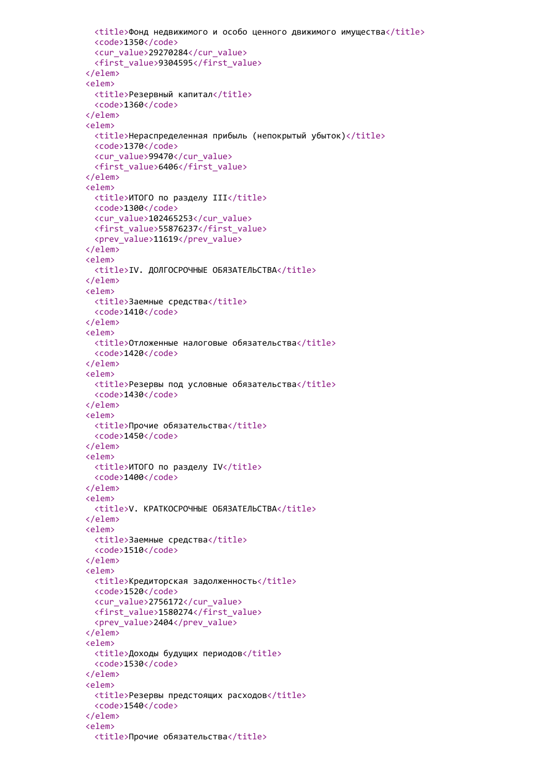```
<title>Фонд недвижимого и особо ценного движимого имущества</title>
 <code>1350</code>
 <cur_value>29270284</cur_value>
 <first_value>9304595</first_value>
</elem>
<elem>
 <title>Резервный капитал</title>
 <code>1360</code>
</elem>
<elem>
 <title>Нераспределенная прибыль (непокрытый убыток)</title>
 <code>1370</code>
 <cur_value>99470</cur_value>
 <first_value>6406</first_value>
</elem>
<elem>
 <title>ИТОГО по разделу III</title>
 <code>1300</code>
 <cur_value>102465253</cur_value>
 <first_value>55876237</first_value>
 <prev_value>11619</prev_value>
</elem>
<elem>
  <title>IV. ДОЛГОСРОЧНЫЕ ОБЯЗАТЕЛЬСТВА</title>
</elem>
<elem>
 <title>Заемные средства</title>
 <code>1410</code>
</elem>
<elem>
 <title>Отложенные налоговые обязательства</title>
 <code>1420</code>
</elem>
<elem>
 <title>Резервы под условные обязательства</title>
 <code>1430</code>
</elem>
<elem>
 <title>Прочие обязательства</title>
 <code>1450</code>
</elem>
<elem>
 <title>ИТОГО по разделу IV</title>
 <code>1400</code>
</elem>
<elem>
 <title>V. КРАТКОСРОЧНЫЕ ОБЯЗАТЕЛЬСТВА</title>
</elem>
<elem>
 <title>Заемные средства</title>
 <code>1510</code>
</elem>
<elem>
 <title>Кредиторская задолженность</title>
 <code>1520</code>
 <cur_value>2756172</cur_value>
 <first_value>1580274</first_value>
 <prev_value>2404</prev_value>
</elem>
<elem>
 <title>Доходы будущих периодов</title>
 <code>1530</code>
</elem>
<elem>
 <title>Резервы предстоящих расходов</title>
 <code>1540</code>
</elem>
<elem>
  <title>Прочие обязательства</title>
```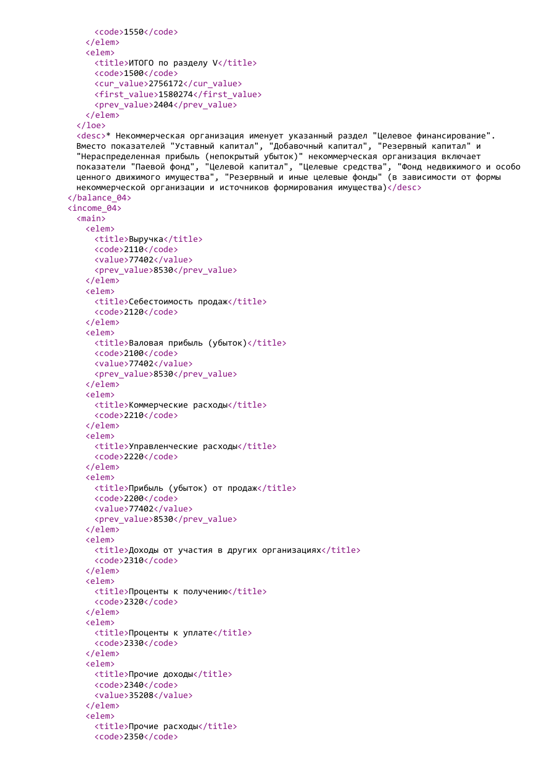```
<code>1550</code>
   </elem>
   <elem>
     <title>ИТОГО по разделу V</title>
     <code>1500</code>
     <cur_value>2756172</cur_value>
     <first_value>1580274</first_value>
     <prev_value>2404</prev_value>
   </elem>
 </loe>
 <desc>* Некоммерческая организация именует указанный раздел "Целевое финансирование".
 Вместо показателей "Уставный капитал", "Добавочный капитал", "Резервный капитал" и
 "Нераспределенная прибыль (непокрытый убыток)" некоммерческая организация включает
 показатели "Паевой фонд", "Целевой капитал", "Целевые средства", "Фонд недвижимого и особо
 ценного движимого имущества", "Резервный и иные целевые фонды" (в зависимости от формы
 некоммерческой организации и источников формирования имущества)</desc>
</balance_04>
<income_04>
 <main>
   <elem>
     <title>Выручка</title>
     <code>2110</code>
     <value>77402</value>
     <prev_value>8530</prev_value>
   </elem>
   <elem>
     <title>Себестоимость продаж</title>
     <code>2120</code>
   </elem>
   <elem>
     <title>Валовая прибыль (убыток)</title>
     <code>2100</code>
     <value>77402</value>
     <prev_value>8530</prev_value>
   </elem>
   <elem>
     <title>Коммерческие расходы</title>
     <code>2210</code>
   </elem>
   <elem>
     <title>Управленческие расходы</title>
     <code>2220</code>
   </elem>
   <elem>
     <title>Прибыль (убыток) от продаж</title>
     <code>2200</code>
     <value>77402</value>
     <prev_value>8530</prev_value>
   </elem>
   <elem>
     <title>Доходы от участия в других организациях</title>
     <code>2310</code>
   </elem>
   <elem>
     <title>Проценты к получению</title>
     <code>2320</code>
   </elem>
   <elem>
     <title>Проценты к уплате</title>
     <code>2330</code>
   </elem>
   <elem>
     <title>Прочие доходы</title>
     <code>2340</code>
     <value>35208</value>
   </elem>
   <elem>
     <title>Прочие расходы</title>
     <code>2350</code>
```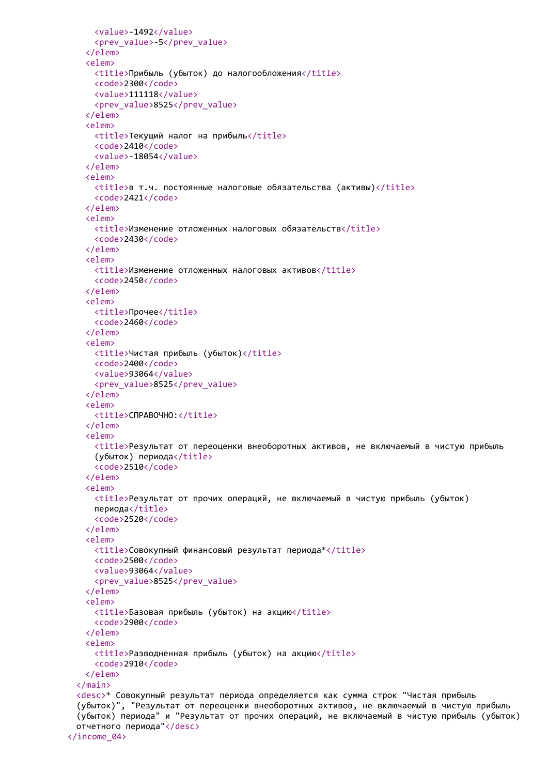```
<value>-1492</value>
     <prev_value>-5</prev_value>
   </elem>
   <elem>
     <title>Прибыль (убыток) до налогообложения</title>
     <code>2300</code>
     <value>111118</value>
     <prev_value>8525</prev_value>
   </elem>
   <elem>
     <title>Текущий налог на прибыль</title>
     <code>2410</code>
     <value>-18054</value>
   </elem>
   <elem>
     <title>в т.ч. постоянные налоговые обязательства (активы)</title>
     <code>2421</code>
   </elem>
   <elem>
     <title>Изменение отложенных налоговых обязательств</title>
     <code>2430</code>
   </elem>
   <elem>
     <title>Изменение отложенных налоговых активов</title>
     <code>2450</code>
   </elem>
   <elem>
     <title>Прочее</title>
     <code>2460</code>
   </elem>
   <elem>
     <title>Чистая прибыль (убыток)</title>
     <code>2400</code>
     <value>93064</value>
     <prev_value>8525</prev_value>
   </elem>
   <elem>
     <title>СПРАВОЧНО:</title>
   </elem>
   <elem>
     <title>Результат от переоценки внеоборотных активов, не включаемый в чистую прибыль
     (убыток) периода</title>
     <code>2510</code>
   </elem>
   <elem>
     <title>Результат от прочих операций, не включаемый в чистую прибыль (убыток)
     периода</title>
     <code>2520</code>
   </elem>
   <elem>
     <title>Совокупный финансовый результат периода*</title>
     <code>2500</code>
     <value>93064</value>
     <prev_value>8525</prev_value>
   </elem>
   <elem>
     <title>Базовая прибыль (убыток) на акцию</title>
     <code>2900</code>
   </elem>
   <elem>
     <title>Разводненная прибыль (убыток) на акцию</title>
     <code>2910</code>
   </elem>
 </main>
 <desc>* Совокупный результат периода определяется как сумма строк "Чистая прибыль
 (убыток)", "Результат от переоценки внеоборотных активов, не включаемый в чистую прибыль
 (убыток) периода" и "Результат от прочих операций, не включаемый в чистую прибыль (убыток)
 отчетного периода"</desc>
</income_04>
```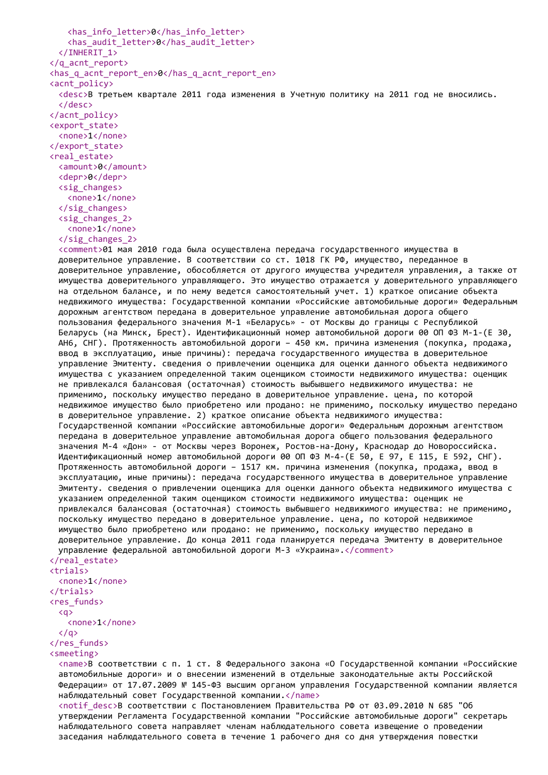```
<has_info_letter>0</has_info_letter>
   <has_audit_letter>0</has_audit_letter>
 </INHERIT_1>
</q_acnt_report>
<has_q_acnt_report_en>0</has_q_acnt_report_en>
<acnt_policy>
 <desc>В третьем квартале 2011 года изменения в Учетную политику на 2011 год не вносились.
 </desc>
</acnt_policy>
<export_state>
 <none>1</none>
</export_state>
<real_estate>
 <amount>0</amount>
 <depr>0</depr>
 <sig_changes>
   <none>1</none>
 \langle/sig changes>
 <sig_changes_2>
   <none>1</none>
 \langle/sig changes 2>
 <comment>01 мая 2010 года была осуществлена передача государственного имущества в
 доверительное управление. В соответствии со ст. 1018 ГК РФ, имущество, переданное в
 доверительное управление, обособляется от другого имущества учредителя управления, а также от
 имущества доверительного управляющего. Это имущество отражается у доверительного управляющего
 на отдельном балансе, и по нему ведется самостоятельный учет. 1) краткое описание объекта
 недвижимого имущества: Государственной компании «Российские автомобильные дороги» Федеральным
 дорожным агентством передана в доверительное управление автомобильная дорога общего
 пользования федерального значения М-1 «Беларусь» - от Москвы до границы с Республикой
 Беларусь (на Минск, Брест). Идентификационный номер автомобильной дороги 00 ОП ФЗ М-1-(Е 30,
 АН6, СНГ). Протяженность автомобильной дороги – 450 км. причина изменения (покупка, продажа,
 ввод в эксплуатацию, иные причины): передача государственного имущества в доверительное
 управление Эмитенту. сведения о привлечении оценщика для оценки данного объекта недвижимого
 имущества с указанием определенной таким оценщиком стоимости недвижимого имущества: оценщик
 не привлекался балансовая (остаточная) стоимость выбывшего недвижимого имущества: не
 применимо, поскольку имущество передано в доверительное управление. цена, по которой
 недвижимое имущество было приобретено или продано: не применимо, поскольку имущество передано
 в доверительное управление. 2) краткое описание объекта недвижимого имущества:
 Государственной компании «Российские автомобильные дороги» Федеральным дорожным агентством
 передана в доверительное управление автомобильная дорога общего пользования федерального
 значения М-4 «Дон» - от Москвы через Воронеж, Ростов-на-Дону, Краснодар до Новороссийска.
 Идентификационный номер автомобильной дороги 00 ОП ФЗ М-4-(Е 50, Е 97, Е 115, Е 592, СНГ).
 Протяженность автомобильной дороги – 1517 км. причина изменения (покупка, продажа, ввод в
 эксплуатацию, иные причины): передача государственного имущества в доверительное управление
 Эмитенту. сведения о привлечении оценщика для оценки данного объекта недвижимого имущества с
 указанием определенной таким оценщиком стоимости недвижимого имущества: оценщик не
 привлекался балансовая (остаточная) стоимость выбывшего недвижимого имущества: не применимо,
 поскольку имущество передано в доверительное управление. цена, по которой недвижимое
 имущество было приобретено или продано: не применимо, поскольку имущество передано в
 доверительное управление. До конца 2011 года планируется передача Эмитенту в доверительное
 управление федеральной автомобильной дороги М-3 «Украина».</comment>
</real_estate>
<trials>
 <none>1</none>
</trials>
<res_funds>
 \langle a \rangle<none>1</none>
 \langle/a>
</res_funds>
<smeeting>
 <name>В соответствии с п. 1 ст. 8 Федерального закона «О Государственной компании «Российские
 автомобильные дороги» и о внесении изменений в отдельные законодательные акты Российской
 Федерации» от 17.07.2009 № 145-ФЗ высшим органом управления Государственной компании является
 наблюдательный совет Государственной компании.</name>
```
<notif\_desc>В соответствии с Постановлением Правительства РФ от 03.09.2010 N 685 "Об утверждении Регламента Государственной компании "Российские автомобильные дороги" секретарь наблюдательного совета направляет членам наблюдательного совета извещение о проведении заседания наблюдательного совета в течение 1 рабочего дня со дня утверждения повестки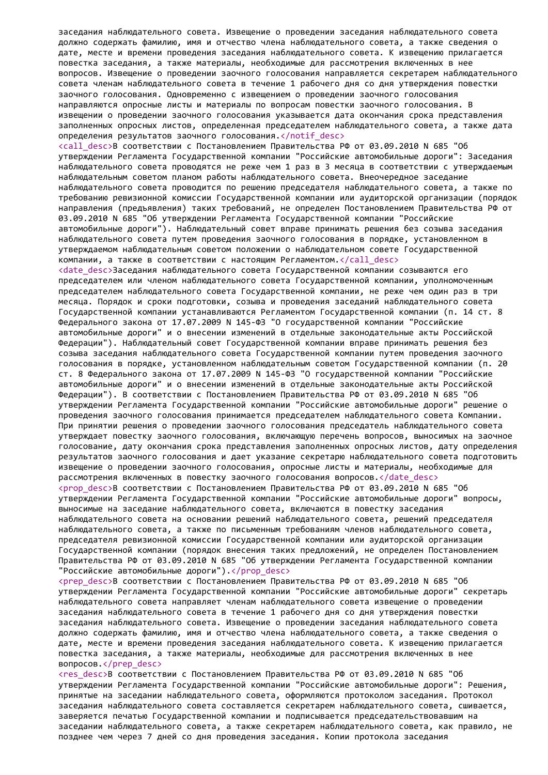заседания наблюдательного совета. Извещение о проведении заседания наблюдательного совета должно содержать фамилию, имя и отчество члена наблюдательного совета, а также сведения о дате, месте и времени проведения заседания наблюдательного совета. К извещению прилагается повестка заседания, а также материалы, необходимые для рассмотрения включенных в нее вопросов. Извещение о проведении заочного голосования направляется секретарем наблюдательного совета членам наблюдательного совета в течение 1 рабочего дня со дня утверждения повестки заочного голосования. Одновременно с извещением о проведении заочного голосования направляются опросные листы и материалы по вопросам повестки заочного голосования. В извещении о проведении заочного голосования указывается дата окончания срока представления заполненных опросных листов, определенная председателем наблюдательного совета, а также дата определения результатов заочного голосования.</notif\_desc>

<call\_desc>В соответствии с Постановлением Правительства РФ от 03.09.2010 N 685 "Об утверждении Регламента Государственной компании "Российские автомобильные дороги": Заседания наблюдательного совета проводятся не реже чем 1 раз в 3 месяца в соответствии с утверждаемым наблюдательным советом планом работы наблюдательного совета. Внеочередное заседание наблюдательного совета проводится по решению председателя наблюдательного совета, а также по требованию ревизионной комиссии Государственной компании или аудиторской организации (порядок направления (предъявления) таких требований, не определен Постановлением Правительства РФ от 03.09.2010 N 685 "Об утверждении Регламента Государственной компании "Российские автомобильные дороги"). Наблюдательный совет вправе принимать решения без созыва заседания наблюдательного совета путем проведения заочного голосования в порядке, установленном в утверждаемом наблюдательным советом положении о наблюдательном совете Государственной компании, а также в соответствии с настоящим Регламентом.</call\_desc>

<date desc>Заседания наблюдательного совета Государственной компании созываются его председателем или членом наблюдательного совета Государственной компании, уполномоченным председателем наблюдательного совета Государственной компании, не реже чем один раз в три месяца. Порядок и сроки подготовки, созыва и проведения заседаний наблюдательного совета Государственной компании устанавливаются Регламентом Государственной компании (п. 14 ст. 8 Федерального закона от 17.07.2009 N 145-ФЗ "О государственной компании "Российские автомобильные дороги" и о внесении изменений в отдельные законодательные акты Российской Федерации"). Наблюдательный совет Государственной компании вправе принимать решения без созыва заседания наблюдательного совета Государственной компании путем проведения заочного голосования в порядке, установленном наблюдательным советом Государственной компании (п. 20 ст. 8 Федерального закона от 17.07.2009 N 145-ФЗ "О государственной компании "Российские автомобильные дороги" и о внесении изменений в отдельные законодательные акты Российской Федерации"). В соответствии с Постановлением Правительства РФ от 03.09.2010 N 685 "Об утверждении Регламента Государственной компании "Российские автомобильные дороги" решение о проведения заочного голосования принимается председателем наблюдательного совета Компании. При принятии решения о проведении заочного голосования председатель наблюдательного совета утверждает повестку заочного голосования, включающую перечень вопросов, выносимых на заочное голосование, дату окончания срока представления заполненных опросных листов, дату определения результатов заочного голосования и дает указание секретарю наблюдательного совета подготовить извещение о проведении заочного голосования, опросные листы и материалы, необходимые для рассмотрения включенных в повестку заочного голосования вопросов.</date\_desc> <prop desc>В соответствии с Постановлением Правительства РФ от 03.09.2010 N 685 "Об утверждении Регламента Государственной компании "Российские автомобильные дороги" вопросы, выносимые на заседание наблюдательного совета, включаются в повестку заседания наблюдательного совета на основании решений наблюдательного совета, решений председателя наблюдательного совета, а также по письменным требованиям членов наблюдательного совета, председателя ревизионной комиссии Государственной компании или аудиторской организации

Государственной компании (порядок внесения таких предложений, не определен Постановлением Правительства РФ от 03.09.2010 N 685 "Об утверждении Регламента Государственной компании "Российские автомобильные дороги").</prop\_desc>

<prep desc>В соответствии с Постановлением Правительства РФ от 03.09.2010 N 685 "Об утверждении Регламента Государственной компании "Российские автомобильные дороги" секретарь наблюдательного совета направляет членам наблюдательного совета извещение о проведении заседания наблюдательного совета в течение 1 рабочего дня со дня утверждения повестки заседания наблюдательного совета. Извещение о проведении заседания наблюдательного совета должно содержать фамилию, имя и отчество члена наблюдательного совета, а также сведения о дате, месте и времени проведения заседания наблюдательного совета. К извещению прилагается повестка заседания, а также материалы, необходимые для рассмотрения включенных в нее вопросов.</prep\_desc>

 $\langle$ res desc>В соответствии с Постановлением Правительства РФ от 03.09.2010 N 685 "Об утверждении Регламента Государственной компании "Российские автомобильные дороги": Решения, принятые на заседании наблюдательного совета, оформляются протоколом заседания. Протокол заседания наблюдательного совета составляется секретарем наблюдательного совета, сшивается, заверяется печатью Государственной компании и подписывается председательствовавшим на заседании наблюдательного совета, а также секретарем наблюдательного совета, как правило, не позднее чем через 7 дней со дня проведения заседания. Копии протокола заседания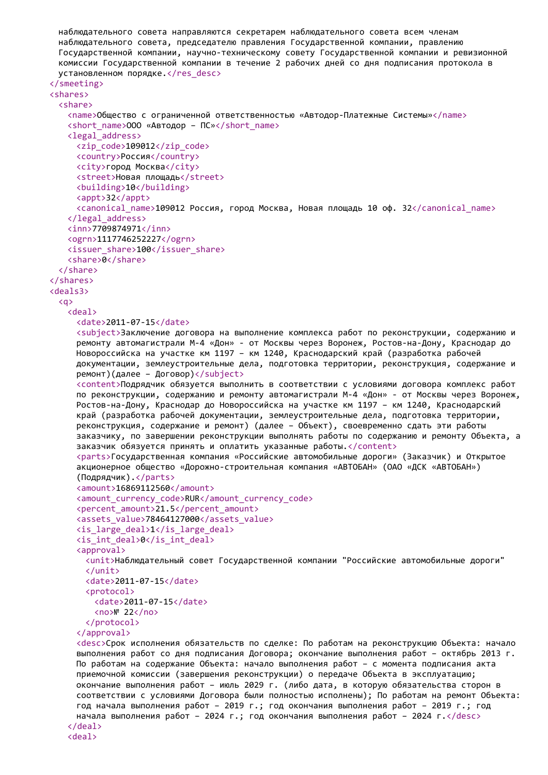```
наблюдательного совета направляются секретарем наблюдательного совета всем членам
 наблюдательного совета, председателю правления Государственной компании, правлению
 Государственной компании, научно-техническому совету Государственной компании и ревизионной
 комиссии Государственной компании в течение 2 рабочих дней со дня подписания протокола в
 установленном порядке.</res_desc>
</smeeting>
<shares>
 <share>
   <name>Общество с ограниченной ответственностью «Автодор-Платежные Системы»</name>
   <short name>ООО «Автодор – ПС»</short name>
   <legal_address>
     <zip_code>109012</zip_code>
     <country>Россия</country>
     <city>город Москва</city>
     <street>Новая площадь</street>
     <building>10</building>
     <appt>32</appt>
     <canonical_name>109012 Россия, город Москва, Новая площадь 10 оф. 32</canonical_name>
   </legal_address>
   <inn>7709874971</inn>
   <ogrn>1117746252227</ogrn>
   <issuer_share>100</issuer_share>
   <share>0</share>
 </share>
</shares>
<deals3>
 <q>
   <deal>
     <date>2011-07-15</date>
     <subject>Заключение договора на выполнение комплекса работ по реконструкции, содержанию и
     ремонту автомагистрали М-4 «Дон» - от Москвы через Воронеж, Ростов-на-Дону, Краснодар до
     Новороссийска на участке км 1197 – км 1240, Краснодарский край (разработка рабочей
     документации, землеустроительные дела, подготовка территории, реконструкция, содержание и
     ремонт)(далее – Договор)</subject>
     <content>Подрядчик обязуется выполнить в соответствии с условиями договора комплекс работ
     по реконструкции, содержанию и ремонту автомагистрали М-4 «Дон» - от Москвы через Воронеж,
     Ростов-на-Дону, Краснодар до Новороссийска на участке км 1197 – км 1240, Краснодарский
     край (разработка рабочей документации, землеустроительные дела, подготовка территории,
     реконструкция, содержание и ремонт) (далее – Объект), своевременно сдать эти работы
     заказчику, по завершении реконструкции выполнять работы по содержанию и ремонту Объекта, а
     заказчик обязуется принять и оплатить указанные работы.</content>
     <parts>Государственная компания «Российские автомобильные дороги» (Заказчик) и Открытое
     акционерное общество «Дорожно-строительная компания «АВТОБАН» (ОАО «ДСК «АВТОБАН»)
     (Подрядчик).</parts>
     <amount>16869112560</amount>
     <amount_currency_code>RUR</amount_currency_code>
     <percent_amount>21.5</percent_amount>
     <assets_value>78464127000</assets_value>
     <is_large_deal>1</is_large_deal>
     <is_int_deal>0</is_int_deal>
     <approval>
       <unit>Наблюдательный совет Государственной компании "Российские автомобильные дороги"
       </unit>
       <date>2011-07-15</date>
       <protocol>
         <date>2011-07-15</date>
         <no>№ 22</no>
       </protocol>
     </approval>
     <desc>Срок исполнения обязательств по сделке: По работам на реконструкцию Объекта: начало
     выполнения работ со дня подписания Договора; окончание выполнения работ – октябрь 2013 г.
     По работам на содержание Объекта: начало выполнения работ – с момента подписания акта
     приемочной комиссии (завершения реконструкции) о передаче Объекта в эксплуатацию;
     окончание выполнения работ – июль 2029 г. (либо дата, в которую обязательства сторон в
     соответствии с условиями Договора были полностью исполнены); По работам на ремонт Объекта:
```
год начала выполнения работ – 2019 г.; год окончания выполнения работ – 2019 г.; год начала выполнения работ – 2024 г.; год окончания выполнения работ – 2024 г.</desc>

```
</deal>
```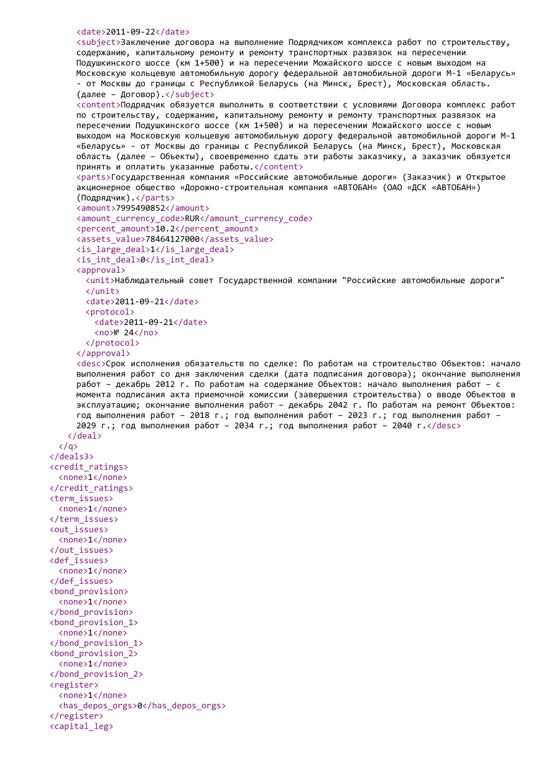```
<date>2011-09-22</date>
     <subject>Заключение договора на выполнение Подрядчиком комплекса работ по строительству,
     содержанию, капитальному ремонту и ремонту транспортных развязок на пересечении
     Подушкинского шоссе (км 1+500) и на пересечении Можайского шоссе с новым выходом на
     Московскую кольцевую автомобильную дорогу федеральной автомобильной дороги М-1 «Беларусь»
     - от Москвы до границы с Республикой Беларусь (на Минск, Брест), Московская область.
     (далее – Договор).</subject>
     <content>Подрядчик обязуется выполнить в соответствии с условиями Договора комплекс работ
     по строительству, содержанию, капитальному ремонту и ремонту транспортных развязок на
     пересечении Подушкинского шоссе (км 1+500) и на пересечении Можайского шоссе с новым
     выходом на Московскую кольцевую автомобильную дорогу федеральной автомобильной дороги М-1
     «Беларусь» - от Москвы до границы с Республикой Беларусь (на Минск, Брест), Московская
     область (далее – Объекты), своевременно сдать эти работы заказчику, а заказчик обязуется
     принять и оплатить указанные работы.</content>
     <parts>Государственная компания «Российские автомобильные дороги» (Заказчик) и Открытое
     акционерное общество «Дорожно-строительная компания «АВТОБАН» (ОАО «ДСК «АВТОБАН»)
     (Подрядчик).</parts>
     <amount>7995490852</amount>
     <amount_currency_code>RUR</amount_currency_code>
     <percent_amount>10.2</percent_amount>
     <assets_value>78464127000</assets_value>
     \langleis large deal>1\langleis large deal>
     <is_int_deal>0</is_int_deal>
     <approval>
       <unit>Наблюдательный совет Государственной компании "Российские автомобильные дороги"
       </unit>
       <date>2011-09-21</date>
       <protocol>
         <date>2011-09-21</date>
         <no>№ 24</no>
       </protocol>
     </approval>
     <desc>Срок исполнения обязательств по сделке: По работам на строительство Объектов: начало
     выполнения работ со дня заключения сделки (дата подписания договора); окончание выполнения
     работ – декабрь 2012 г. По работам на содержание Объектов: начало выполнения работ – с
     момента подписания акта приемочной комиссии (завершения строительства) о вводе Объектов в
     эксплуатацию; окончание выполнения работ – декабрь 2042 г. По работам на ремонт Объектов:
     год выполнения работ – 2018 г.; год выполнения работ – 2023 г.; год выполнения работ –
     2029 г.; год выполнения работ – 2034 г.; год выполнения работ – 2040 г.</desc>
   </deal>
  \langle/q>
</deals3>
<credit_ratings>
 <none>1</none>
</credit_ratings>
<term_issues>
 <none>1</none>
</term_issues>
<out_issues>
 <none>1</none>
</out_issues>
<def_issues>
 <none>1</none>
</def_issues>
<bond_provision>
  <none>1</none>
</bond_provision>
<bond_provision_1>
  <none>1</none>
</bond_provision_1>
<bond_provision_2>
  <none>1</none>
</bond_provision_2>
<register>
 <none>1</none>
  <has_depos_orgs>0</has_depos_orgs>
</register>
<capital_leg>
```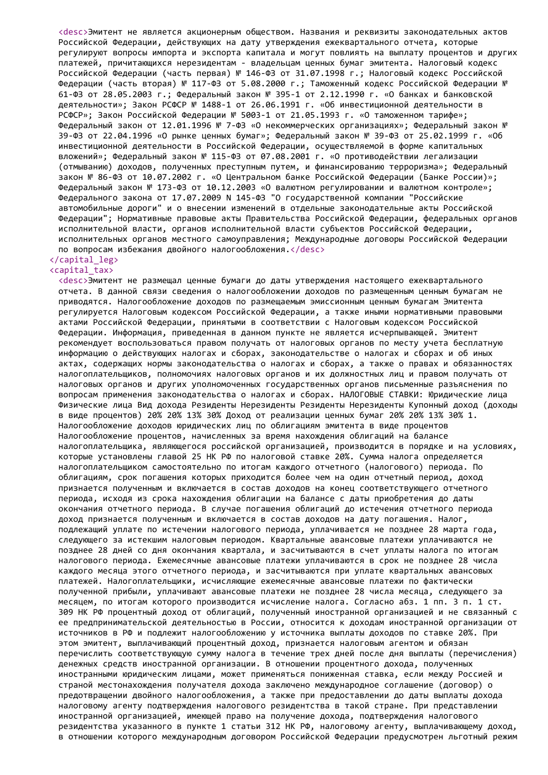<desc>Эмитент не является акционерным обществом. Названия и реквизиты законодательных актов Российской Федерации, действующих на дату утверждения ежеквартального отчета, которые регулируют вопросы импорта и экспорта капитала и могут повлиять на выплату процентов и других платежей, причитающихся нерезидентам - владельцам ценных бумаг эмитента. Налоговый кодекс Российской Федерации (часть первая) № 146-ФЗ от 31.07.1998 г.; Налоговый кодекс Российской Федерации (часть вторая) № 117-ФЗ от 5.08.2000 г.; Таможенный кодекс Российской Федерации № 61-ФЗ от 28.05.2003 г.; Федеральный закон № 395-1 от 2.12.1990 г. «О банках и банковской деятельности»; Закон РСФСР № 1488-1 от 26.06.1991 г. «Об инвестиционной деятельности в РСФСР»; Закон Российской Федерации № 5003-1 от 21.05.1993 г. «О таможенном тарифе»; Федеральный закон от 12.01.1996 № 7-ФЗ «О некоммерческих организациях»; Федеральный закон № 39-ФЗ от 22.04.1996 «О рынке ценных бумаг»; Федеральный закон № 39-ФЗ от 25.02.1999 г. «Об инвестиционной деятельности в Российской Федерации, осуществляемой в форме капитальных вложений»; Федеральный закон № 115-ФЗ от 07.08.2001 г. «О противодействии легализации (отмыванию) доходов, полученных преступным путем, и финансированию терроризма»; Федеральный закон № 86-ФЗ от 10.07.2002 г. «О Центральном банке Российской Федерации (Банке России)»; Федеральный закон № 173-ФЗ от 10.12.2003 «О валютном регулировании и валютном контроле»; Федерального закона от 17.07.2009 N 145-ФЗ "О государственной компании "Российские автомобильные дороги" и о внесении изменений в отдельные законодательные акты Российской Федерации"; Нормативные правовые акты Правительства Российской Федерации, федеральных органов исполнительной власти, органов исполнительной власти субъектов Российской Федерации, исполнительных органов местного самоуправления; Международные договоры Российской Федерации по вопросам избежания двойного налогообложения.</desc>

## </capital\_leg>

#### <capital\_tax>

<desc>Эмитент не размещал ценные бумаги до даты утверждения настоящего ежеквартального отчета. В данной связи сведения о налогообложении доходов по размещенным ценным бумагам не приводятся. Налогообложение доходов по размещаемым эмиссионным ценным бумагам Эмитента регулируется Налоговым кодексом Российской Федерации, а также иными нормативными правовыми актами Российской Федерации, принятыми в соответствии с Налоговым кодексом Российской Федерации. Информация, приведенная в данном пункте не является исчерпывающей. Эмитент рекомендует воспользоваться правом получать от налоговых органов по месту учета бесплатную информацию о действующих налогах и сборах, законодательстве о налогах и сборах и об иных актах, содержащих нормы законодательства о налогах и сборах, а также о правах и обязанностях налогоплательщиков, полномочиях налоговых органов и их должностных лиц и правом получать от налоговых органов и других уполномоченных государственных органов письменные разъяснения по вопросам применения законодательства о налогах и сборах. НАЛОГОВЫЕ СТАВКИ: Юридические лица Физические лица Вид дохода Резиденты Нерезиденты Резиденты Нерезиденты Купонный доход (доходы в виде процентов) 20% 20% 13% 30% Доход от реализации ценных бумаг 20% 20% 13% 30% 1. Налогообложение доходов юридических лиц по облигациям эмитента в виде процентов Налогообложение процентов, начисленных за время нахождения облигаций на балансе налогоплательщика, являющегося российской организацией, производится в порядке и на условиях, которые установлены главой 25 НК РФ по налоговой ставке 20%. Сумма налога определяется налогоплательщиком самостоятельно по итогам каждого отчетного (налогового) периода. По облигациям, срок погашения которых приходится более чем на один отчетный период, доход признается полученным и включается в состав доходов на конец соответствующего отчетного периода, исходя из срока нахождения облигации на балансе с даты приобретения до даты окончания отчетного периода. В случае погашения облигаций до истечения отчетного периода доход признается полученным и включается в состав доходов на дату погашения. Налог, подлежащий уплате по истечении налогового периода, уплачивается не позднее 28 марта года, следующего за истекшим налоговым периодом. Квартальные авансовые платежи уплачиваются не позднее 28 дней со дня окончания квартала, и засчитываются в счет уплаты налога по итогам налогового периода. Ежемесячные авансовые платежи уплачиваются в срок не позднее 28 числа каждого месяца этого отчетного периода, и засчитываются при уплате квартальных авансовых платежей. Налогоплательщики, исчисляющие ежемесячные авансовые платежи по фактически полученной прибыли, уплачивают авансовые платежи не позднее 28 числа месяца, следующего за месяцем, по итогам которого производится исчисление налога. Согласно абз. 1 пп. 3 п. 1 ст. 309 НК РФ процентный доход от облигаций, полученный иностранной организацией и не связанный с ее предпринимательской деятельностью в России, относится к доходам иностранной организации от источников в РФ и подлежит налогообложению у источника выплаты доходов по ставке 20%. При этом эмитент, выплачивающий процентный доход, признается налоговым агентом и обязан перечислить соответствующую сумму налога в течение трех дней после дня выплаты (перечисления) денежных средств иностранной организации. В отношении процентного дохода, полученных иностранными юридическим лицами, может применяться пониженная ставка, если между Россией и страной местонахождения получателя дохода заключено международное соглашение (договор) о предотвращении двойного налогообложения, а также при предоставлении до даты выплаты дохода налоговому агенту подтверждения налогового резидентства в такой стране. При представлении иностранной организацией, имеющей право на получение дохода, подтверждения налогового резидентства указанного в пункте 1 статьи 312 НК РФ, налоговому агенту, выплачивающему доход, в отношении которого международным договором Российской Федерации предусмотрен льготный режим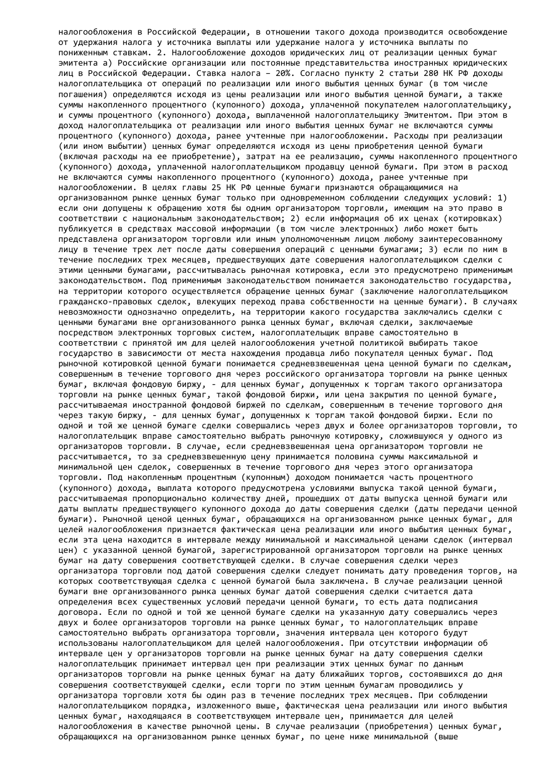налогообложения в Российской Федерации, в отношении такого дохода производится освобождение от удержания налога у источника выплаты или удержание налога у источника выплаты по пониженным ставкам. 2. Налогообложение доходов юридических лиц от реализации ценных бумаг эмитента a) Российские организации или постоянные представительства иностранных юридических лиц в Российской Федерации. Ставка налога – 20%. Согласно пункту 2 статьи 280 НК РФ доходы налогоплательщика от операций по реализации или иного выбытия ценных бумаг (в том числе погашения) определяются исходя из цены реализации или иного выбытия ценной бумаги, а также суммы накопленного процентного (купонного) дохода, уплаченной покупателем налогоплательщику, и суммы процентного (купонного) дохода, выплаченной налогоплательщику Эмитентом. При этом в доход налогоплательщика от реализации или иного выбытия ценных бумаг не включаются суммы процентного (купонного) дохода, ранее учтенные при налогообложении. Расходы при реализации (или ином выбытии) ценных бумаг определяются исходя из цены приобретения ценной бумаги (включая расходы на ее приобретение), затрат на ее реализацию, суммы накопленного процентного (купонного) дохода, уплаченной налогоплательщиком продавцу ценной бумаги. При этом в расход не включаются суммы накопленного процентного (купонного) дохода, ранее учтенные при налогообложении. В целях главы 25 НК РФ ценные бумаги признаются обращающимися на организованном рынке ценных бумаг только при одновременном соблюдении следующих условий: 1) если они допущены к обращению хотя бы одним организатором торговли, имеющим на это право в соответствии с национальным законодательством; 2) если информация об их ценах (котировках) публикуется в средствах массовой информации (в том числе электронных) либо может быть представлена организатором торговли или иным уполномоченным лицом любому заинтересованному лицу в течение трех лет после даты совершения операций с ценными бумагами; 3) если по ним в течение последних трех месяцев, предшествующих дате совершения налогоплательщиком сделки с этими ценными бумагами, рассчитывалась рыночная котировка, если это предусмотрено применимым законодательством. Под применимым законодательством понимается законодательство государства, на территории которого осуществляется обращение ценных бумаг (заключение налогоплательщиком гражданско-правовых сделок, влекущих переход права собственности на ценные бумаги). В случаях невозможности однозначно определить, на территории какого государства заключались сделки с ценными бумагами вне организованного рынка ценных бумаг, включая сделки, заключаемые посредством электронных торговых систем, налогоплательщик вправе самостоятельно в соответствии с принятой им для целей налогообложения учетной политикой выбирать такое государство в зависимости от места нахождения продавца либо покупателя ценных бумаг. Под рыночной котировкой ценной бумаги понимается средневзвешенная цена ценной бумаги по сделкам, совершенным в течение торгового дня через российского организатора торговли на рынке ценных бумаг, включая фондовую биржу, - для ценных бумаг, допущенных к торгам такого организатора торговли на рынке ценных бумаг, такой фондовой биржи, или цена закрытия по ценной бумаге, рассчитываемая иностранной фондовой биржей по сделкам, совершенным в течение торгового дня через такую биржу, - для ценных бумаг, допущенных к торгам такой фондовой биржи. Если по одной и той же ценной бумаге сделки совершались через двух и более организаторов торговли, то налогоплательщик вправе самостоятельно выбрать рыночную котировку, сложившуюся у одного из организаторов торговли. В случае, если средневзвешенная цена организатором торговли не рассчитывается, то за средневзвешенную цену принимается половина суммы максимальной и минимальной цен сделок, совершенных в течение торгового дня через этого организатора торговли. Под накопленным процентным (купонным) доходом понимается часть процентного (купонного) дохода, выплата которого предусмотрена условиями выпуска такой ценной бумаги, рассчитываемая пропорционально количеству дней, прошедших от даты выпуска ценной бумаги или даты выплаты предшествующего купонного дохода до даты совершения сделки (даты передачи ценной бумаги). Рыночной ценой ценных бумаг, обращающихся на организованном рынке ценных бумаг, для целей налогообложения признается фактическая цена реализации или иного выбытия ценных бумаг, если эта цена находится в интервале между минимальной и максимальной ценами сделок (интервал цен) с указанной ценной бумагой, зарегистрированной организатором торговли на рынке ценных бумаг на дату совершения соответствующей сделки. В случае совершения сделки через организатора торговли под датой совершения сделки следует понимать дату проведения торгов, на которых соответствующая сделка с ценной бумагой была заключена. В случае реализации ценной бумаги вне организованного рынка ценных бумаг датой совершения сделки считается дата определения всех существенных условий передачи ценной бумаги, то есть дата подписания договора. Если по одной и той же ценной бумаге сделки на указанную дату совершались через двух и более организаторов торговли на рынке ценных бумаг, то налогоплательщик вправе самостоятельно выбрать организатора торговли, значения интервала цен которого будут использованы налогоплательщиком для целей налогообложения. При отсутствии информации об интервале цен у организаторов торговли на рынке ценных бумаг на дату совершения сделки налогоплательщик принимает интервал цен при реализации этих ценных бумаг по данным организаторов торговли на рынке ценных бумаг на дату ближайших торгов, состоявшихся до дня совершения соответствующей сделки, если торги по этим ценным бумагам проводились у организатора торговли хотя бы один раз в течение последних трех месяцев. При соблюдении налогоплательщиком порядка, изложенного выше, фактическая цена реализации или иного выбытия ценных бумаг, находящаяся в соответствующем интервале цен, принимается для целей налогообложения в качестве рыночной цены. В случае реализации (приобретения) ценных бумаг, обращающихся на организованном рынке ценных бумаг, по цене ниже минимальной (выше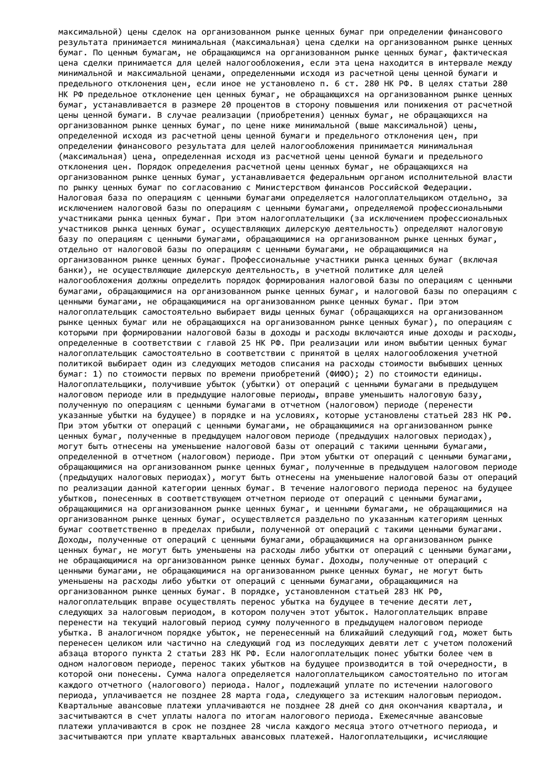максимальной) цены сделок на организованном рынке ценных бумаг при определении финансового результата принимается минимальная (максимальная) цена сделки на организованном рынке ценных бумаг. По ценным бумагам, не обращающимся на организованном рынке ценных бумаг, фактическая цена сделки принимается для целей налогообложения, если эта цена находится в интервале между минимальной и максимальной ценами, определенными исходя из расчетной цены ценной бумаги и предельного отклонения цен, если иное не установлено п. 6 ст. 280 НК РФ. В целях статьи 280 НК РФ предельное отклонение цен ценных бумаг, не обращающихся на организованном рынке ценных бумаг, устанавливается в размере 20 процентов в сторону повышения или понижения от расчетной цены ценной бумаги. В случае реализации (приобретения) ценных бумаг, не обращающихся на организованном рынке ценных бумаг, по цене ниже минимальной (выше максимальной) цены, определенной исходя из расчетной цены ценной бумаги и предельного отклонения цен, при определении финансового результата для целей налогообложения принимается минимальная (максимальная) цена, определенная исходя из расчетной цены ценной бумаги и предельного отклонения цен. Порядок определения расчетной цены ценных бумаг, не обращающихся на организованном рынке ценных бумаг, устанавливается федеральным органом исполнительной власти по рынку ценных бумаг по согласованию с Министерством финансов Российской Федерации. Налоговая база по операциям с ценными бумагами определяется налогоплательщиком отдельно, за исключением налоговой базы по операциям с ценными бумагами, определяемой профессиональными участниками рынка ценных бумаг. При этом налогоплательщики (за исключением профессиональных участников рынка ценных бумаг, осуществляющих дилерскую деятельность) определяют налоговую базу по операциям с ценными бумагами, обращающимися на организованном рынке ценных бумаг, отдельно от налоговой базы по операциям с ценными бумагами, не обращающимися на организованном рынке ценных бумаг. Профессиональные участники рынка ценных бумаг (включая банки), не осуществляющие дилерскую деятельность, в учетной политике для целей налогообложения должны определить порядок формирования налоговой базы по операциям с ценными бумагами, обращающимися на организованном рынке ценных бумаг, и налоговой базы по операциям с ценными бумагами, не обращающимися на организованном рынке ценных бумаг. При этом налогоплательщик самостоятельно выбирает виды ценных бумаг (обращающихся на организованном рынке ценных бумаг или не обращающихся на организованном рынке ценных бумаг), по операциям с которыми при формировании налоговой базы в доходы и расходы включаются иные доходы и расходы, определенные в соответствии с главой 25 НК РФ. При реализации или ином выбытии ценных бумаг налогоплательщик самостоятельно в соответствии с принятой в целях налогообложения учетной политикой выбирает один из следующих методов списания на расходы стоимости выбывших ценных бумаг: 1) по стоимости первых по времени приобретений (ФИФО); 2) по стоимости единицы. Налогоплательщики, получившие убыток (убытки) от операций с ценными бумагами в предыдущем налоговом периоде или в предыдущие налоговые периоды, вправе уменьшить налоговую базу, полученную по операциям с ценными бумагами в отчетном (налоговом) периоде (перенести указанные убытки на будущее) в порядке и на условиях, которые установлены статьей 283 НК РФ. При этом убытки от операций с ценными бумагами, не обращающимися на организованном рынке ценных бумаг, полученные в предыдущем налоговом периоде (предыдущих налоговых периодах), могут быть отнесены на уменьшение налоговой базы от операций с такими ценными бумагами, определенной в отчетном (налоговом) периоде. При этом убытки от операций с ценными бумагами, обращающимися на организованном рынке ценных бумаг, полученные в предыдущем налоговом периоде (предыдущих налоговых периодах), могут быть отнесены на уменьшение налоговой базы от операций по реализации данной категории ценных бумаг. В течение налогового периода перенос на будущее убытков, понесенных в соответствующем отчетном периоде от операций с ценными бумагами, обращающимися на организованном рынке ценных бумаг, и ценными бумагами, не обращающимися на организованном рынке ценных бумаг, осуществляется раздельно по указанным категориям ценных бумаг соответственно в пределах прибыли, полученной от операций с такими ценными бумагами. Доходы, полученные от операций с ценными бумагами, обращающимися на организованном рынке ценных бумаг, не могут быть уменьшены на расходы либо убытки от операций с ценными бумагами, не обращающимися на организованном рынке ценных бумаг. Доходы, полученные от операций с ценными бумагами, не обращающимися на организованном рынке ценных бумаг, не могут быть уменьшены на расходы либо убытки от операций с ценными бумагами, обращающимися на организованном рынке ценных бумаг. В порядке, установленном статьей 283 НК РФ, налогоплательщик вправе осуществлять перенос убытка на будущее в течение десяти лет, следующих за налоговым периодом, в котором получен этот убыток. Налогоплательщик вправе перенести на текущий налоговый период сумму полученного в предыдущем налоговом периоде убытка. В аналогичном порядке убыток, не перенесенный на ближайший следующий год, может быть перенесен целиком или частично на следующий год из последующих девяти лет с учетом положений абзаца второго пункта 2 статьи 283 НК РФ. Если налогоплательщик понес убытки более чем в одном налоговом периоде, перенос таких убытков на будущее производится в той очередности, в которой они понесены. Сумма налога определяется налогоплательщиком самостоятельно по итогам каждого отчетного (налогового) периода. Налог, подлежащий уплате по истечении налогового периода, уплачивается не позднее 28 марта года, следующего за истекшим налоговым периодом. Квартальные авансовые платежи уплачиваются не позднее 28 дней со дня окончания квартала, и засчитываются в счет уплаты налога по итогам налогового периода. Ежемесячные авансовые платежи уплачиваются в срок не позднее 28 числа каждого месяца этого отчетного периода, и засчитываются при уплате квартальных авансовых платежей. Налогоплательщики, исчисляющие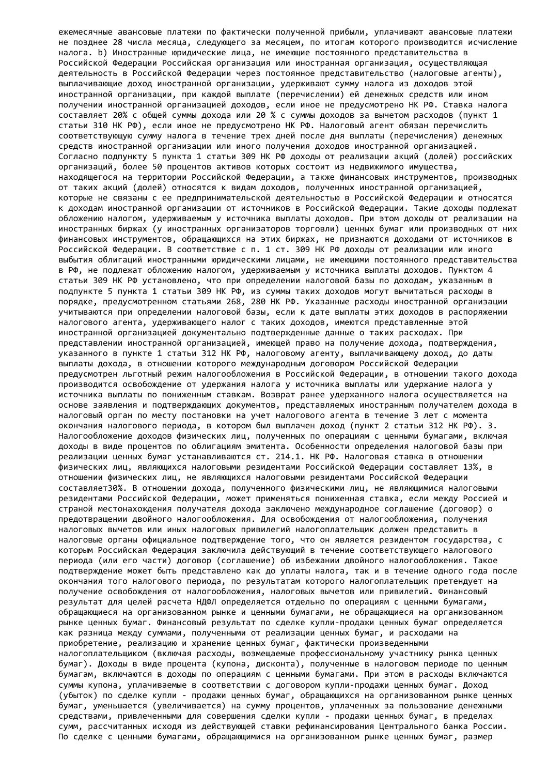ежемесячные авансовые платежи по фактически полученной прибыли, уплачивают авансовые платежи не позднее 28 числа месяца, следующего за месяцем, по итогам которого производится исчисление налога. b) Иностранные юридические лица, не имеющие постоянного представительства в Российской Федерации Российская организация или иностранная организация, осуществляющая деятельность в Российской Федерации через постоянное представительство (налоговые агенты), выплачивающие доход иностранной организации, удерживают сумму налога из доходов этой иностранной организации, при каждой выплате (перечислении) ей денежных средств или ином получении иностранной организацией доходов, если иное не предусмотрено НК РФ. Ставка налога составляет 20% с общей суммы дохода или 20 % с суммы доходов за вычетом расходов (пункт 1 статьи 310 НК РФ), если иное не предусмотрено НК РФ. Налоговый агент обязан перечислить соответствующую сумму налога в течение трех дней после дня выплаты (перечисления) денежных средств иностранной организации или иного получения доходов иностранной организацией. Согласно подпункту 5 пункта 1 статьи 309 НК РФ доходы от реализации акций (долей) российских организаций, более 50 процентов активов которых состоит из недвижимого имущества, находящегося на территории Российской Федерации, а также финансовых инструментов, производных от таких акций (долей) относятся к видам доходов, полученных иностранной организацией, которые не связаны с ее предпринимательской деятельностью в Российской Федерации и относятся к доходам иностранной организации от источников в Российской Федерации. Такие доходы подлежат обложению налогом, удерживаемым у источника выплаты доходов. При этом доходы от реализации на иностранных биржах (у иностранных организаторов торговли) ценных бумаг или производных от них финансовых инструментов, обращающихся на этих биржах, не признаются доходами от источников в Российской Федерации. В соответствие с п. 1 ст. 309 НК РФ доходы от реализации или иного выбытия облигаций иностранными юридическими лицами, не имеющими постоянного представительства в РФ, не подлежат обложению налогом, удерживаемым у источника выплаты доходов. Пунктом 4 статьи 309 НК РФ установлено, что при определении налоговой базы по доходам, указанным в подпункте 5 пункта 1 статьи 309 НК РФ, из суммы таких доходов могут вычитаться расходы в порядке, предусмотренном статьями 268, 280 НК РФ. Указанные расходы иностранной организации учитываются при определении налоговой базы, если к дате выплаты этих доходов в распоряжении налогового агента, удерживающего налог с таких доходов, имеются представленные этой иностранной организацией документально подтвержденные данные о таких расходах. При представлении иностранной организацией, имеющей право на получение дохода, подтверждения, указанного в пункте 1 статьи 312 НК РФ, налоговому агенту, выплачивающему доход, до даты выплаты дохода, в отношении которого международным договором Российской Федерации предусмотрен льготный режим налогообложения в Российской Федерации, в отношении такого дохода производится освобождение от удержания налога у источника выплаты или удержание налога у источника выплаты по пониженным ставкам. Возврат ранее удержанного налога осуществляется на основе заявления и подтверждающих документов, представляемых иностранным получателем дохода в налоговый орган по месту постановки на учет налогового агента в течение 3 лет с момента окончания налогового периода, в котором был выплачен доход (пункт 2 статьи 312 НК РФ). 3. Налогообложение доходов физических лиц, полученных по операциям с ценными бумагами, включая доходы в виде процентов по облигациям эмитента. Особенности определения налоговой базы при реализации ценных бумаг устанавливаются ст. 214.1. НК РФ. Налоговая ставка в отношении физических лиц, являющихся налоговыми резидентами Российской Федерации составляет 13%, в отношении физических лиц, не являющихся налоговыми резидентами Российской Федерации составляет30%. В отношении дохода, полученного физическими лиц, не являющимися налоговыми резидентами Российской Федерации, может применяться пониженная ставка, если между Россией и страной местонахождения получателя дохода заключено международное соглашение (договор) о предотвращении двойного налогообложения. Для освобождения от налогообложения, получения налоговых вычетов или иных налоговых привилегий налогоплательщик должен представить в налоговые органы официальное подтверждение того, что он является резидентом государства, с которым Российская Федерация заключила действующий в течение соответствующего налогового периода (или его части) договор (соглашение) об избежании двойного налогообложения. Такое подтверждение может быть представлено как до уплаты налога, так и в течение одного года после окончания того налогового периода, по результатам которого налогоплательщик претендует на получение освобождения от налогообложения, налоговых вычетов или привилегий. Финансовый результат для целей расчета НДФЛ определяется отдельно по операциям с ценными бумагами, обращающиеся на организованном рынке и ценными бумагами, не обращающиеся на организованном рынке ценных бумаг. Финансовый результат по сделке купли-продажи ценных бумаг определяется как разница между суммами, полученными от реализации ценных бумаг, и расходами на приобретение, реализацию и хранение ценных бумаг, фактически произведенными налогоплательщиком (включая расходы, возмещаемые профессиональному участнику рынка ценных бумаг). Доходы в виде процента (купона, дисконта), полученные в налоговом периоде по ценным бумагам, включаются в доходы по операциям с ценными бумагами. При этом в расходы включаются суммы купона, уплачиваемые в соответствии с договором купли-продажи ценных бумаг. Доход (убыток) по сделке купли - продажи ценных бумаг, обращающихся на организованном рынке ценных бумаг, уменьшается (увеличивается) на сумму процентов, уплаченных за пользование денежными средствами, привлеченными для совершения сделки купли - продажи ценных бумаг, в пределах сумм, рассчитанных исходя из действующей ставки рефинансирования Центрального банка России. По сделке с ценными бумагами, обращающимися на организованном рынке ценных бумаг, размер